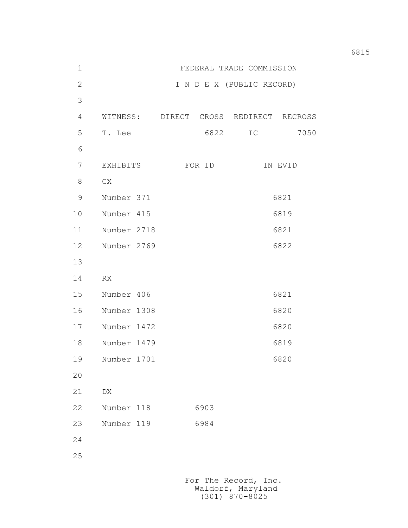| $1\,$          | FEDERAL TRADE COMMISSION |                                        |                           |         |
|----------------|--------------------------|----------------------------------------|---------------------------|---------|
| $\mathbf{2}$   |                          |                                        | I N D E X (PUBLIC RECORD) |         |
| $\mathfrak{Z}$ |                          |                                        |                           |         |
| 4              |                          | WITNESS: DIRECT CROSS REDIRECT RECROSS |                           |         |
| 5              | T. Lee                   | 6822                                   | IC                        | 7050    |
| 6              |                          |                                        |                           |         |
| $\overline{7}$ | EXHIBITS                 | FOR ID                                 |                           | IN EVID |
| 8              | CX                       |                                        |                           |         |
| $\mathcal{G}$  | Number 371               |                                        |                           | 6821    |
| 10             | Number 415               |                                        | 6819                      |         |
| 11             | Number 2718              |                                        | 6821                      |         |
| 12             | Number 2769              |                                        | 6822                      |         |
| 13             |                          |                                        |                           |         |
| 14             | RX                       |                                        |                           |         |
| 15             | Number 406               |                                        | 6821                      |         |
| 16             | Number 1308              |                                        | 6820                      |         |
| 17             | Number 1472              |                                        | 6820                      |         |
| 18             | Number 1479              |                                        |                           | 6819    |
| 19             | Number 1701              |                                        |                           | 6820    |
| 20             |                          |                                        |                           |         |
| 21             | ${\rm D}{\rm X}$         |                                        |                           |         |
| 22             | Number 118               | 6903                                   |                           |         |
| 23             | Number 119               | 6984                                   |                           |         |
| 24             |                          |                                        |                           |         |
| 25             |                          |                                        |                           |         |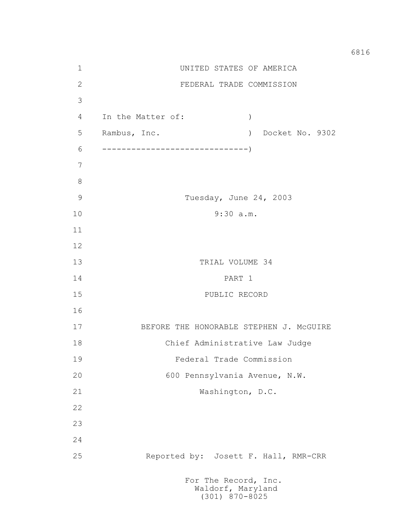1 UNITED STATES OF AMERICA 2 FEDERAL TRADE COMMISSION 3 4 In the Matter of: ) 5 Rambus, Inc. ) Docket No. 9302 6 ------------------------------) 7 8 9 Tuesday, June 24, 2003 10 9:30 a.m. 11 12 13 TRIAL VOLUME 34 14 PART 1 15 PUBLIC RECORD 16 17 BEFORE THE HONORABLE STEPHEN J. McGUIRE 18 Chief Administrative Law Judge 19 Federal Trade Commission 20 600 Pennsylvania Avenue, N.W. 21 Washington, D.C. 22 23 24 25 Reported by: Josett F. Hall, RMR-CRR For The Record, Inc.

 Waldorf, Maryland (301) 870-8025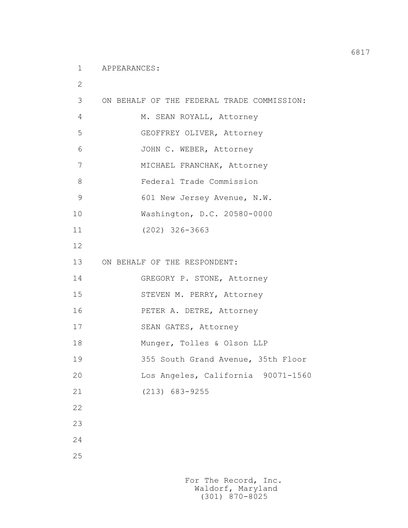2

| 3  | ON BEHALF OF THE FEDERAL TRADE COMMISSION: |  |
|----|--------------------------------------------|--|
| 4  | M. SEAN ROYALL, Attorney                   |  |
| 5  | GEOFFREY OLIVER, Attorney                  |  |
| 6  | JOHN C. WEBER, Attorney                    |  |
| 7  | MICHAEL FRANCHAK, Attorney                 |  |
| 8  | Federal Trade Commission                   |  |
| 9  | 601 New Jersey Avenue, N.W.                |  |
| 10 | Washington, D.C. 20580-0000                |  |
| 11 | $(202)$ 326-3663                           |  |
| 12 |                                            |  |
| 13 | ON BEHALF OF THE RESPONDENT:               |  |
| 14 | GREGORY P. STONE, Attorney                 |  |
| 15 | STEVEN M. PERRY, Attorney                  |  |
| 16 | PETER A. DETRE, Attorney                   |  |
| 17 | SEAN GATES, Attorney                       |  |
| 18 | Munger, Tolles & Olson LLP                 |  |
| 19 | 355 South Grand Avenue, 35th Floor         |  |
| 20 | Los Angeles, California 90071-1560         |  |
| 21 | $(213) 683 - 9255$                         |  |
| 22 |                                            |  |
| 23 |                                            |  |
| 24 |                                            |  |
| 25 |                                            |  |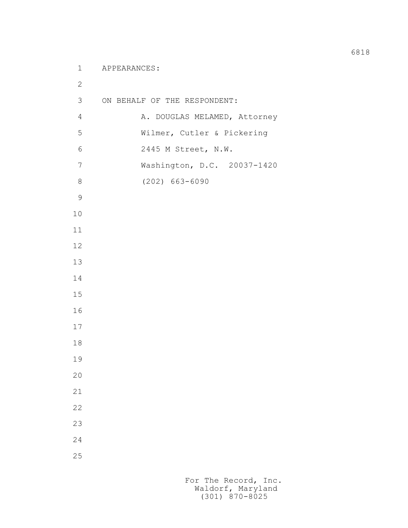```
 1 APPEARANCES:
2
         3 ON BEHALF OF THE RESPONDENT:
        4 A. DOUGLAS MELAMED, Attorney
         5 Wilmer, Cutler & Pickering
         6 2445 M Street, N.W.
         7 Washington, D.C. 20037-1420
         8 (202) 663-6090
9
        10
        11
        12
        13
        14
        15
        16
        17
        18
        19
        20
        21
        22
        23
        24
        25
```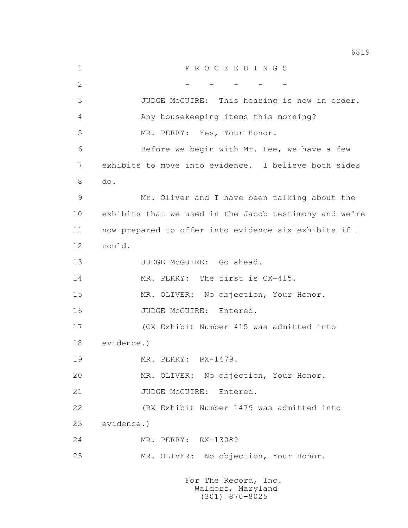1 P R O C E E D I N G S  $2$  - - - - - - - - 3 JUDGE McGUIRE: This hearing is now in order. 4 Any housekeeping items this morning? 5 MR. PERRY: Yes, Your Honor. 6 Before we begin with Mr. Lee, we have a few 7 exhibits to move into evidence. I believe both sides 8 do. 9 Mr. Oliver and I have been talking about the 10 exhibits that we used in the Jacob testimony and we're 11 now prepared to offer into evidence six exhibits if I 12 could. 13 JUDGE McGUIRE: Go ahead. 14 MR. PERRY: The first is  $CX-415$ . 15 MR. OLIVER: No objection, Your Honor. 16 JUDGE McGUIRE: Entered. 17 (CX Exhibit Number 415 was admitted into 18 evidence.) 19 MR. PERRY: RX-1479. 20 MR. OLIVER: No objection, Your Honor. 21 JUDGE McGUIRE: Entered. 22 (RX Exhibit Number 1479 was admitted into 23 evidence.) 24 MR. PERRY: RX-1308? 25 MR. OLIVER: No objection, Your Honor. For The Record, Inc.

 Waldorf, Maryland (301) 870-8025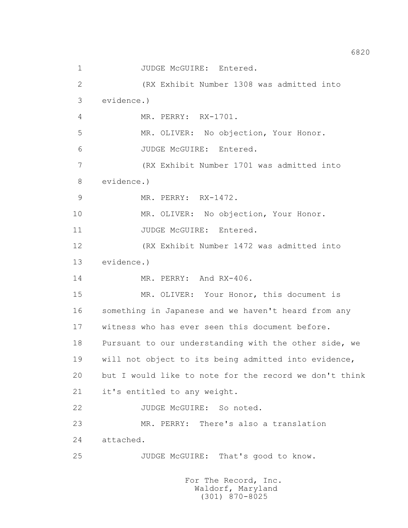1 JUDGE McGUIRE: Entered. 2 (RX Exhibit Number 1308 was admitted into 3 evidence.) 4 MR. PERRY: RX-1701. 5 MR. OLIVER: No objection, Your Honor. 6 JUDGE McGUIRE: Entered. 7 (RX Exhibit Number 1701 was admitted into 8 evidence.) 9 MR. PERRY: RX-1472. 10 MR. OLIVER: No objection, Your Honor. 11 JUDGE McGUIRE: Entered. 12 (RX Exhibit Number 1472 was admitted into 13 evidence.) 14 MR. PERRY: And RX-406. 15 MR. OLIVER: Your Honor, this document is 16 something in Japanese and we haven't heard from any 17 witness who has ever seen this document before. 18 Pursuant to our understanding with the other side, we 19 will not object to its being admitted into evidence, 20 but I would like to note for the record we don't think 21 it's entitled to any weight. 22 JUDGE McGUIRE: So noted. 23 MR. PERRY: There's also a translation 24 attached. 25 JUDGE McGUIRE: That's good to know. For The Record, Inc. Waldorf, Maryland

(301) 870-8025

6820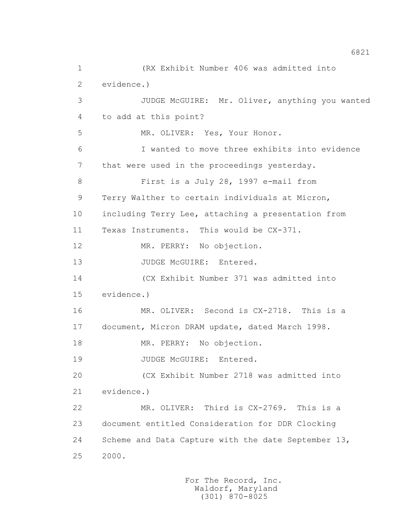1 (RX Exhibit Number 406 was admitted into 2 evidence.) 3 JUDGE McGUIRE: Mr. Oliver, anything you wanted 4 to add at this point? 5 MR. OLIVER: Yes, Your Honor. 6 I wanted to move three exhibits into evidence 7 that were used in the proceedings yesterday. 8 First is a July 28, 1997 e-mail from 9 Terry Walther to certain individuals at Micron, 10 including Terry Lee, attaching a presentation from 11 Texas Instruments. This would be CX-371. 12 MR. PERRY: No objection. 13 JUDGE McGUIRE: Entered. 14 (CX Exhibit Number 371 was admitted into 15 evidence.) 16 MR. OLIVER: Second is CX-2718. This is a 17 document, Micron DRAM update, dated March 1998. 18 MR. PERRY: No objection. 19 JUDGE McGUIRE: Entered. 20 (CX Exhibit Number 2718 was admitted into 21 evidence.) 22 MR. OLIVER: Third is CX-2769. This is a 23 document entitled Consideration for DDR Clocking 24 Scheme and Data Capture with the date September 13, 25 2000.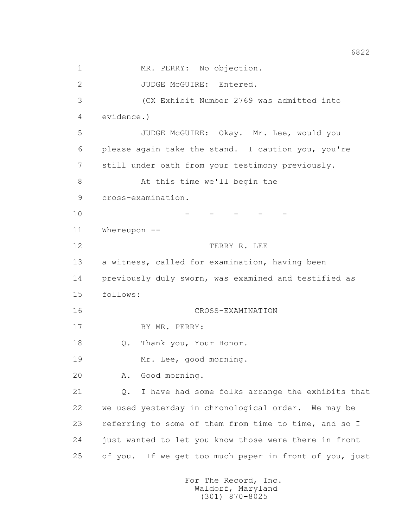1 MR. PERRY: No objection. 2 JUDGE McGUIRE: Entered. 3 (CX Exhibit Number 2769 was admitted into 4 evidence.) 5 JUDGE McGUIRE: Okay. Mr. Lee, would you 6 please again take the stand. I caution you, you're 7 still under oath from your testimony previously. 8 At this time we'll begin the 9 cross-examination.  $10$  - - - - - 11 Whereupon -- 12 TERRY R. LEE 13 a witness, called for examination, having been 14 previously duly sworn, was examined and testified as 15 follows: 16 CROSS-EXAMINATION 17 BY MR. PERRY: 18 Q. Thank you, Your Honor. 19 Mr. Lee, good morning. 20 A. Good morning. 21 Q. I have had some folks arrange the exhibits that 22 we used yesterday in chronological order. We may be 23 referring to some of them from time to time, and so I 24 just wanted to let you know those were there in front 25 of you. If we get too much paper in front of you, just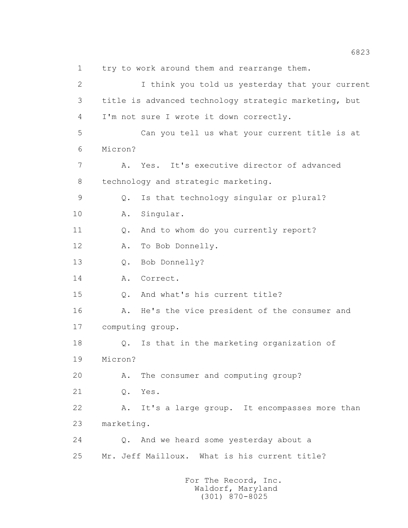1 try to work around them and rearrange them. 2 I think you told us yesterday that your current 3 title is advanced technology strategic marketing, but 4 I'm not sure I wrote it down correctly. 5 Can you tell us what your current title is at 6 Micron? 7 A. Yes. It's executive director of advanced 8 technology and strategic marketing. 9 Q. Is that technology singular or plural? 10 A. Singular. 11 Q. And to whom do you currently report? 12 A. To Bob Donnelly. 13 O. Bob Donnelly? 14 A. Correct. 15 Q. And what's his current title? 16 A. He's the vice president of the consumer and 17 computing group. 18 Q. Is that in the marketing organization of 19 Micron? 20 A. The consumer and computing group? 21 Q. Yes. 22 A. It's a large group. It encompasses more than 23 marketing. 24 Q. And we heard some yesterday about a 25 Mr. Jeff Mailloux. What is his current title? For The Record, Inc.

 Waldorf, Maryland (301) 870-8025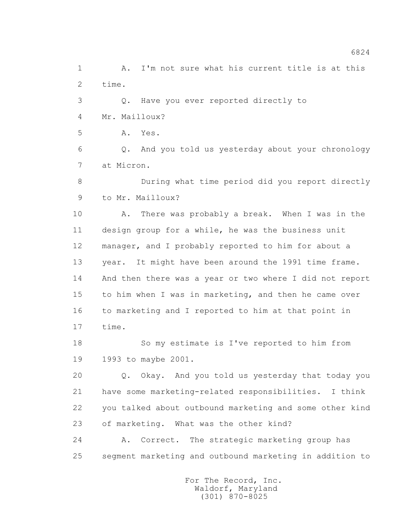1 A. I'm not sure what his current title is at this 2 time.

 3 Q. Have you ever reported directly to 4 Mr. Mailloux?

5 A. Yes.

 6 Q. And you told us yesterday about your chronology 7 at Micron.

 8 During what time period did you report directly 9 to Mr. Mailloux?

 10 A. There was probably a break. When I was in the 11 design group for a while, he was the business unit 12 manager, and I probably reported to him for about a 13 year. It might have been around the 1991 time frame. 14 And then there was a year or two where I did not report 15 to him when I was in marketing, and then he came over 16 to marketing and I reported to him at that point in 17 time.

 18 So my estimate is I've reported to him from 19 1993 to maybe 2001.

 20 Q. Okay. And you told us yesterday that today you 21 have some marketing-related responsibilities. I think 22 you talked about outbound marketing and some other kind 23 of marketing. What was the other kind?

 24 A. Correct. The strategic marketing group has 25 segment marketing and outbound marketing in addition to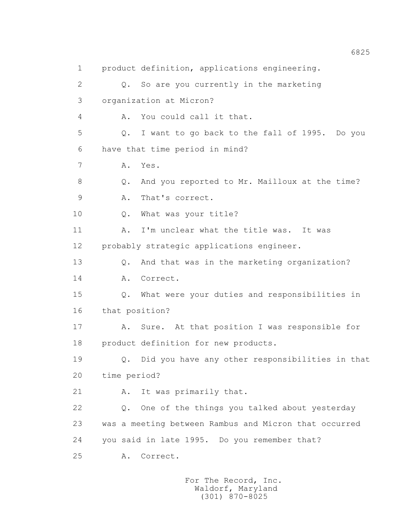1 product definition, applications engineering. 2 Q. So are you currently in the marketing 3 organization at Micron? 4 A. You could call it that. 5 Q. I want to go back to the fall of 1995. Do you 6 have that time period in mind? 7 A. Yes. 8 Q. And you reported to Mr. Mailloux at the time? 9 A. That's correct. 10 0. What was your title? 11 A. I'm unclear what the title was. It was 12 probably strategic applications engineer. 13 0. And that was in the marketing organization? 14 A. Correct. 15 Q. What were your duties and responsibilities in 16 that position? 17 A. Sure. At that position I was responsible for 18 product definition for new products. 19 Q. Did you have any other responsibilities in that 20 time period? 21 A. It was primarily that. 22 Q. One of the things you talked about yesterday 23 was a meeting between Rambus and Micron that occurred 24 you said in late 1995. Do you remember that? 25 A. Correct.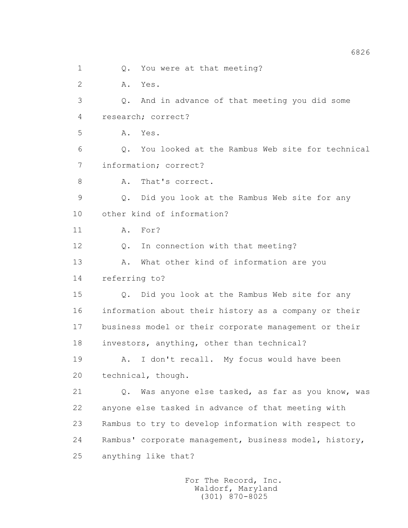1 Q. You were at that meeting? 2 A. Yes. 3 Q. And in advance of that meeting you did some 4 research; correct? 5 A. Yes. 6 Q. You looked at the Rambus Web site for technical 7 information; correct? 8 A. That's correct. 9 Q. Did you look at the Rambus Web site for any 10 other kind of information? 11 A. For? 12 Q. In connection with that meeting? 13 A. What other kind of information are you 14 referring to? 15 Q. Did you look at the Rambus Web site for any 16 information about their history as a company or their 17 business model or their corporate management or their 18 investors, anything, other than technical? 19 A. I don't recall. My focus would have been 20 technical, though. 21 Q. Was anyone else tasked, as far as you know, was 22 anyone else tasked in advance of that meeting with 23 Rambus to try to develop information with respect to 24 Rambus' corporate management, business model, history, 25 anything like that?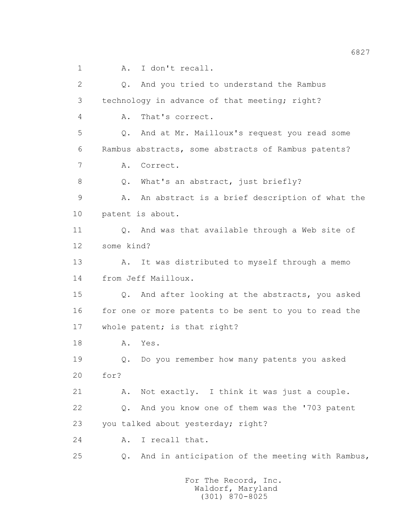1 A. I don't recall.

 2 Q. And you tried to understand the Rambus 3 technology in advance of that meeting; right? 4 A. That's correct. 5 Q. And at Mr. Mailloux's request you read some 6 Rambus abstracts, some abstracts of Rambus patents? 7 A. Correct. 8 Q. What's an abstract, just briefly? 9 A. An abstract is a brief description of what the 10 patent is about. 11 Q. And was that available through a Web site of 12 some kind? 13 A. It was distributed to myself through a memo 14 from Jeff Mailloux. 15 Q. And after looking at the abstracts, you asked 16 for one or more patents to be sent to you to read the 17 whole patent; is that right? 18 A. Yes. 19 Q. Do you remember how many patents you asked 20 for? 21 A. Not exactly. I think it was just a couple. 22 Q. And you know one of them was the '703 patent 23 you talked about yesterday; right? 24 A. I recall that. 25 Q. And in anticipation of the meeting with Rambus,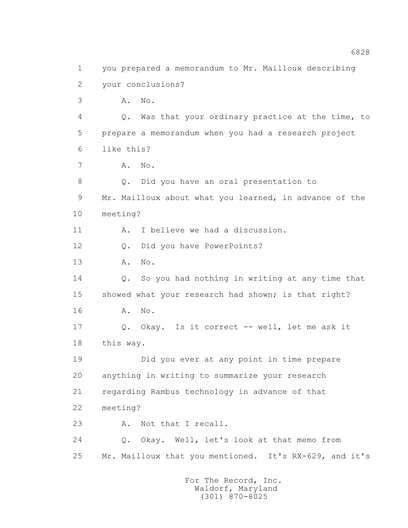1 you prepared a memorandum to Mr. Mailloux describing 2 your conclusions? 3 A. No. 4 Q. Was that your ordinary practice at the time, to 5 prepare a memorandum when you had a research project 6 like this? 7 A. No. 8 Q. Did you have an oral presentation to 9 Mr. Mailloux about what you learned, in advance of the 10 meeting? 11 A. I believe we had a discussion. 12 Q. Did you have PowerPoints? 13 A. No. 14 Q. So you had nothing in writing at any time that 15 showed what your research had shown; is that right? 16 **A.** No. 17 Q. Okay. Is it correct -- well, let me ask it 18 this way. 19 Did you ever at any point in time prepare 20 anything in writing to summarize your research 21 regarding Rambus technology in advance of that 22 meeting? 23 A. Not that I recall. 24 Q. Okay. Well, let's look at that memo from 25 Mr. Mailloux that you mentioned. It's RX-629, and it's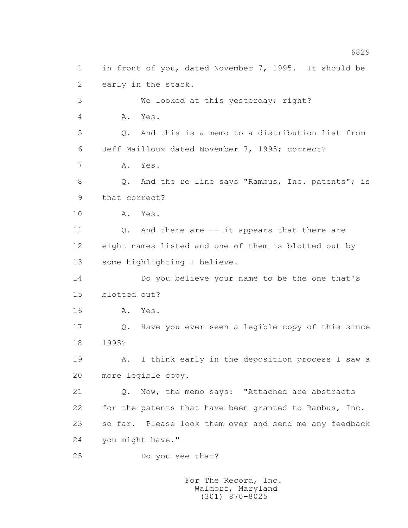1 in front of you, dated November 7, 1995. It should be 2 early in the stack. 3 We looked at this yesterday; right? 4 A. Yes. 5 Q. And this is a memo to a distribution list from 6 Jeff Mailloux dated November 7, 1995; correct? 7 A. Yes. 8 Q. And the re line says "Rambus, Inc. patents"; is 9 that correct? 10 A. Yes. 11 Q. And there are -- it appears that there are 12 eight names listed and one of them is blotted out by 13 some highlighting I believe. 14 Do you believe your name to be the one that's 15 blotted out? 16 A. Yes. 17 Q. Have you ever seen a legible copy of this since 18 1995? 19 A. I think early in the deposition process I saw a 20 more legible copy. 21 Q. Now, the memo says: "Attached are abstracts 22 for the patents that have been granted to Rambus, Inc. 23 so far. Please look them over and send me any feedback 24 you might have." 25 Do you see that?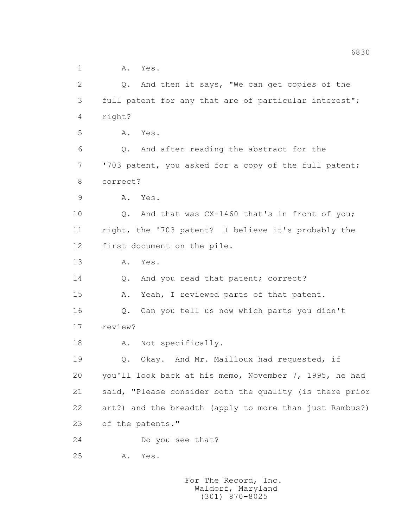1 A. Yes.

 2 Q. And then it says, "We can get copies of the 3 full patent for any that are of particular interest"; 4 right? 5 A. Yes. 6 Q. And after reading the abstract for the 7 '703 patent, you asked for a copy of the full patent; 8 correct? 9 A. Yes. 10 Q. And that was CX-1460 that's in front of you; 11 right, the '703 patent? I believe it's probably the 12 first document on the pile. 13 A. Yes. 14 Q. And you read that patent; correct? 15 A. Yeah, I reviewed parts of that patent. 16 Q. Can you tell us now which parts you didn't 17 review? 18 A. Not specifically. 19 Q. Okay. And Mr. Mailloux had requested, if 20 you'll look back at his memo, November 7, 1995, he had 21 said, "Please consider both the quality (is there prior 22 art?) and the breadth (apply to more than just Rambus?) 23 of the patents." 24 Do you see that? 25 A. Yes.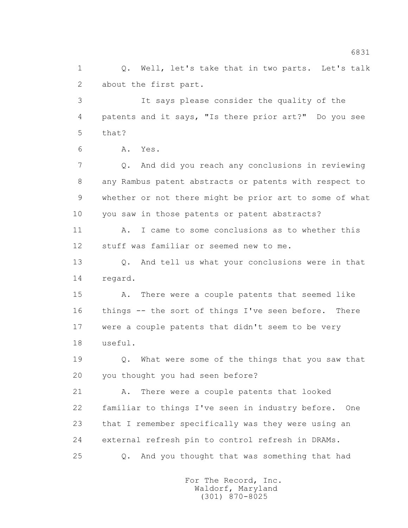1 0. Well, let's take that in two parts. Let's talk 2 about the first part.

 3 It says please consider the quality of the 4 patents and it says, "Is there prior art?" Do you see 5 that?

6 A. Yes.

 7 Q. And did you reach any conclusions in reviewing 8 any Rambus patent abstracts or patents with respect to 9 whether or not there might be prior art to some of what 10 you saw in those patents or patent abstracts?

 11 A. I came to some conclusions as to whether this 12 stuff was familiar or seemed new to me.

13 0. And tell us what your conclusions were in that 14 regard.

 15 A. There were a couple patents that seemed like 16 things -- the sort of things I've seen before. There 17 were a couple patents that didn't seem to be very 18 useful.

 19 Q. What were some of the things that you saw that 20 you thought you had seen before?

 21 A. There were a couple patents that looked 22 familiar to things I've seen in industry before. One 23 that I remember specifically was they were using an 24 external refresh pin to control refresh in DRAMs. 25 Q. And you thought that was something that had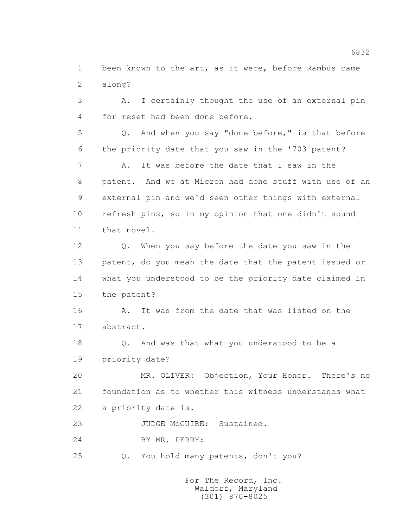1 been known to the art, as it were, before Rambus came 2 along?

 3 A. I certainly thought the use of an external pin 4 for reset had been done before.

 5 Q. And when you say "done before," is that before 6 the priority date that you saw in the '703 patent?

 7 A. It was before the date that I saw in the 8 patent. And we at Micron had done stuff with use of an 9 external pin and we'd seen other things with external 10 refresh pins, so in my opinion that one didn't sound 11 that novel.

 12 Q. When you say before the date you saw in the 13 patent, do you mean the date that the patent issued or 14 what you understood to be the priority date claimed in 15 the patent?

16 A. It was from the date that was listed on the 17 abstract.

 18 Q. And was that what you understood to be a 19 priority date?

 20 MR. OLIVER: Objection, Your Honor. There's no 21 foundation as to whether this witness understands what 22 a priority date is.

23 JUDGE McGUIRE: Sustained.

24 BY MR. PERRY:

25 Q. You hold many patents, don't you?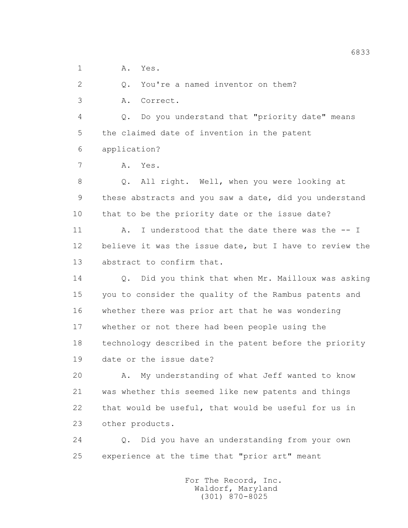1 A. Yes.

2 0. You're a named inventor on them?

3 A. Correct.

 4 Q. Do you understand that "priority date" means 5 the claimed date of invention in the patent 6 application?

7 A. Yes.

 8 Q. All right. Well, when you were looking at 9 these abstracts and you saw a date, did you understand 10 that to be the priority date or the issue date?

11 A. I understood that the date there was the -- I 12 believe it was the issue date, but I have to review the 13 abstract to confirm that.

 14 Q. Did you think that when Mr. Mailloux was asking 15 you to consider the quality of the Rambus patents and 16 whether there was prior art that he was wondering 17 whether or not there had been people using the 18 technology described in the patent before the priority 19 date or the issue date?

 20 A. My understanding of what Jeff wanted to know 21 was whether this seemed like new patents and things 22 that would be useful, that would be useful for us in 23 other products.

 24 Q. Did you have an understanding from your own 25 experience at the time that "prior art" meant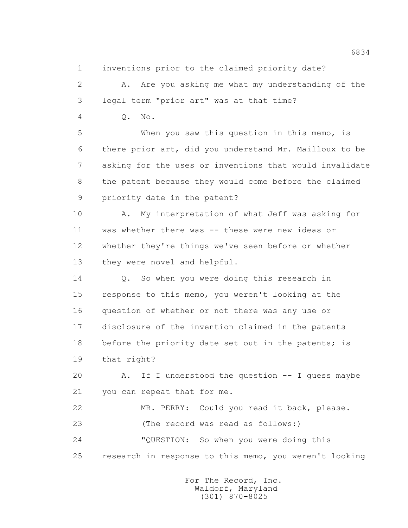1 inventions prior to the claimed priority date?

2 A. Are you asking me what my understanding of the 3 legal term "prior art" was at that time?

4 Q. No.

 5 When you saw this question in this memo, is 6 there prior art, did you understand Mr. Mailloux to be 7 asking for the uses or inventions that would invalidate 8 the patent because they would come before the claimed 9 priority date in the patent?

 10 A. My interpretation of what Jeff was asking for 11 was whether there was -- these were new ideas or 12 whether they're things we've seen before or whether 13 they were novel and helpful.

 14 Q. So when you were doing this research in 15 response to this memo, you weren't looking at the 16 question of whether or not there was any use or 17 disclosure of the invention claimed in the patents 18 before the priority date set out in the patents; is 19 that right?

 20 A. If I understood the question -- I guess maybe 21 you can repeat that for me.

 22 MR. PERRY: Could you read it back, please. 23 (The record was read as follows:) 24 "QUESTION: So when you were doing this 25 research in response to this memo, you weren't looking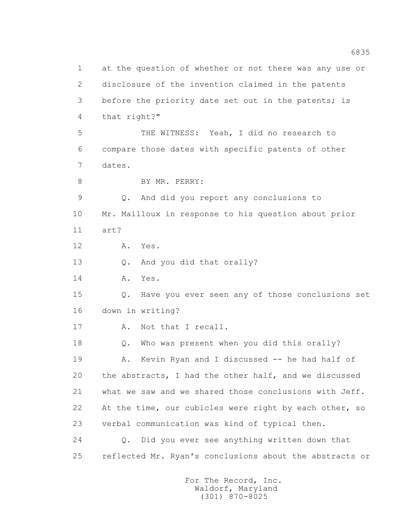1 at the question of whether or not there was any use or 2 disclosure of the invention claimed in the patents 3 before the priority date set out in the patents; is 4 that right?" 5 THE WITNESS: Yeah, I did no research to 6 compare those dates with specific patents of other 7 dates. 8 BY MR. PERRY: 9 Q. And did you report any conclusions to 10 Mr. Mailloux in response to his question about prior 11 art? 12 A. Yes. 13 Q. And you did that orally? 14 A. Yes. 15 Q. Have you ever seen any of those conclusions set 16 down in writing? 17 A. Not that I recall. 18 Q. Who was present when you did this orally? 19 A. Kevin Ryan and I discussed -- he had half of 20 the abstracts, I had the other half, and we discussed 21 what we saw and we shared those conclusions with Jeff. 22 At the time, our cubicles were right by each other, so 23 verbal communication was kind of typical then. 24 Q. Did you ever see anything written down that 25 reflected Mr. Ryan's conclusions about the abstracts or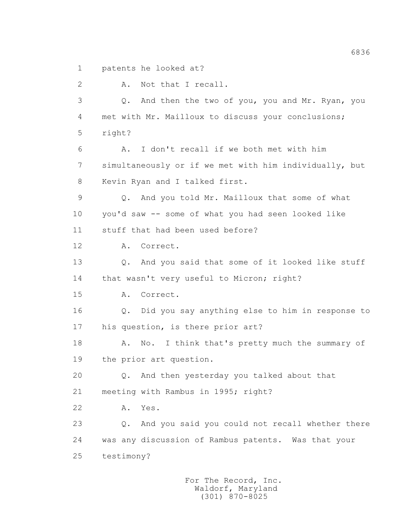1 patents he looked at?

 2 A. Not that I recall. 3 Q. And then the two of you, you and Mr. Ryan, you 4 met with Mr. Mailloux to discuss your conclusions; 5 right? 6 A. I don't recall if we both met with him 7 simultaneously or if we met with him individually, but 8 Kevin Ryan and I talked first. 9 Q. And you told Mr. Mailloux that some of what 10 you'd saw -- some of what you had seen looked like 11 stuff that had been used before? 12 A. Correct. 13 0. And you said that some of it looked like stuff 14 that wasn't very useful to Micron; right? 15 A. Correct. 16 Q. Did you say anything else to him in response to 17 his question, is there prior art? 18 A. No. I think that's pretty much the summary of 19 the prior art question. 20 Q. And then yesterday you talked about that 21 meeting with Rambus in 1995; right? 22 A. Yes. 23 Q. And you said you could not recall whether there 24 was any discussion of Rambus patents. Was that your 25 testimony?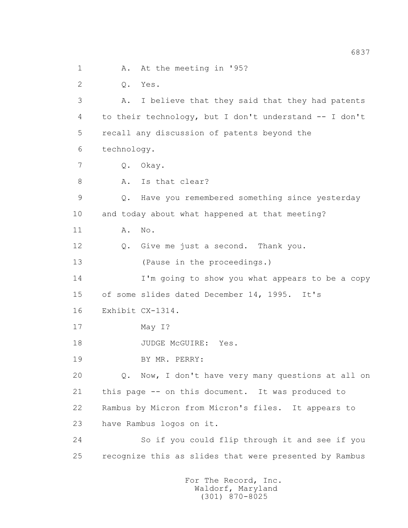1 A. At the meeting in '95? 2 Q. Yes. 3 A. I believe that they said that they had patents 4 to their technology, but I don't understand -- I don't 5 recall any discussion of patents beyond the 6 technology. 7 Q. Okay. 8 A. Is that clear? 9 Q. Have you remembered something since yesterday 10 and today about what happened at that meeting? 11 A. No. 12 Q. Give me just a second. Thank you. 13 (Pause in the proceedings.) 14 I'm going to show you what appears to be a copy 15 of some slides dated December 14, 1995. It's 16 Exhibit CX-1314. 17 May I? 18 JUDGE McGUIRE: Yes. 19 BY MR. PERRY: 20 Q. Now, I don't have very many questions at all on 21 this page -- on this document. It was produced to 22 Rambus by Micron from Micron's files. It appears to 23 have Rambus logos on it. 24 So if you could flip through it and see if you 25 recognize this as slides that were presented by Rambus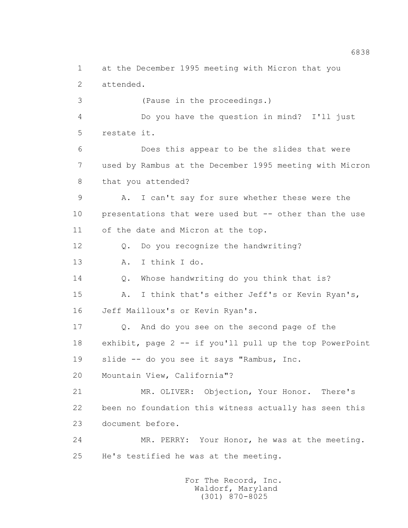1 at the December 1995 meeting with Micron that you 2 attended. 3 (Pause in the proceedings.) 4 Do you have the question in mind? I'll just 5 restate it. 6 Does this appear to be the slides that were 7 used by Rambus at the December 1995 meeting with Micron 8 that you attended? 9 A. I can't say for sure whether these were the 10 presentations that were used but -- other than the use 11 of the date and Micron at the top. 12 Q. Do you recognize the handwriting? 13 A. I think I do. 14 Q. Whose handwriting do you think that is? 15 A. I think that's either Jeff's or Kevin Ryan's, 16 Jeff Mailloux's or Kevin Ryan's. 17 Q. And do you see on the second page of the 18 exhibit, page 2 -- if you'll pull up the top PowerPoint 19 slide -- do you see it says "Rambus, Inc. 20 Mountain View, California"? 21 MR. OLIVER: Objection, Your Honor. There's 22 been no foundation this witness actually has seen this 23 document before. 24 MR. PERRY: Your Honor, he was at the meeting. 25 He's testified he was at the meeting.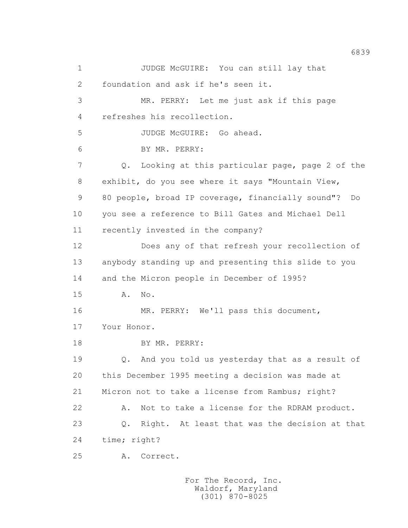1 JUDGE McGUIRE: You can still lay that 2 foundation and ask if he's seen it. 3 MR. PERRY: Let me just ask if this page 4 refreshes his recollection. 5 JUDGE McGUIRE: Go ahead. 6 BY MR. PERRY: 7 Q. Looking at this particular page, page 2 of the 8 exhibit, do you see where it says "Mountain View, 9 80 people, broad IP coverage, financially sound"? Do 10 you see a reference to Bill Gates and Michael Dell 11 recently invested in the company? 12 Does any of that refresh your recollection of 13 anybody standing up and presenting this slide to you 14 and the Micron people in December of 1995? 15 A. No. 16 MR. PERRY: We'll pass this document, 17 Your Honor. 18 BY MR. PERRY: 19 Q. And you told us yesterday that as a result of 20 this December 1995 meeting a decision was made at 21 Micron not to take a license from Rambus; right? 22 A. Not to take a license for the RDRAM product. 23 Q. Right. At least that was the decision at that 24 time; right? 25 A. Correct.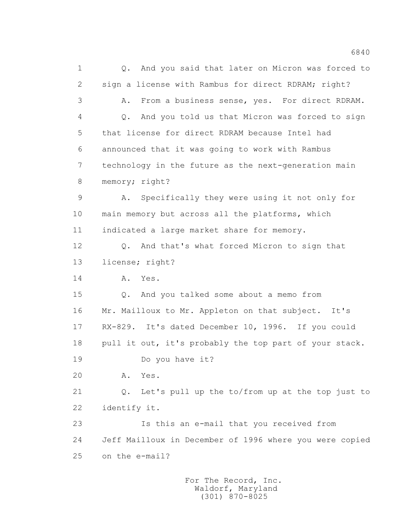1 Q. And you said that later on Micron was forced to 2 sign a license with Rambus for direct RDRAM; right? 3 A. From a business sense, yes. For direct RDRAM. 4 Q. And you told us that Micron was forced to sign 5 that license for direct RDRAM because Intel had 6 announced that it was going to work with Rambus 7 technology in the future as the next-generation main 8 memory; right? 9 A. Specifically they were using it not only for 10 main memory but across all the platforms, which 11 indicated a large market share for memory. 12 Q. And that's what forced Micron to sign that 13 license; right? 14 A. Yes. 15 Q. And you talked some about a memo from 16 Mr. Mailloux to Mr. Appleton on that subject. It's 17 RX-829. It's dated December 10, 1996. If you could 18 pull it out, it's probably the top part of your stack. 19 Do you have it? 20 A. Yes. 21 Q. Let's pull up the to/from up at the top just to 22 identify it. 23 Is this an e-mail that you received from 24 Jeff Mailloux in December of 1996 where you were copied 25 on the e-mail?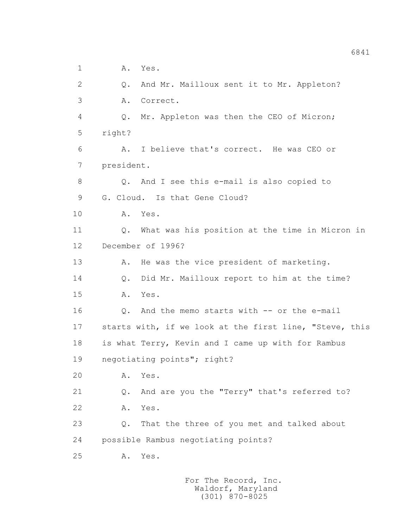1 A. Yes.

 2 Q. And Mr. Mailloux sent it to Mr. Appleton? 3 A. Correct. 4 Q. Mr. Appleton was then the CEO of Micron; 5 right? 6 A. I believe that's correct. He was CEO or 7 president. 8 Q. And I see this e-mail is also copied to 9 G. Cloud. Is that Gene Cloud? 10 A. Yes. 11 Q. What was his position at the time in Micron in 12 December of 1996? 13 A. He was the vice president of marketing. 14 Q. Did Mr. Mailloux report to him at the time? 15 A. Yes. 16 0. And the memo starts with -- or the e-mail 17 starts with, if we look at the first line, "Steve, this 18 is what Terry, Kevin and I came up with for Rambus 19 negotiating points"; right? 20 A. Yes. 21 Q. And are you the "Terry" that's referred to? 22 A. Yes. 23 Q. That the three of you met and talked about 24 possible Rambus negotiating points? 25 A. Yes.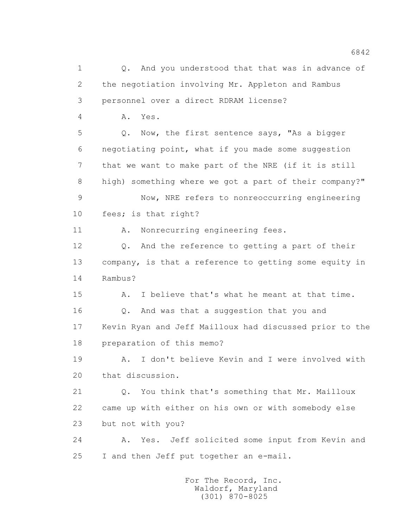1 0. And you understood that that was in advance of 2 the negotiation involving Mr. Appleton and Rambus 3 personnel over a direct RDRAM license? 4 A. Yes. 5 Q. Now, the first sentence says, "As a bigger 6 negotiating point, what if you made some suggestion 7 that we want to make part of the NRE (if it is still 8 high) something where we got a part of their company?" 9 Now, NRE refers to nonreoccurring engineering 10 fees; is that right? 11 A. Nonrecurring engineering fees. 12 Q. And the reference to getting a part of their 13 company, is that a reference to getting some equity in 14 Rambus? 15 A. I believe that's what he meant at that time. 16 Q. And was that a suggestion that you and 17 Kevin Ryan and Jeff Mailloux had discussed prior to the 18 preparation of this memo? 19 A. I don't believe Kevin and I were involved with 20 that discussion. 21 Q. You think that's something that Mr. Mailloux 22 came up with either on his own or with somebody else 23 but not with you? 24 A. Yes. Jeff solicited some input from Kevin and 25 I and then Jeff put together an e-mail.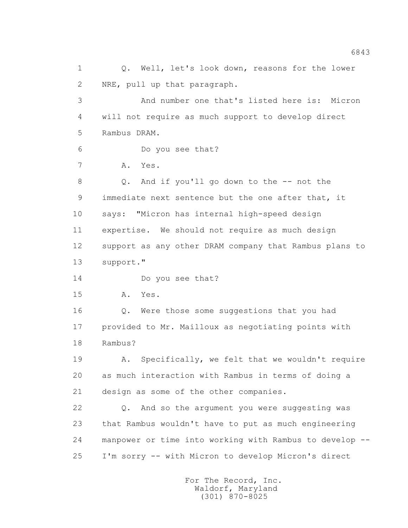1 Q. Well, let's look down, reasons for the lower 2 NRE, pull up that paragraph. 3 And number one that's listed here is: Micron 4 will not require as much support to develop direct 5 Rambus DRAM. 6 Do you see that? 7 A. Yes. 8 Q. And if you'll go down to the -- not the 9 immediate next sentence but the one after that, it 10 says: "Micron has internal high-speed design 11 expertise. We should not require as much design 12 support as any other DRAM company that Rambus plans to 13 support." 14 Do you see that? 15 A. Yes. 16 Q. Were those some suggestions that you had 17 provided to Mr. Mailloux as negotiating points with 18 Rambus? 19 A. Specifically, we felt that we wouldn't require 20 as much interaction with Rambus in terms of doing a 21 design as some of the other companies. 22 Q. And so the argument you were suggesting was 23 that Rambus wouldn't have to put as much engineering 24 manpower or time into working with Rambus to develop -- 25 I'm sorry -- with Micron to develop Micron's direct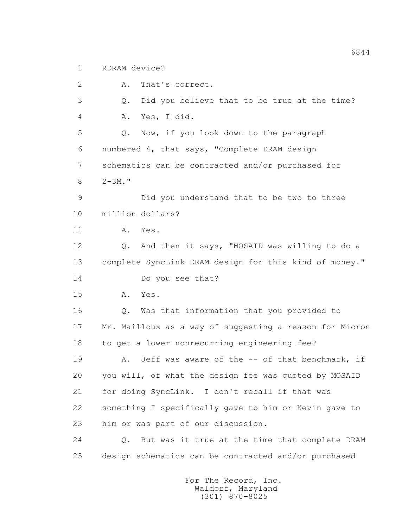1 RDRAM device?

 2 A. That's correct. 3 Q. Did you believe that to be true at the time? 4 A. Yes, I did. 5 Q. Now, if you look down to the paragraph 6 numbered 4, that says, "Complete DRAM design 7 schematics can be contracted and/or purchased for 8  $2-3M$ ." 9 Did you understand that to be two to three 10 million dollars? 11 A. Yes. 12 Q. And then it says, "MOSAID was willing to do a 13 complete SyncLink DRAM design for this kind of money." 14 Do you see that? 15 A. Yes. 16 Q. Was that information that you provided to 17 Mr. Mailloux as a way of suggesting a reason for Micron 18 to get a lower nonrecurring engineering fee? 19 A. Jeff was aware of the -- of that benchmark, if 20 you will, of what the design fee was quoted by MOSAID 21 for doing SyncLink. I don't recall if that was 22 something I specifically gave to him or Kevin gave to 23 him or was part of our discussion. 24 Q. But was it true at the time that complete DRAM 25 design schematics can be contracted and/or purchased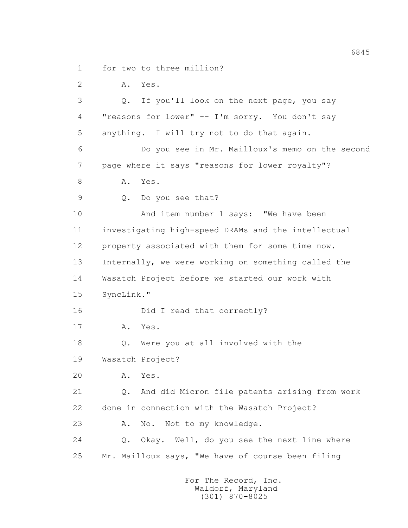1 for two to three million?

2 A. Yes.

 3 Q. If you'll look on the next page, you say 4 "reasons for lower" -- I'm sorry. You don't say 5 anything. I will try not to do that again. 6 Do you see in Mr. Mailloux's memo on the second 7 page where it says "reasons for lower royalty"? 8 A. Yes. 9 Q. Do you see that? 10 And item number 1 says: "We have been 11 investigating high-speed DRAMs and the intellectual 12 property associated with them for some time now. 13 Internally, we were working on something called the 14 Wasatch Project before we started our work with 15 SyncLink." 16 Did I read that correctly? 17 A. Yes. 18 Q. Were you at all involved with the 19 Wasatch Project? 20 A. Yes. 21 Q. And did Micron file patents arising from work 22 done in connection with the Wasatch Project? 23 A. No. Not to my knowledge. 24 Q. Okay. Well, do you see the next line where

25 Mr. Mailloux says, "We have of course been filing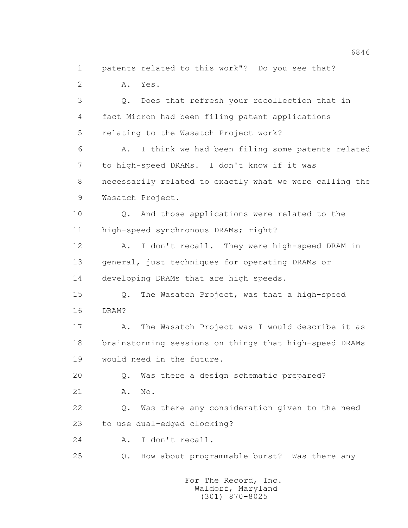1 patents related to this work"? Do you see that? 2 A. Yes. 3 Q. Does that refresh your recollection that in 4 fact Micron had been filing patent applications 5 relating to the Wasatch Project work? 6 A. I think we had been filing some patents related 7 to high-speed DRAMs. I don't know if it was 8 necessarily related to exactly what we were calling the 9 Wasatch Project. 10 0. And those applications were related to the 11 high-speed synchronous DRAMs; right? 12 A. I don't recall. They were high-speed DRAM in 13 general, just techniques for operating DRAMs or 14 developing DRAMs that are high speeds. 15 Q. The Wasatch Project, was that a high-speed 16 DRAM? 17 A. The Wasatch Project was I would describe it as 18 brainstorming sessions on things that high-speed DRAMs 19 would need in the future. 20 Q. Was there a design schematic prepared? 21 A. No. 22 Q. Was there any consideration given to the need 23 to use dual-edged clocking? 24 A. I don't recall. 25 Q. How about programmable burst? Was there any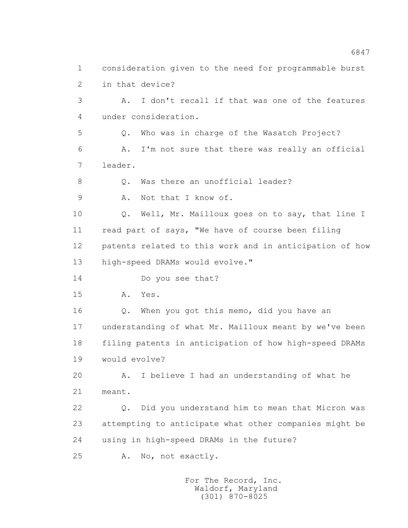1 consideration given to the need for programmable burst 2 in that device? 3 A. I don't recall if that was one of the features 4 under consideration. 5 Q. Who was in charge of the Wasatch Project? 6 A. I'm not sure that there was really an official 7 leader. 8 Q. Was there an unofficial leader? 9 A. Not that I know of. 10 Q. Well, Mr. Mailloux goes on to say, that line I 11 read part of says, "We have of course been filing 12 patents related to this work and in anticipation of how 13 high-speed DRAMs would evolve." 14 Do you see that? 15 A. Yes. 16 Q. When you got this memo, did you have an 17 understanding of what Mr. Mailloux meant by we've been 18 filing patents in anticipation of how high-speed DRAMs 19 would evolve? 20 A. I believe I had an understanding of what he 21 meant. 22 Q. Did you understand him to mean that Micron was 23 attempting to anticipate what other companies might be 24 using in high-speed DRAMs in the future? 25 A. No, not exactly.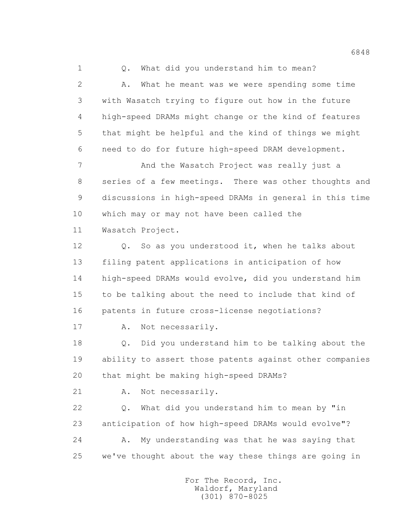1 0. What did you understand him to mean? 2 A. What he meant was we were spending some time 3 with Wasatch trying to figure out how in the future 4 high-speed DRAMs might change or the kind of features 5 that might be helpful and the kind of things we might 6 need to do for future high-speed DRAM development. 7 And the Wasatch Project was really just a

 8 series of a few meetings. There was other thoughts and 9 discussions in high-speed DRAMs in general in this time 10 which may or may not have been called the

11 Wasatch Project.

 12 Q. So as you understood it, when he talks about 13 filing patent applications in anticipation of how 14 high-speed DRAMs would evolve, did you understand him 15 to be talking about the need to include that kind of 16 patents in future cross-license negotiations?

17 A. Not necessarily.

 18 Q. Did you understand him to be talking about the 19 ability to assert those patents against other companies 20 that might be making high-speed DRAMs?

21 A. Not necessarily.

 22 Q. What did you understand him to mean by "in 23 anticipation of how high-speed DRAMs would evolve"? 24 A. My understanding was that he was saying that 25 we've thought about the way these things are going in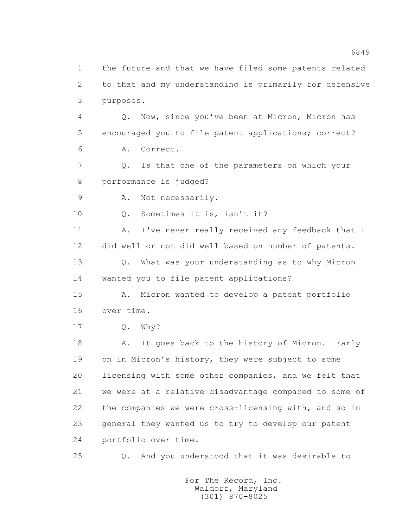1 the future and that we have filed some patents related 2 to that and my understanding is primarily for defensive 3 purposes. 4 Q. Now, since you've been at Micron, Micron has 5 encouraged you to file patent applications; correct? 6 A. Correct. 7 Q. Is that one of the parameters on which your 8 performance is judged? 9 A. Not necessarily. 10 0. Sometimes it is, isn't it? 11 A. I've never really received any feedback that I 12 did well or not did well based on number of patents. 13 Q. What was your understanding as to why Micron 14 wanted you to file patent applications? 15 A. Micron wanted to develop a patent portfolio 16 over time. 17 Q. Why? 18 A. It goes back to the history of Micron. Early 19 on in Micron's history, they were subject to some 20 licensing with some other companies, and we felt that 21 we were at a relative disadvantage compared to some of 22 the companies we were cross-licensing with, and so in 23 general they wanted us to try to develop our patent 24 portfolio over time. 25 Q. And you understood that it was desirable to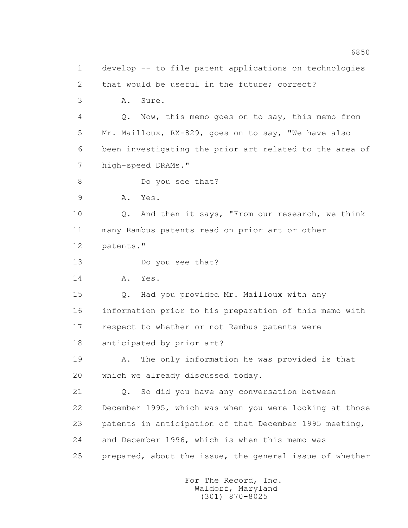1 develop -- to file patent applications on technologies 2 that would be useful in the future; correct? 3 A. Sure. 4 Q. Now, this memo goes on to say, this memo from 5 Mr. Mailloux, RX-829, goes on to say, "We have also 6 been investigating the prior art related to the area of 7 high-speed DRAMs." 8 Do you see that? 9 A. Yes. 10 Q. And then it says, "From our research, we think 11 many Rambus patents read on prior art or other 12 patents." 13 Do you see that? 14 A. Yes. 15 Q. Had you provided Mr. Mailloux with any 16 information prior to his preparation of this memo with 17 respect to whether or not Rambus patents were 18 anticipated by prior art? 19 A. The only information he was provided is that 20 which we already discussed today. 21 Q. So did you have any conversation between 22 December 1995, which was when you were looking at those 23 patents in anticipation of that December 1995 meeting, 24 and December 1996, which is when this memo was 25 prepared, about the issue, the general issue of whether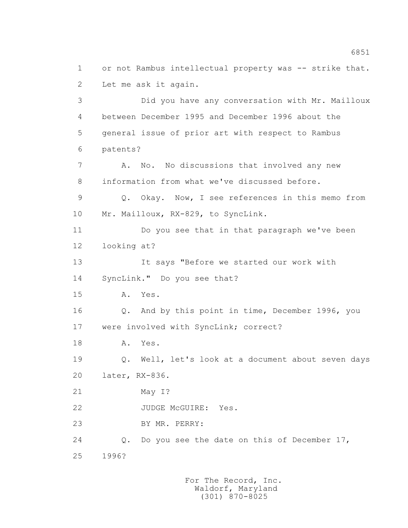1 or not Rambus intellectual property was -- strike that. 2 Let me ask it again. 3 Did you have any conversation with Mr. Mailloux 4 between December 1995 and December 1996 about the 5 general issue of prior art with respect to Rambus 6 patents? 7 A. No. No discussions that involved any new 8 information from what we've discussed before. 9 Q. Okay. Now, I see references in this memo from 10 Mr. Mailloux, RX-829, to SyncLink. 11 Do you see that in that paragraph we've been 12 looking at? 13 It says "Before we started our work with 14 SyncLink." Do you see that? 15 A. Yes. 16 Q. And by this point in time, December 1996, you 17 were involved with SyncLink; correct? 18 A. Yes. 19 Q. Well, let's look at a document about seven days 20 later, RX-836. 21 May I? 22 JUDGE McGUIRE: Yes. 23 BY MR. PERRY: 24 Q. Do you see the date on this of December 17, 25 1996?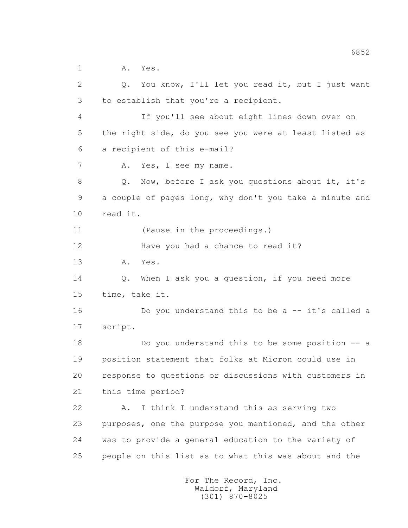1 A. Yes.

 2 Q. You know, I'll let you read it, but I just want 3 to establish that you're a recipient. 4 If you'll see about eight lines down over on 5 the right side, do you see you were at least listed as 6 a recipient of this e-mail? 7 A. Yes, I see my name. 8 Q. Now, before I ask you questions about it, it's 9 a couple of pages long, why don't you take a minute and 10 read it. 11 (Pause in the proceedings.) 12 Have you had a chance to read it? 13 A. Yes. 14 Q. When I ask you a question, if you need more 15 time, take it. 16 **Do you understand this to be a -- it's called a**  17 script. 18 Do you understand this to be some position -- a 19 position statement that folks at Micron could use in 20 response to questions or discussions with customers in 21 this time period? 22 A. I think I understand this as serving two 23 purposes, one the purpose you mentioned, and the other 24 was to provide a general education to the variety of 25 people on this list as to what this was about and the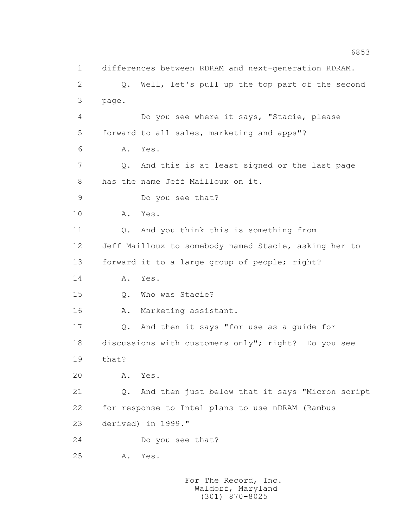1 differences between RDRAM and next-generation RDRAM. 2 Q. Well, let's pull up the top part of the second 3 page. 4 Do you see where it says, "Stacie, please 5 forward to all sales, marketing and apps"? 6 A. Yes. 7 Q. And this is at least signed or the last page 8 has the name Jeff Mailloux on it. 9 Do you see that? 10 A. Yes. 11 Q. And you think this is something from 12 Jeff Mailloux to somebody named Stacie, asking her to 13 forward it to a large group of people; right? 14 A. Yes. 15 Q. Who was Stacie? 16 A. Marketing assistant. 17 Q. And then it says "for use as a guide for 18 discussions with customers only"; right? Do you see 19 that? 20 A. Yes. 21 Q. And then just below that it says "Micron script 22 for response to Intel plans to use nDRAM (Rambus 23 derived) in 1999." 24 Do you see that? 25 A. Yes.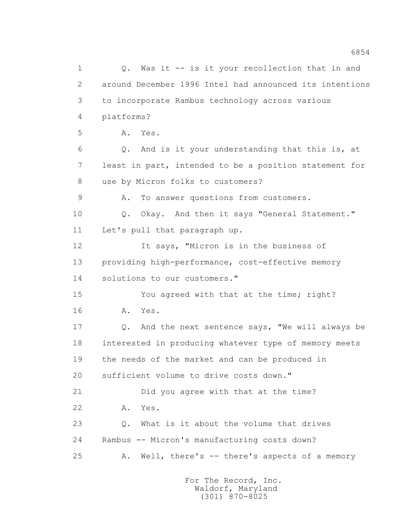1 Q. Was it -- is it your recollection that in and 2 around December 1996 Intel had announced its intentions 3 to incorporate Rambus technology across various 4 platforms? 5 A. Yes. 6 Q. And is it your understanding that this is, at 7 least in part, intended to be a position statement for 8 use by Micron folks to customers? 9 A. To answer questions from customers. 10 0. Okay. And then it says "General Statement." 11 Let's pull that paragraph up. 12 It says, "Micron is in the business of 13 providing high-performance, cost-effective memory 14 solutions to our customers." 15 You agreed with that at the time; right? 16 A. Yes. 17 Q. And the next sentence says, "We will always be 18 interested in producing whatever type of memory meets 19 the needs of the market and can be produced in 20 sufficient volume to drive costs down." 21 Did you agree with that at the time? 22 A. Yes. 23 Q. What is it about the volume that drives 24 Rambus -- Micron's manufacturing costs down? 25 A. Well, there's -- there's aspects of a memory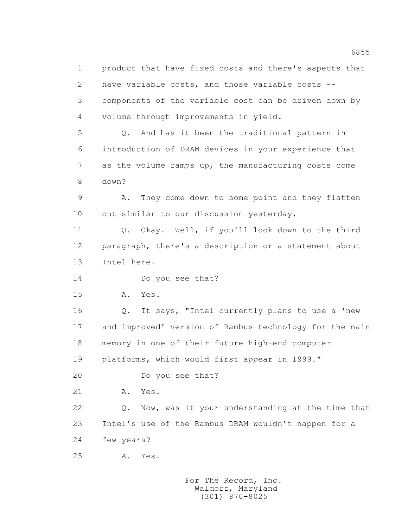1 product that have fixed costs and there's aspects that 2 have variable costs, and those variable costs -- 3 components of the variable cost can be driven down by 4 volume through improvements in yield. 5 Q. And has it been the traditional pattern in 6 introduction of DRAM devices in your experience that 7 as the volume ramps up, the manufacturing costs come 8 down? 9 A. They come down to some point and they flatten 10 out similar to our discussion yesterday. 11 Q. Okay. Well, if you'll look down to the third 12 paragraph, there's a description or a statement about 13 Intel here. 14 Do you see that? 15 A. Yes. 16 Q. It says, "Intel currently plans to use a 'new 17 and improved' version of Rambus technology for the main 18 memory in one of their future high-end computer 19 platforms, which would first appear in 1999." 20 Do you see that? 21 A. Yes. 22 Q. Now, was it your understanding at the time that 23 Intel's use of the Rambus DRAM wouldn't happen for a 24 few years? 25 A. Yes.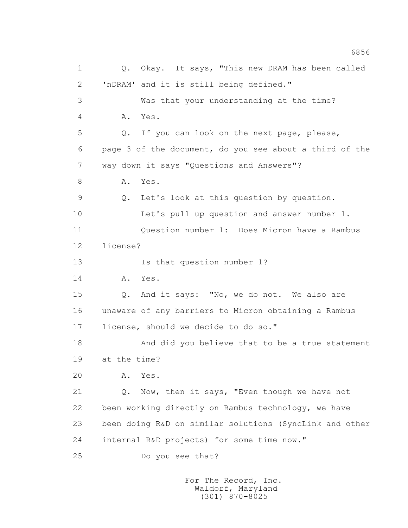1 Q. Okay. It says, "This new DRAM has been called 2 'nDRAM' and it is still being defined." 3 Was that your understanding at the time? 4 A. Yes. 5 Q. If you can look on the next page, please, 6 page 3 of the document, do you see about a third of the 7 way down it says "Questions and Answers"? 8 A. Yes. 9 Q. Let's look at this question by question. 10 Let's pull up question and answer number 1. 11 Question number 1: Does Micron have a Rambus 12 license? 13 Is that question number 1? 14 A. Yes. 15 Q. And it says: "No, we do not. We also are 16 unaware of any barriers to Micron obtaining a Rambus 17 license, should we decide to do so." 18 And did you believe that to be a true statement 19 at the time? 20 A. Yes. 21 Q. Now, then it says, "Even though we have not 22 been working directly on Rambus technology, we have 23 been doing R&D on similar solutions (SyncLink and other 24 internal R&D projects) for some time now." 25 Do you see that?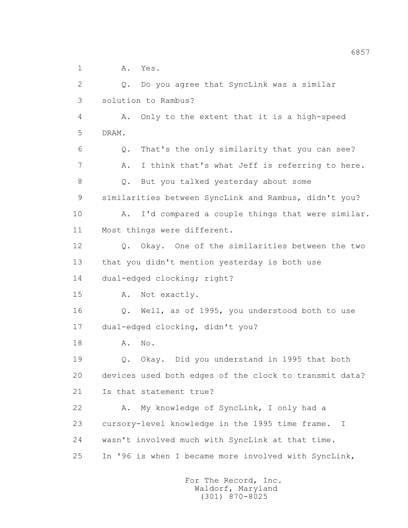1 A. Yes.

 2 Q. Do you agree that SyncLink was a similar 3 solution to Rambus? 4 A. Only to the extent that it is a high-speed 5 DRAM. 6 Q. That's the only similarity that you can see? 7 A. I think that's what Jeff is referring to here. 8 Q. But you talked yesterday about some 9 similarities between SyncLink and Rambus, didn't you? 10 A. I'd compared a couple things that were similar. 11 Most things were different. 12 Q. Okay. One of the similarities between the two 13 that you didn't mention yesterday is both use 14 dual-edged clocking; right? 15 A. Not exactly. 16 Q. Well, as of 1995, you understood both to use 17 dual-edged clocking, didn't you? 18 A. No. 19 Q. Okay. Did you understand in 1995 that both 20 devices used both edges of the clock to transmit data? 21 Is that statement true? 22 A. My knowledge of SyncLink, I only had a 23 cursory-level knowledge in the 1995 time frame. I 24 wasn't involved much with SyncLink at that time. 25 In '96 is when I became more involved with SyncLink,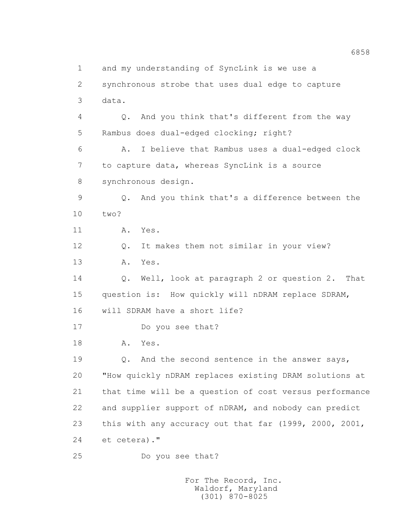1 and my understanding of SyncLink is we use a 2 synchronous strobe that uses dual edge to capture 3 data. 4 Q. And you think that's different from the way 5 Rambus does dual-edged clocking; right? 6 A. I believe that Rambus uses a dual-edged clock 7 to capture data, whereas SyncLink is a source 8 synchronous design. 9 Q. And you think that's a difference between the 10 two? 11 A. Yes. 12 Q. It makes them not similar in your view? 13 A. Yes. 14 Q. Well, look at paragraph 2 or question 2. That 15 question is: How quickly will nDRAM replace SDRAM, 16 will SDRAM have a short life? 17 Do you see that? 18 A. Yes. 19 **Q.** And the second sentence in the answer says, 20 "How quickly nDRAM replaces existing DRAM solutions at 21 that time will be a question of cost versus performance 22 and supplier support of nDRAM, and nobody can predict 23 this with any accuracy out that far (1999, 2000, 2001, 24 et cetera)." 25 Do you see that?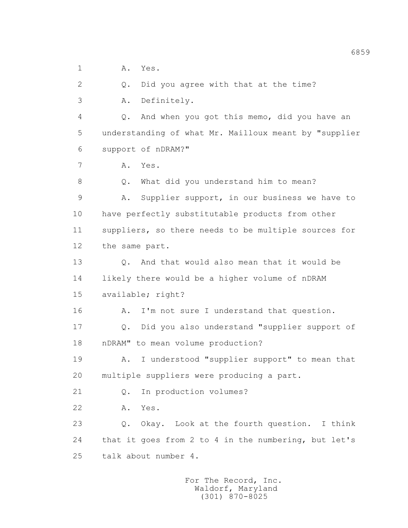1 A. Yes.

2 Q. Did you agree with that at the time?

3 A. Definitely.

 4 Q. And when you got this memo, did you have an 5 understanding of what Mr. Mailloux meant by "supplier 6 support of nDRAM?"

7 A. Yes.

8 Q. What did you understand him to mean?

 9 A. Supplier support, in our business we have to 10 have perfectly substitutable products from other 11 suppliers, so there needs to be multiple sources for 12 the same part.

 13 Q. And that would also mean that it would be 14 likely there would be a higher volume of nDRAM 15 available; right?

16 A. I'm not sure I understand that question.

 17 Q. Did you also understand "supplier support of 18 nDRAM" to mean volume production?

 19 A. I understood "supplier support" to mean that 20 multiple suppliers were producing a part.

21 Q. In production volumes?

22 A. Yes.

 23 Q. Okay. Look at the fourth question. I think 24 that it goes from 2 to 4 in the numbering, but let's 25 talk about number 4.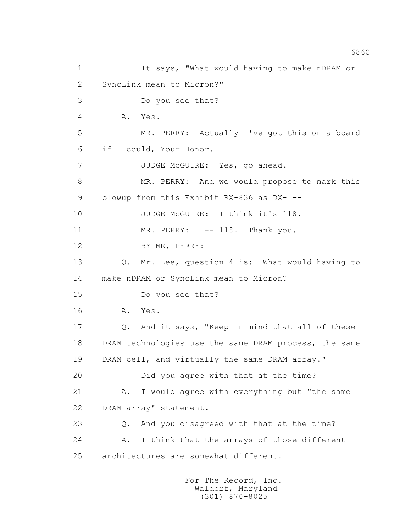1 It says, "What would having to make nDRAM or 2 SyncLink mean to Micron?" 3 Do you see that? 4 A. Yes. 5 MR. PERRY: Actually I've got this on a board 6 if I could, Your Honor. 7 JUDGE McGUIRE: Yes, go ahead. 8 MR. PERRY: And we would propose to mark this 9 blowup from this Exhibit RX-836 as DX- --10 JUDGE McGUIRE: I think it's 118. 11 MR. PERRY: -- 118. Thank you. 12 BY MR. PERRY: 13 Q. Mr. Lee, question 4 is: What would having to 14 make nDRAM or SyncLink mean to Micron? 15 Do you see that? 16 A. Yes. 17 Q. And it says, "Keep in mind that all of these 18 DRAM technologies use the same DRAM process, the same 19 DRAM cell, and virtually the same DRAM array." 20 Did you agree with that at the time? 21 A. I would agree with everything but "the same 22 DRAM array" statement. 23 Q. And you disagreed with that at the time? 24 A. I think that the arrays of those different 25 architectures are somewhat different.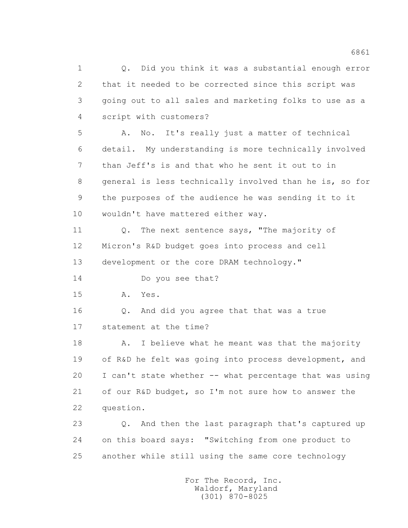1 Q. Did you think it was a substantial enough error 2 that it needed to be corrected since this script was 3 going out to all sales and marketing folks to use as a 4 script with customers? 5 A. No. It's really just a matter of technical 6 detail. My understanding is more technically involved 7 than Jeff's is and that who he sent it out to in 8 general is less technically involved than he is, so for 9 the purposes of the audience he was sending it to it 10 wouldn't have mattered either way. 11 Q. The next sentence says, "The majority of 12 Micron's R&D budget goes into process and cell 13 development or the core DRAM technology." 14 Do you see that? 15 A. Yes. 16 Q. And did you agree that that was a true 17 statement at the time? 18 A. I believe what he meant was that the majority 19 of R&D he felt was going into process development, and 20 I can't state whether -- what percentage that was using 21 of our R&D budget, so I'm not sure how to answer the 22 question. 23 Q. And then the last paragraph that's captured up 24 on this board says: "Switching from one product to 25 another while still using the same core technology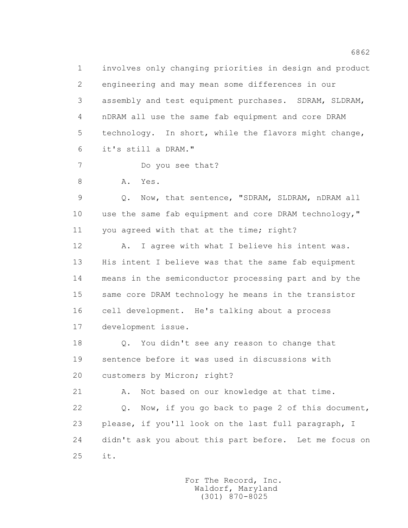1 involves only changing priorities in design and product 2 engineering and may mean some differences in our 3 assembly and test equipment purchases. SDRAM, SLDRAM, 4 nDRAM all use the same fab equipment and core DRAM 5 technology. In short, while the flavors might change, 6 it's still a DRAM."

- 7 Do you see that?
- 8 A. Yes.

 9 Q. Now, that sentence, "SDRAM, SLDRAM, nDRAM all 10 use the same fab equipment and core DRAM technology," 11 you agreed with that at the time; right?

 12 A. I agree with what I believe his intent was. 13 His intent I believe was that the same fab equipment 14 means in the semiconductor processing part and by the 15 same core DRAM technology he means in the transistor 16 cell development. He's talking about a process 17 development issue.

 18 Q. You didn't see any reason to change that 19 sentence before it was used in discussions with 20 customers by Micron; right?

21 A. Not based on our knowledge at that time.

 22 Q. Now, if you go back to page 2 of this document, 23 please, if you'll look on the last full paragraph, I 24 didn't ask you about this part before. Let me focus on 25 it.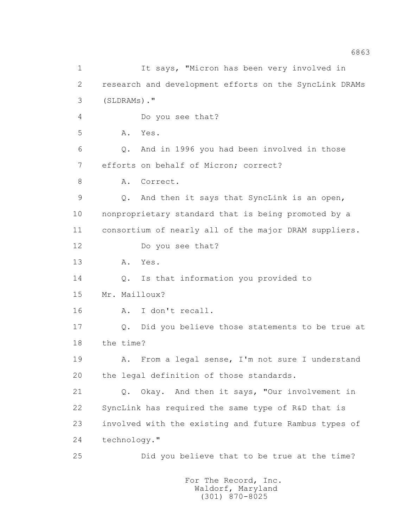1 It says, "Micron has been very involved in 2 research and development efforts on the SyncLink DRAMs 3 (SLDRAMs)." 4 Do you see that? 5 A. Yes. 6 Q. And in 1996 you had been involved in those 7 efforts on behalf of Micron; correct? 8 A. Correct. 9 Q. And then it says that SyncLink is an open, 10 nonproprietary standard that is being promoted by a 11 consortium of nearly all of the major DRAM suppliers. 12 Do you see that? 13 A. Yes. 14 Q. Is that information you provided to 15 Mr. Mailloux? 16 A. I don't recall. 17 Q. Did you believe those statements to be true at 18 the time? 19 A. From a legal sense, I'm not sure I understand 20 the legal definition of those standards. 21 Q. Okay. And then it says, "Our involvement in 22 SyncLink has required the same type of R&D that is 23 involved with the existing and future Rambus types of 24 technology." 25 Did you believe that to be true at the time?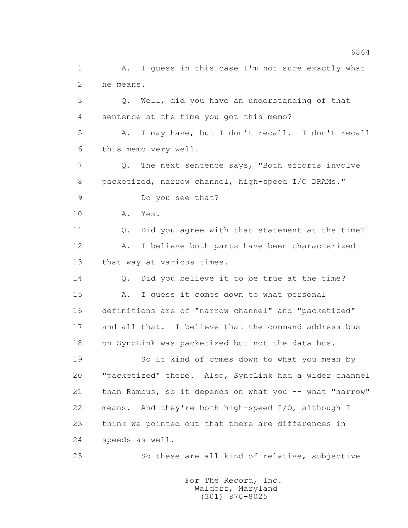2 he means. 3 Q. Well, did you have an understanding of that 4 sentence at the time you got this memo? 5 A. I may have, but I don't recall. I don't recall 6 this memo very well. 7 Q. The next sentence says, "Both efforts involve 8 packetized, narrow channel, high-speed I/O DRAMs." 9 Do you see that? 10 A. Yes.

1 A. I guess in this case I'm not sure exactly what

 11 Q. Did you agree with that statement at the time? 12 A. I believe both parts have been characterized 13 that way at various times.

 14 Q. Did you believe it to be true at the time? 15 A. I guess it comes down to what personal 16 definitions are of "narrow channel" and "packetized" 17 and all that. I believe that the command address bus 18 on SyncLink was packetized but not the data bus.

 19 So it kind of comes down to what you mean by 20 "packetized" there. Also, SyncLink had a wider channel 21 than Rambus, so it depends on what you -- what "narrow" 22 means. And they're both high-speed I/O, although I 23 think we pointed out that there are differences in 24 speeds as well.

25 So these are all kind of relative, subjective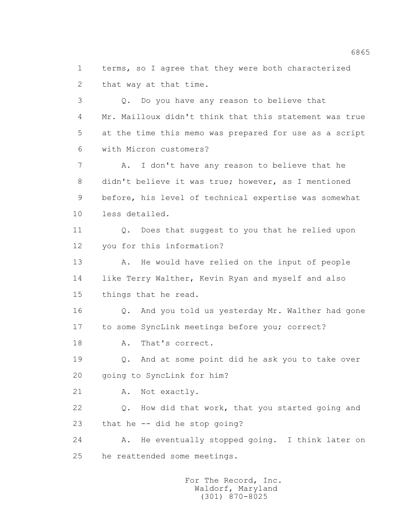1 terms, so I agree that they were both characterized 2 that way at that time.

 3 Q. Do you have any reason to believe that 4 Mr. Mailloux didn't think that this statement was true 5 at the time this memo was prepared for use as a script 6 with Micron customers? 7 A. I don't have any reason to believe that he

 8 didn't believe it was true; however, as I mentioned 9 before, his level of technical expertise was somewhat 10 less detailed.

 11 Q. Does that suggest to you that he relied upon 12 you for this information?

13 A. He would have relied on the input of people 14 like Terry Walther, Kevin Ryan and myself and also 15 things that he read.

 16 Q. And you told us yesterday Mr. Walther had gone 17 to some SyncLink meetings before you; correct?

18 A. That's correct.

 19 Q. And at some point did he ask you to take over 20 going to SyncLink for him?

21 A. Not exactly.

 22 Q. How did that work, that you started going and 23 that he -- did he stop going?

 24 A. He eventually stopped going. I think later on 25 he reattended some meetings.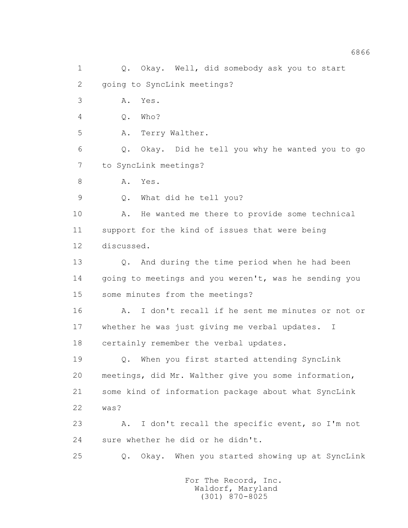1 Q. Okay. Well, did somebody ask you to start 2 going to SyncLink meetings? 3 A. Yes. 4 Q. Who? 5 A. Terry Walther. 6 Q. Okay. Did he tell you why he wanted you to go 7 to SyncLink meetings? 8 A. Yes. 9 Q. What did he tell you? 10 A. He wanted me there to provide some technical 11 support for the kind of issues that were being 12 discussed. 13 0. And during the time period when he had been 14 going to meetings and you weren't, was he sending you 15 some minutes from the meetings? 16 A. I don't recall if he sent me minutes or not or 17 whether he was just giving me verbal updates. I 18 certainly remember the verbal updates. 19 Q. When you first started attending SyncLink 20 meetings, did Mr. Walther give you some information, 21 some kind of information package about what SyncLink 22 was? 23 A. I don't recall the specific event, so I'm not 24 sure whether he did or he didn't. 25 Q. Okay. When you started showing up at SyncLink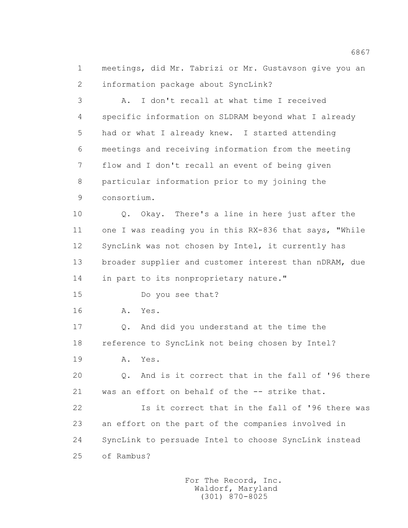1 meetings, did Mr. Tabrizi or Mr. Gustavson give you an 2 information package about SyncLink?

 3 A. I don't recall at what time I received 4 specific information on SLDRAM beyond what I already 5 had or what I already knew. I started attending 6 meetings and receiving information from the meeting 7 flow and I don't recall an event of being given 8 particular information prior to my joining the 9 consortium. 10 Q. Okay. There's a line in here just after the 11 one I was reading you in this RX-836 that says, "While 12 SyncLink was not chosen by Intel, it currently has 13 broader supplier and customer interest than nDRAM, due 14 in part to its nonproprietary nature." 15 Do you see that? 16 A. Yes. 17 Q. And did you understand at the time the 18 reference to SyncLink not being chosen by Intel? 19 A. Yes. 20 Q. And is it correct that in the fall of '96 there 21 was an effort on behalf of the -- strike that. 22 Is it correct that in the fall of '96 there was 23 an effort on the part of the companies involved in 24 SyncLink to persuade Intel to choose SyncLink instead

25 of Rambus?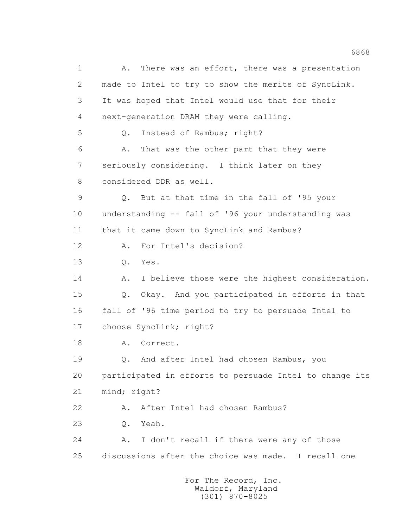1 A. There was an effort, there was a presentation 2 made to Intel to try to show the merits of SyncLink. 3 It was hoped that Intel would use that for their 4 next-generation DRAM they were calling. 5 Q. Instead of Rambus; right? 6 A. That was the other part that they were 7 seriously considering. I think later on they 8 considered DDR as well. 9 Q. But at that time in the fall of '95 your 10 understanding -- fall of '96 your understanding was 11 that it came down to SyncLink and Rambus? 12 A. For Intel's decision? 13 Q. Yes. 14 A. I believe those were the highest consideration. 15 Q. Okay. And you participated in efforts in that 16 fall of '96 time period to try to persuade Intel to 17 choose SyncLink; right? 18 A. Correct. 19 Q. And after Intel had chosen Rambus, you 20 participated in efforts to persuade Intel to change its 21 mind; right? 22 A. After Intel had chosen Rambus? 23 Q. Yeah. 24 A. I don't recall if there were any of those 25 discussions after the choice was made. I recall one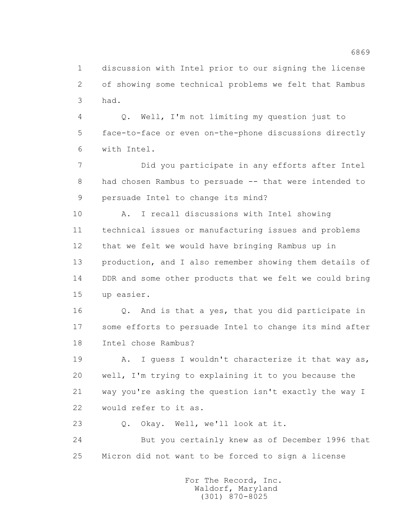1 discussion with Intel prior to our signing the license 2 of showing some technical problems we felt that Rambus 3 had.

 4 Q. Well, I'm not limiting my question just to 5 face-to-face or even on-the-phone discussions directly 6 with Intel.

 7 Did you participate in any efforts after Intel 8 had chosen Rambus to persuade -- that were intended to 9 persuade Intel to change its mind?

 10 A. I recall discussions with Intel showing 11 technical issues or manufacturing issues and problems 12 that we felt we would have bringing Rambus up in 13 production, and I also remember showing them details of 14 DDR and some other products that we felt we could bring 15 up easier.

 16 Q. And is that a yes, that you did participate in 17 some efforts to persuade Intel to change its mind after 18 Intel chose Rambus?

19 A. I guess I wouldn't characterize it that way as, 20 well, I'm trying to explaining it to you because the 21 way you're asking the question isn't exactly the way I 22 would refer to it as.

23 O. Okay. Well, we'll look at it.

 24 But you certainly knew as of December 1996 that 25 Micron did not want to be forced to sign a license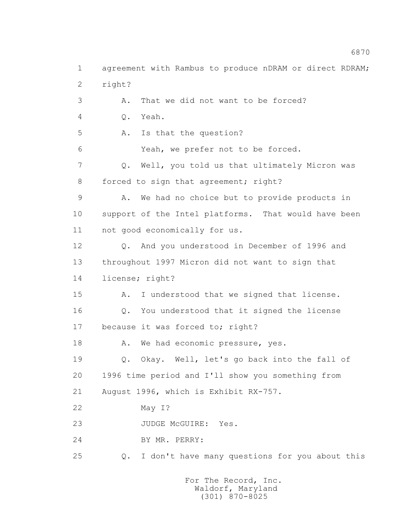1 agreement with Rambus to produce nDRAM or direct RDRAM; 2 right? 3 A. That we did not want to be forced? 4 Q. Yeah. 5 A. Is that the question? 6 Yeah, we prefer not to be forced. 7 Q. Well, you told us that ultimately Micron was 8 forced to sign that agreement; right? 9 A. We had no choice but to provide products in 10 support of the Intel platforms. That would have been 11 not good economically for us. 12 Q. And you understood in December of 1996 and 13 throughout 1997 Micron did not want to sign that 14 license; right? 15 A. I understood that we signed that license. 16 Q. You understood that it signed the license 17 because it was forced to; right? 18 A. We had economic pressure, yes. 19 Q. Okay. Well, let's go back into the fall of 20 1996 time period and I'll show you something from 21 August 1996, which is Exhibit RX-757. 22 May I? 23 JUDGE McGUIRE: Yes. 24 BY MR. PERRY: 25 Q. I don't have many questions for you about this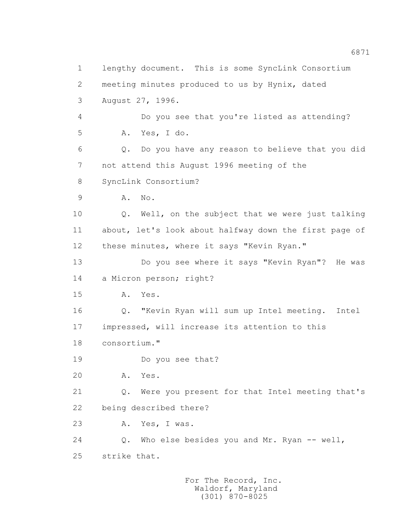1 lengthy document. This is some SyncLink Consortium 2 meeting minutes produced to us by Hynix, dated 3 August 27, 1996. 4 Do you see that you're listed as attending? 5 A. Yes, I do. 6 Q. Do you have any reason to believe that you did 7 not attend this August 1996 meeting of the 8 SyncLink Consortium? 9 A. No. 10 0. Well, on the subject that we were just talking 11 about, let's look about halfway down the first page of 12 these minutes, where it says "Kevin Ryan." 13 Do you see where it says "Kevin Ryan"? He was 14 a Micron person; right? 15 A. Yes. 16 Q. "Kevin Ryan will sum up Intel meeting. Intel 17 impressed, will increase its attention to this 18 consortium." 19 Do you see that? 20 A. Yes. 21 Q. Were you present for that Intel meeting that's 22 being described there? 23 A. Yes, I was. 24 Q. Who else besides you and Mr. Ryan -- well, 25 strike that.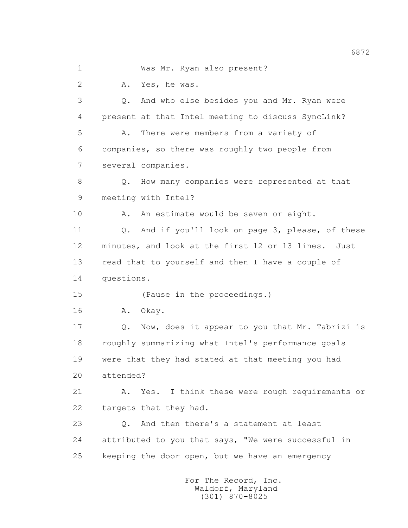1 Was Mr. Ryan also present? 2 A. Yes, he was. 3 Q. And who else besides you and Mr. Ryan were 4 present at that Intel meeting to discuss SyncLink? 5 A. There were members from a variety of 6 companies, so there was roughly two people from 7 several companies. 8 Q. How many companies were represented at that 9 meeting with Intel? 10 A. An estimate would be seven or eight. 11 Q. And if you'll look on page 3, please, of these 12 minutes, and look at the first 12 or 13 lines. Just 13 read that to yourself and then I have a couple of 14 questions. 15 (Pause in the proceedings.) 16 A. Okay. 17 Q. Now, does it appear to you that Mr. Tabrizi is 18 roughly summarizing what Intel's performance goals 19 were that they had stated at that meeting you had 20 attended? 21 A. Yes. I think these were rough requirements or 22 targets that they had. 23 Q. And then there's a statement at least 24 attributed to you that says, "We were successful in 25 keeping the door open, but we have an emergency

 For The Record, Inc. Waldorf, Maryland (301) 870-8025

6872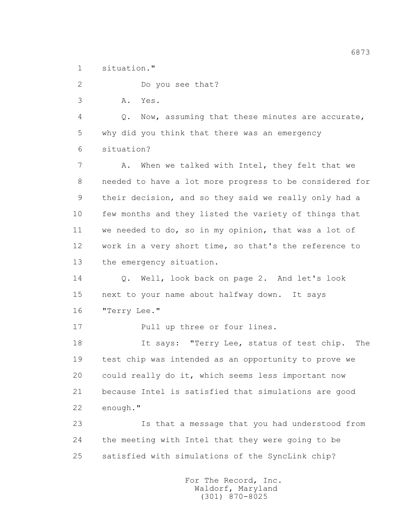1 situation."

2 Do you see that?

3 A. Yes.

 4 Q. Now, assuming that these minutes are accurate, 5 why did you think that there was an emergency 6 situation?

7 A. When we talked with Intel, they felt that we 8 needed to have a lot more progress to be considered for 9 their decision, and so they said we really only had a 10 few months and they listed the variety of things that 11 we needed to do, so in my opinion, that was a lot of 12 work in a very short time, so that's the reference to 13 the emergency situation.

 14 Q. Well, look back on page 2. And let's look 15 next to your name about halfway down. It says 16 "Terry Lee."

17 Pull up three or four lines.

 18 It says: "Terry Lee, status of test chip. The 19 test chip was intended as an opportunity to prove we 20 could really do it, which seems less important now 21 because Intel is satisfied that simulations are good 22 enough."

 23 Is that a message that you had understood from 24 the meeting with Intel that they were going to be 25 satisfied with simulations of the SyncLink chip?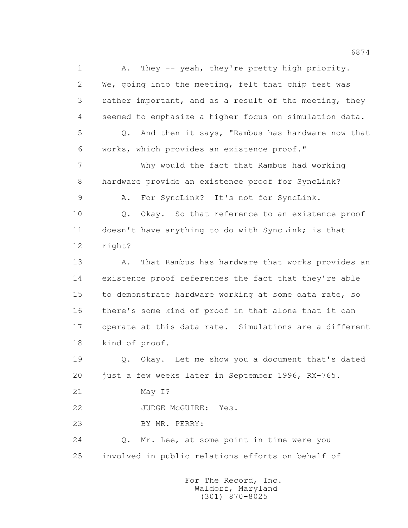1 A. They -- yeah, they're pretty high priority. 2 We, going into the meeting, felt that chip test was 3 rather important, and as a result of the meeting, they 4 seemed to emphasize a higher focus on simulation data. 5 Q. And then it says, "Rambus has hardware now that 6 works, which provides an existence proof." 7 Why would the fact that Rambus had working 8 hardware provide an existence proof for SyncLink? 9 A. For SyncLink? It's not for SyncLink. 10 Q. Okay. So that reference to an existence proof 11 doesn't have anything to do with SyncLink; is that 12 right? 13 A. That Rambus has hardware that works provides an 14 existence proof references the fact that they're able 15 to demonstrate hardware working at some data rate, so 16 there's some kind of proof in that alone that it can 17 operate at this data rate. Simulations are a different 18 kind of proof. 19 Q. Okay. Let me show you a document that's dated 20 just a few weeks later in September 1996, RX-765. 21 May I? 22 JUDGE McGUIRE: Yes. 23 BY MR. PERRY: 24 Q. Mr. Lee, at some point in time were you 25 involved in public relations efforts on behalf of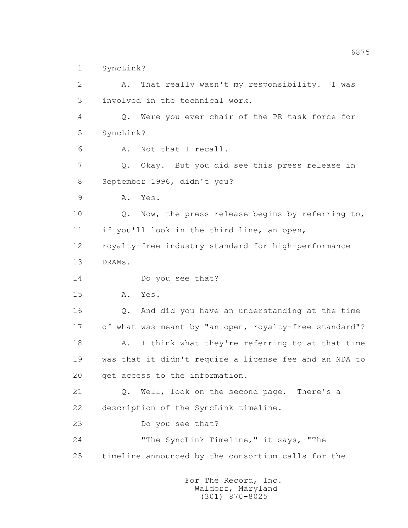1 SyncLink?

 2 A. That really wasn't my responsibility. I was 3 involved in the technical work. 4 Q. Were you ever chair of the PR task force for 5 SyncLink? 6 A. Not that I recall. 7 Q. Okay. But you did see this press release in 8 September 1996, didn't you? 9 A. Yes. 10 0. Now, the press release begins by referring to, 11 if you'll look in the third line, an open, 12 royalty-free industry standard for high-performance 13 DRAMs. 14 Do you see that? 15 A. Yes. 16 Q. And did you have an understanding at the time 17 of what was meant by "an open, royalty-free standard"? 18 A. I think what they're referring to at that time 19 was that it didn't require a license fee and an NDA to 20 get access to the information. 21 Q. Well, look on the second page. There's a 22 description of the SyncLink timeline. 23 Do you see that? 24 "The SyncLink Timeline," it says, "The 25 timeline announced by the consortium calls for the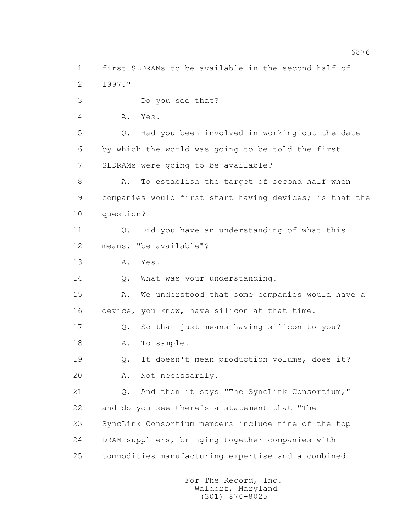1 first SLDRAMs to be available in the second half of 2 1997." 3 Do you see that? 4 A. Yes. 5 Q. Had you been involved in working out the date 6 by which the world was going to be told the first 7 SLDRAMs were going to be available? 8 A. To establish the target of second half when 9 companies would first start having devices; is that the 10 question? 11 Q. Did you have an understanding of what this 12 means, "be available"? 13 A. Yes. 14 Q. What was your understanding? 15 A. We understood that some companies would have a 16 device, you know, have silicon at that time. 17 Q. So that just means having silicon to you? 18 A. To sample. 19 Q. It doesn't mean production volume, does it? 20 A. Not necessarily. 21 Q. And then it says "The SyncLink Consortium," 22 and do you see there's a statement that "The 23 SyncLink Consortium members include nine of the top 24 DRAM suppliers, bringing together companies with 25 commodities manufacturing expertise and a combined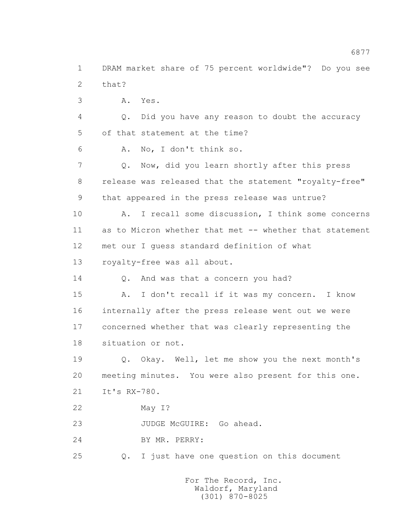1 DRAM market share of 75 percent worldwide"? Do you see 2 that? 3 A. Yes. 4 Q. Did you have any reason to doubt the accuracy 5 of that statement at the time? 6 A. No, I don't think so. 7 Q. Now, did you learn shortly after this press 8 release was released that the statement "royalty-free" 9 that appeared in the press release was untrue? 10 A. I recall some discussion, I think some concerns 11 as to Micron whether that met -- whether that statement 12 met our I guess standard definition of what 13 royalty-free was all about. 14 Q. And was that a concern you had? 15 A. I don't recall if it was my concern. I know 16 internally after the press release went out we were 17 concerned whether that was clearly representing the 18 situation or not. 19 Q. Okay. Well, let me show you the next month's 20 meeting minutes. You were also present for this one. 21 It's RX-780. 22 May I? 23 JUDGE McGUIRE: Go ahead. 24 BY MR. PERRY: 25 Q. I just have one question on this document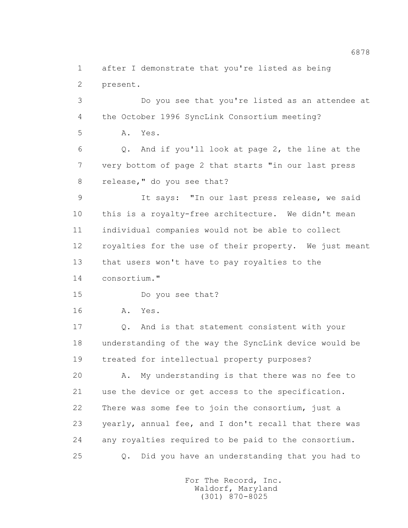1 after I demonstrate that you're listed as being 2 present.

 3 Do you see that you're listed as an attendee at 4 the October 1996 SyncLink Consortium meeting? 5 A. Yes. 6 Q. And if you'll look at page 2, the line at the 7 very bottom of page 2 that starts "in our last press 8 release," do you see that? 9 It says: "In our last press release, we said 10 this is a royalty-free architecture. We didn't mean 11 individual companies would not be able to collect 12 royalties for the use of their property. We just meant 13 that users won't have to pay royalties to the 14 consortium." 15 Do you see that? 16 A. Yes. 17 Q. And is that statement consistent with your 18 understanding of the way the SyncLink device would be 19 treated for intellectual property purposes? 20 A. My understanding is that there was no fee to 21 use the device or get access to the specification. 22 There was some fee to join the consortium, just a 23 yearly, annual fee, and I don't recall that there was 24 any royalties required to be paid to the consortium. 25 Q. Did you have an understanding that you had to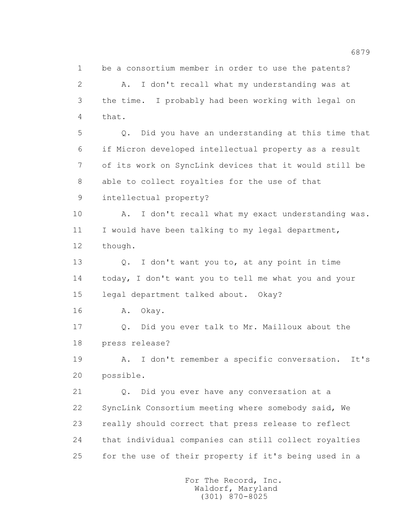1 be a consortium member in order to use the patents? 2 A. I don't recall what my understanding was at 3 the time. I probably had been working with legal on 4 that. 5 Q. Did you have an understanding at this time that 6 if Micron developed intellectual property as a result 7 of its work on SyncLink devices that it would still be 8 able to collect royalties for the use of that 9 intellectual property?

 10 A. I don't recall what my exact understanding was. 11 I would have been talking to my legal department, 12 though.

 13 Q. I don't want you to, at any point in time 14 today, I don't want you to tell me what you and your 15 legal department talked about. Okay?

16 A. Okay.

 17 Q. Did you ever talk to Mr. Mailloux about the 18 press release?

 19 A. I don't remember a specific conversation. It's 20 possible.

 21 Q. Did you ever have any conversation at a 22 SyncLink Consortium meeting where somebody said, We 23 really should correct that press release to reflect 24 that individual companies can still collect royalties 25 for the use of their property if it's being used in a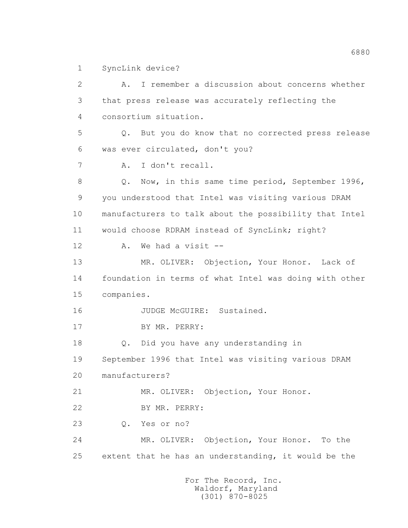1 SyncLink device?

 2 A. I remember a discussion about concerns whether 3 that press release was accurately reflecting the 4 consortium situation. 5 Q. But you do know that no corrected press release 6 was ever circulated, don't you? 7 A. I don't recall. 8 Q. Now, in this same time period, September 1996, 9 you understood that Intel was visiting various DRAM 10 manufacturers to talk about the possibility that Intel 11 would choose RDRAM instead of SyncLink; right? 12 A. We had a visit -- 13 MR. OLIVER: Objection, Your Honor. Lack of 14 foundation in terms of what Intel was doing with other 15 companies. 16 JUDGE McGUIRE: Sustained. 17 BY MR. PERRY: 18 Q. Did you have any understanding in 19 September 1996 that Intel was visiting various DRAM 20 manufacturers? 21 MR. OLIVER: Objection, Your Honor. 22 BY MR. PERRY: 23 Q. Yes or no? 24 MR. OLIVER: Objection, Your Honor. To the 25 extent that he has an understanding, it would be the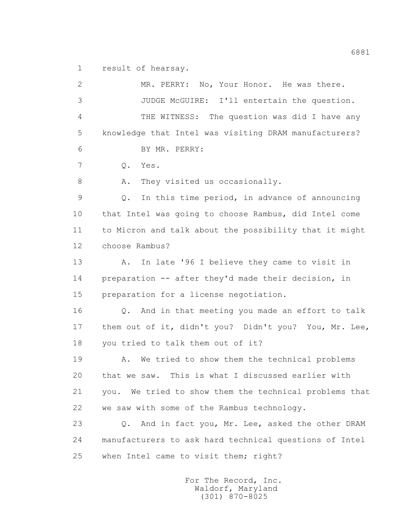1 result of hearsay.

 2 MR. PERRY: No, Your Honor. He was there. 3 JUDGE McGUIRE: I'll entertain the question. 4 THE WITNESS: The question was did I have any 5 knowledge that Intel was visiting DRAM manufacturers? 6 BY MR. PERRY: 7 Q. Yes. 8 A. They visited us occasionally. 9 Q. In this time period, in advance of announcing 10 that Intel was going to choose Rambus, did Intel come 11 to Micron and talk about the possibility that it might 12 choose Rambus? 13 A. In late '96 I believe they came to visit in 14 preparation -- after they'd made their decision, in 15 preparation for a license negotiation. 16 Q. And in that meeting you made an effort to talk 17 them out of it, didn't you? Didn't you? You, Mr. Lee, 18 you tried to talk them out of it? 19 A. We tried to show them the technical problems 20 that we saw. This is what I discussed earlier with 21 you. We tried to show them the technical problems that 22 we saw with some of the Rambus technology. 23 Q. And in fact you, Mr. Lee, asked the other DRAM 24 manufacturers to ask hard technical questions of Intel 25 when Intel came to visit them; right?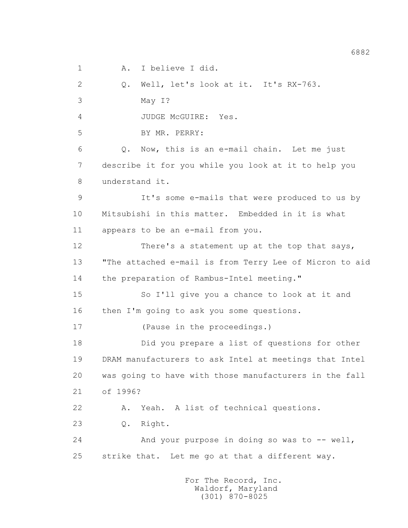1 A. I believe I did.

 2 Q. Well, let's look at it. It's RX-763. 3 May I? 4 JUDGE McGUIRE: Yes. 5 BY MR. PERRY: 6 Q. Now, this is an e-mail chain. Let me just 7 describe it for you while you look at it to help you 8 understand it. 9 It's some e-mails that were produced to us by 10 Mitsubishi in this matter. Embedded in it is what 11 appears to be an e-mail from you. 12 There's a statement up at the top that says, 13 "The attached e-mail is from Terry Lee of Micron to aid 14 the preparation of Rambus-Intel meeting." 15 So I'll give you a chance to look at it and 16 then I'm going to ask you some questions. 17 (Pause in the proceedings.) 18 Did you prepare a list of questions for other 19 DRAM manufacturers to ask Intel at meetings that Intel 20 was going to have with those manufacturers in the fall 21 of 1996? 22 A. Yeah. A list of technical questions. 23 Q. Right. 24 And your purpose in doing so was to -- well, 25 strike that. Let me go at that a different way.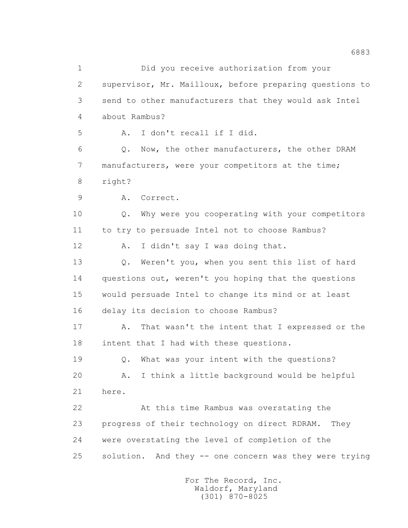1 Did you receive authorization from your 2 supervisor, Mr. Mailloux, before preparing questions to 3 send to other manufacturers that they would ask Intel 4 about Rambus? 5 A. I don't recall if I did. 6 Q. Now, the other manufacturers, the other DRAM 7 manufacturers, were your competitors at the time; 8 right? 9 A. Correct. 10 0. Why were you cooperating with your competitors 11 to try to persuade Intel not to choose Rambus? 12 A. I didn't say I was doing that. 13 Q. Weren't you, when you sent this list of hard 14 questions out, weren't you hoping that the questions 15 would persuade Intel to change its mind or at least 16 delay its decision to choose Rambus? 17 A. That wasn't the intent that I expressed or the 18 intent that I had with these questions. 19 Q. What was your intent with the questions? 20 A. I think a little background would be helpful 21 here. 22 At this time Rambus was overstating the 23 progress of their technology on direct RDRAM. They 24 were overstating the level of completion of the 25 solution. And they -- one concern was they were trying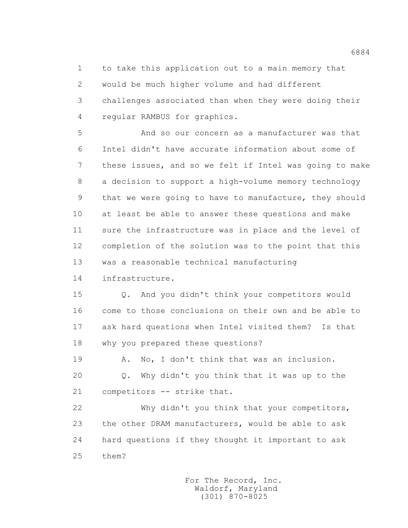1 to take this application out to a main memory that 2 would be much higher volume and had different 3 challenges associated than when they were doing their 4 regular RAMBUS for graphics.

 5 And so our concern as a manufacturer was that 6 Intel didn't have accurate information about some of 7 these issues, and so we felt if Intel was going to make 8 a decision to support a high-volume memory technology 9 that we were going to have to manufacture, they should 10 at least be able to answer these questions and make 11 sure the infrastructure was in place and the level of 12 completion of the solution was to the point that this 13 was a reasonable technical manufacturing

14 infrastructure.

 15 Q. And you didn't think your competitors would 16 come to those conclusions on their own and be able to 17 ask hard questions when Intel visited them? Is that 18 why you prepared these questions?

19 A. No, I don't think that was an inclusion.

 20 Q. Why didn't you think that it was up to the 21 competitors -- strike that.

 22 Why didn't you think that your competitors, 23 the other DRAM manufacturers, would be able to ask 24 hard questions if they thought it important to ask 25 them?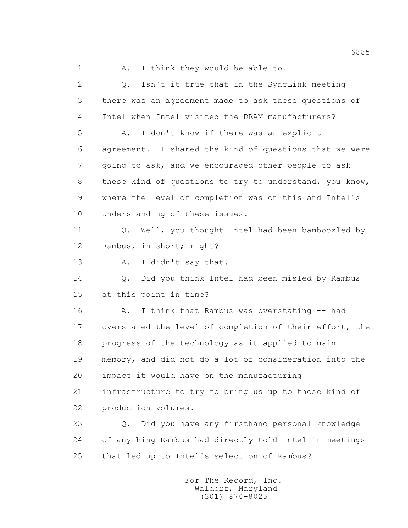1 A. I think they would be able to. 2 Q. Isn't it true that in the SyncLink meeting 3 there was an agreement made to ask these questions of 4 Intel when Intel visited the DRAM manufacturers? 5 A. I don't know if there was an explicit 6 agreement. I shared the kind of questions that we were 7 going to ask, and we encouraged other people to ask 8 these kind of questions to try to understand, you know, 9 where the level of completion was on this and Intel's 10 understanding of these issues. 11 Q. Well, you thought Intel had been bamboozled by 12 Rambus, in short; right? 13 A. I didn't say that. 14 Q. Did you think Intel had been misled by Rambus 15 at this point in time? 16 A. I think that Rambus was overstating -- had 17 overstated the level of completion of their effort, the 18 progress of the technology as it applied to main 19 memory, and did not do a lot of consideration into the 20 impact it would have on the manufacturing 21 infrastructure to try to bring us up to those kind of 22 production volumes. 23 Q. Did you have any firsthand personal knowledge 24 of anything Rambus had directly told Intel in meetings 25 that led up to Intel's selection of Rambus?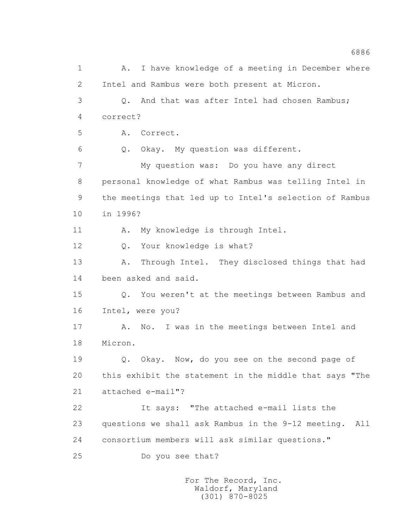1 A. I have knowledge of a meeting in December where 2 Intel and Rambus were both present at Micron. 3 Q. And that was after Intel had chosen Rambus; 4 correct? 5 A. Correct. 6 Q. Okay. My question was different. 7 My question was: Do you have any direct 8 personal knowledge of what Rambus was telling Intel in 9 the meetings that led up to Intel's selection of Rambus 10 in 1996? 11 A. My knowledge is through Intel. 12 Q. Your knowledge is what? 13 A. Through Intel. They disclosed things that had 14 been asked and said. 15 Q. You weren't at the meetings between Rambus and 16 Intel, were you? 17 A. No. I was in the meetings between Intel and 18 Micron. 19 Q. Okay. Now, do you see on the second page of 20 this exhibit the statement in the middle that says "The 21 attached e-mail"? 22 It says: "The attached e-mail lists the 23 questions we shall ask Rambus in the 9-12 meeting. All 24 consortium members will ask similar questions." 25 Do you see that?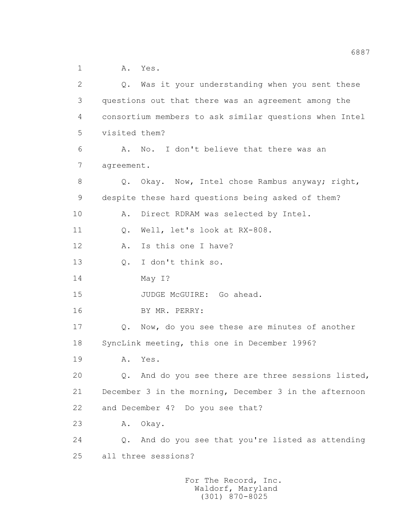1 A. Yes.

 2 Q. Was it your understanding when you sent these 3 questions out that there was an agreement among the 4 consortium members to ask similar questions when Intel 5 visited them? 6 A. No. I don't believe that there was an 7 agreement. 8 Q. Okay. Now, Intel chose Rambus anyway; right, 9 despite these hard questions being asked of them? 10 A. Direct RDRAM was selected by Intel. 11 Q. Well, let's look at RX-808. 12 A. Is this one I have? 13 Q. I don't think so. 14 May I? 15 JUDGE McGUIRE: Go ahead. 16 BY MR. PERRY: 17 Q. Now, do you see these are minutes of another 18 SyncLink meeting, this one in December 1996? 19 A. Yes. 20 Q. And do you see there are three sessions listed, 21 December 3 in the morning, December 3 in the afternoon 22 and December 4? Do you see that? 23 A. Okay. 24 Q. And do you see that you're listed as attending 25 all three sessions?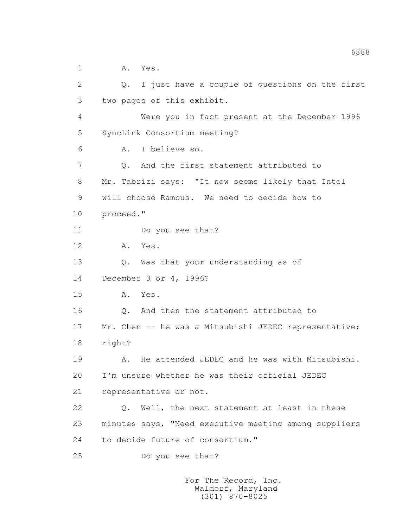1 A. Yes.

 2 Q. I just have a couple of questions on the first 3 two pages of this exhibit. 4 Were you in fact present at the December 1996 5 SyncLink Consortium meeting? 6 A. I believe so. 7 0. And the first statement attributed to 8 Mr. Tabrizi says: "It now seems likely that Intel 9 will choose Rambus. We need to decide how to 10 proceed." 11 Do you see that? 12 A. Yes. 13 Q. Was that your understanding as of 14 December 3 or 4, 1996? 15 A. Yes. 16 Q. And then the statement attributed to 17 Mr. Chen -- he was a Mitsubishi JEDEC representative; 18 right? 19 A. He attended JEDEC and he was with Mitsubishi. 20 I'm unsure whether he was their official JEDEC 21 representative or not. 22 Q. Well, the next statement at least in these 23 minutes says, "Need executive meeting among suppliers 24 to decide future of consortium." 25 Do you see that?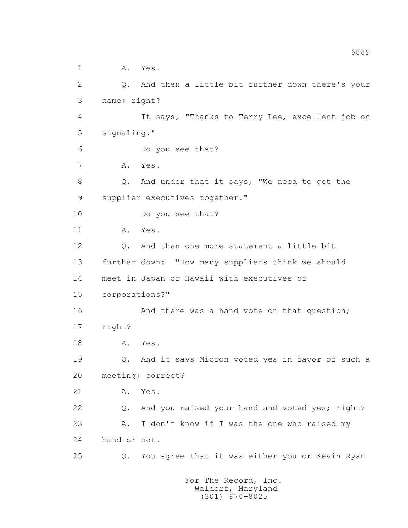1 A. Yes. 2 Q. And then a little bit further down there's your 3 name; right? 4 It says, "Thanks to Terry Lee, excellent job on 5 signaling." 6 Do you see that? 7 A. Yes. 8 Q. And under that it says, "We need to get the 9 supplier executives together." 10 Do you see that? 11 A. Yes. 12 Q. And then one more statement a little bit 13 further down: "How many suppliers think we should 14 meet in Japan or Hawaii with executives of 15 corporations?" 16 And there was a hand vote on that question; 17 right? 18 A. Yes. 19 Q. And it says Micron voted yes in favor of such a 20 meeting; correct? 21 A. Yes. 22 Q. And you raised your hand and voted yes; right? 23 A. I don't know if I was the one who raised my 24 hand or not. 25 Q. You agree that it was either you or Kevin Ryan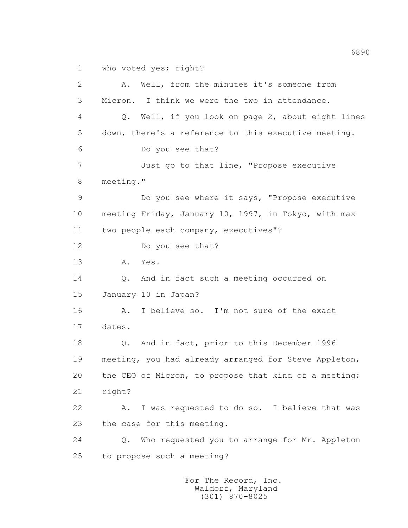1 who voted yes; right?

 2 A. Well, from the minutes it's someone from 3 Micron. I think we were the two in attendance. 4 Q. Well, if you look on page 2, about eight lines 5 down, there's a reference to this executive meeting. 6 Do you see that? 7 Just go to that line, "Propose executive 8 meeting." 9 Do you see where it says, "Propose executive 10 meeting Friday, January 10, 1997, in Tokyo, with max 11 two people each company, executives"? 12 Do you see that? 13 A. Yes. 14 Q. And in fact such a meeting occurred on 15 January 10 in Japan? 16 A. I believe so. I'm not sure of the exact 17 dates. 18 Q. And in fact, prior to this December 1996 19 meeting, you had already arranged for Steve Appleton, 20 the CEO of Micron, to propose that kind of a meeting; 21 right? 22 A. I was requested to do so. I believe that was 23 the case for this meeting. 24 Q. Who requested you to arrange for Mr. Appleton 25 to propose such a meeting?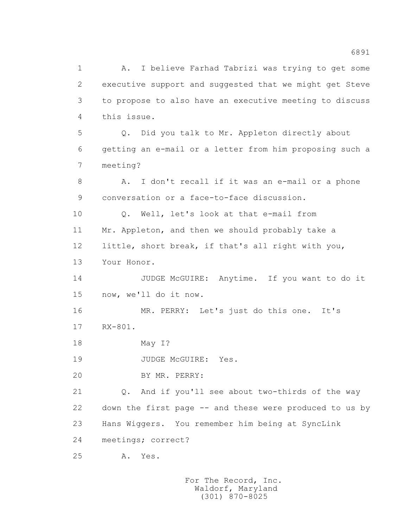1 A. I believe Farhad Tabrizi was trying to get some 2 executive support and suggested that we might get Steve 3 to propose to also have an executive meeting to discuss 4 this issue. 5 Q. Did you talk to Mr. Appleton directly about 6 getting an e-mail or a letter from him proposing such a 7 meeting? 8 A. I don't recall if it was an e-mail or a phone 9 conversation or a face-to-face discussion. 10 0. Well, let's look at that e-mail from 11 Mr. Appleton, and then we should probably take a 12 little, short break, if that's all right with you, 13 Your Honor. 14 JUDGE McGUIRE: Anytime. If you want to do it 15 now, we'll do it now. 16 MR. PERRY: Let's just do this one. It's 17 RX-801. 18 May I? 19 JUDGE McGUIRE: Yes. 20 BY MR. PERRY: 21 Q. And if you'll see about two-thirds of the way 22 down the first page -- and these were produced to us by 23 Hans Wiggers. You remember him being at SyncLink 24 meetings; correct? 25 A. Yes.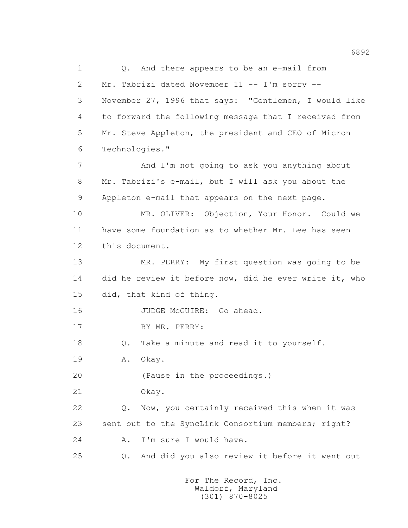1 Q. And there appears to be an e-mail from 2 Mr. Tabrizi dated November 11 -- I'm sorry -- 3 November 27, 1996 that says: "Gentlemen, I would like 4 to forward the following message that I received from 5 Mr. Steve Appleton, the president and CEO of Micron 6 Technologies." 7 And I'm not going to ask you anything about 8 Mr. Tabrizi's e-mail, but I will ask you about the 9 Appleton e-mail that appears on the next page. 10 MR. OLIVER: Objection, Your Honor. Could we 11 have some foundation as to whether Mr. Lee has seen 12 this document. 13 MR. PERRY: My first question was going to be 14 did he review it before now, did he ever write it, who 15 did, that kind of thing. 16 JUDGE McGUIRE: Go ahead. 17 BY MR. PERRY: 18 0. Take a minute and read it to yourself. 19 A. Okay. 20 (Pause in the proceedings.) 21 Okay. 22 Q. Now, you certainly received this when it was 23 sent out to the SyncLink Consortium members; right? 24 A. I'm sure I would have. 25 Q. And did you also review it before it went out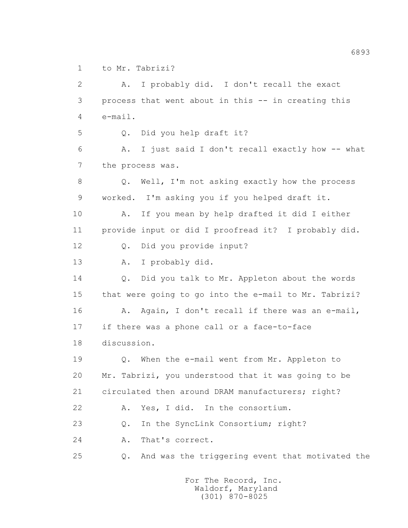1 to Mr. Tabrizi?

 2 A. I probably did. I don't recall the exact 3 process that went about in this -- in creating this 4 e-mail. 5 Q. Did you help draft it? 6 A. I just said I don't recall exactly how -- what 7 the process was. 8 Q. Well, I'm not asking exactly how the process 9 worked. I'm asking you if you helped draft it. 10 A. If you mean by help drafted it did I either 11 provide input or did I proofread it? I probably did. 12 Q. Did you provide input? 13 A. I probably did. 14 Q. Did you talk to Mr. Appleton about the words 15 that were going to go into the e-mail to Mr. Tabrizi? 16 A. Again, I don't recall if there was an e-mail, 17 if there was a phone call or a face-to-face 18 discussion. 19 Q. When the e-mail went from Mr. Appleton to 20 Mr. Tabrizi, you understood that it was going to be 21 circulated then around DRAM manufacturers; right? 22 A. Yes, I did. In the consortium. 23 Q. In the SyncLink Consortium; right? 24 A. That's correct. 25 Q. And was the triggering event that motivated the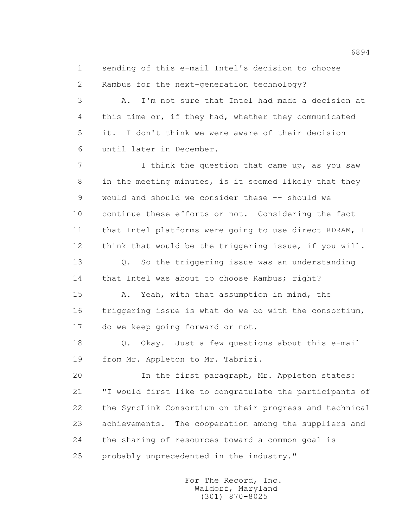1 sending of this e-mail Intel's decision to choose 2 Rambus for the next-generation technology?

 3 A. I'm not sure that Intel had made a decision at 4 this time or, if they had, whether they communicated 5 it. I don't think we were aware of their decision 6 until later in December.

7 I think the question that came up, as you saw 8 in the meeting minutes, is it seemed likely that they 9 would and should we consider these -- should we 10 continue these efforts or not. Considering the fact 11 that Intel platforms were going to use direct RDRAM, I 12 think that would be the triggering issue, if you will. 13 0. So the triggering issue was an understanding 14 that Intel was about to choose Rambus; right? 15 A. Yeah, with that assumption in mind, the

 16 triggering issue is what do we do with the consortium, 17 do we keep going forward or not.

 18 Q. Okay. Just a few questions about this e-mail 19 from Mr. Appleton to Mr. Tabrizi.

 20 In the first paragraph, Mr. Appleton states: 21 "I would first like to congratulate the participants of 22 the SyncLink Consortium on their progress and technical 23 achievements. The cooperation among the suppliers and 24 the sharing of resources toward a common goal is 25 probably unprecedented in the industry."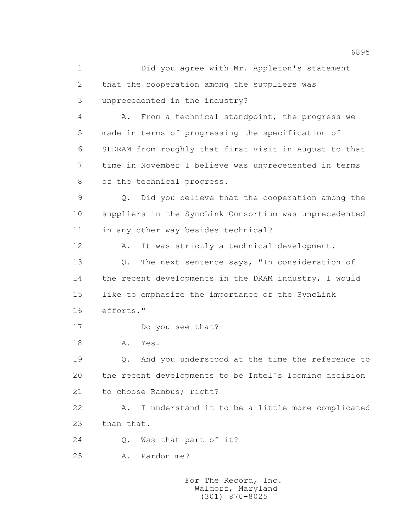1 Did you agree with Mr. Appleton's statement 2 that the cooperation among the suppliers was 3 unprecedented in the industry? 4 A. From a technical standpoint, the progress we 5 made in terms of progressing the specification of 6 SLDRAM from roughly that first visit in August to that 7 time in November I believe was unprecedented in terms 8 of the technical progress. 9 Q. Did you believe that the cooperation among the 10 suppliers in the SyncLink Consortium was unprecedented 11 in any other way besides technical? 12 A. It was strictly a technical development. 13 Q. The next sentence says, "In consideration of 14 the recent developments in the DRAM industry, I would 15 like to emphasize the importance of the SyncLink 16 efforts." 17 Do you see that? 18 A. Yes. 19 Q. And you understood at the time the reference to 20 the recent developments to be Intel's looming decision 21 to choose Rambus; right? 22 A. I understand it to be a little more complicated 23 than that. 24 Q. Was that part of it? 25 A. Pardon me?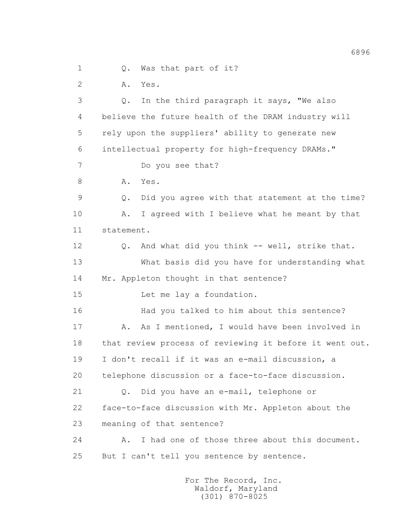1 0. Was that part of it?

2 A. Yes.

 3 Q. In the third paragraph it says, "We also 4 believe the future health of the DRAM industry will 5 rely upon the suppliers' ability to generate new 6 intellectual property for high-frequency DRAMs." 7 Do you see that? 8 A. Yes. 9 Q. Did you agree with that statement at the time? 10 A. I agreed with I believe what he meant by that 11 statement. 12 Q. And what did you think -- well, strike that. 13 What basis did you have for understanding what 14 Mr. Appleton thought in that sentence? 15 Let me lay a foundation. 16 Had you talked to him about this sentence? 17 A. As I mentioned, I would have been involved in 18 that review process of reviewing it before it went out. 19 I don't recall if it was an e-mail discussion, a 20 telephone discussion or a face-to-face discussion. 21 Q. Did you have an e-mail, telephone or 22 face-to-face discussion with Mr. Appleton about the 23 meaning of that sentence? 24 A. I had one of those three about this document. 25 But I can't tell you sentence by sentence.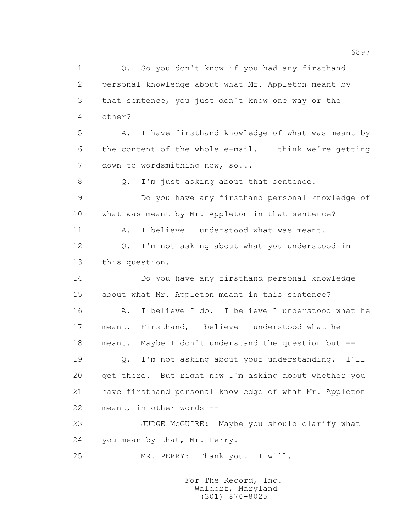1 Q. So you don't know if you had any firsthand 2 personal knowledge about what Mr. Appleton meant by 3 that sentence, you just don't know one way or the 4 other? 5 A. I have firsthand knowledge of what was meant by 6 the content of the whole e-mail. I think we're getting 7 down to wordsmithing now, so... 8 Q. I'm just asking about that sentence. 9 Do you have any firsthand personal knowledge of 10 what was meant by Mr. Appleton in that sentence? 11 A. I believe I understood what was meant. 12 Q. I'm not asking about what you understood in 13 this question. 14 Do you have any firsthand personal knowledge 15 about what Mr. Appleton meant in this sentence? 16 A. I believe I do. I believe I understood what he 17 meant. Firsthand, I believe I understood what he 18 meant. Maybe I don't understand the question but -- 19 Q. I'm not asking about your understanding. I'll 20 get there. But right now I'm asking about whether you 21 have firsthand personal knowledge of what Mr. Appleton 22 meant, in other words -- 23 JUDGE McGUIRE: Maybe you should clarify what 24 you mean by that, Mr. Perry. 25 MR. PERRY: Thank you. I will.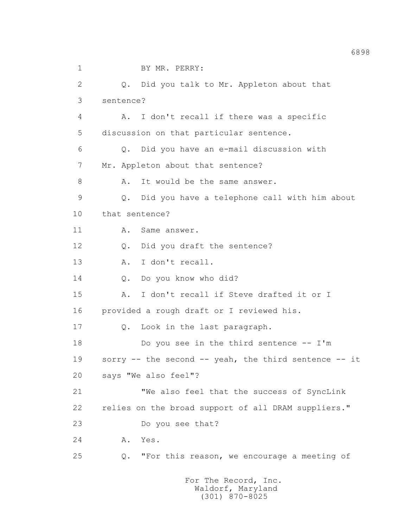1 BY MR. PERRY: 2 Q. Did you talk to Mr. Appleton about that 3 sentence? 4 A. I don't recall if there was a specific 5 discussion on that particular sentence. 6 Q. Did you have an e-mail discussion with 7 Mr. Appleton about that sentence? 8 A. It would be the same answer. 9 Q. Did you have a telephone call with him about 10 that sentence? 11 A. Same answer. 12 Q. Did you draft the sentence? 13 A. I don't recall. 14 Q. Do you know who did? 15 A. I don't recall if Steve drafted it or I 16 provided a rough draft or I reviewed his. 17 Q. Look in the last paragraph. 18 Do you see in the third sentence -- I'm 19 sorry -- the second -- yeah, the third sentence -- it 20 says "We also feel"? 21 "We also feel that the success of SyncLink 22 relies on the broad support of all DRAM suppliers." 23 Do you see that? 24 A. Yes. 25 Q. "For this reason, we encourage a meeting of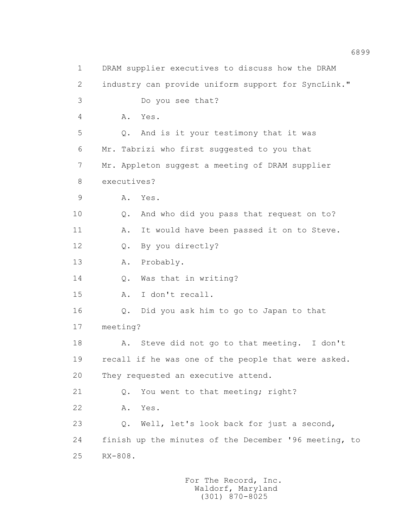1 DRAM supplier executives to discuss how the DRAM 2 industry can provide uniform support for SyncLink." 3 Do you see that? 4 A. Yes. 5 Q. And is it your testimony that it was 6 Mr. Tabrizi who first suggested to you that 7 Mr. Appleton suggest a meeting of DRAM supplier 8 executives? 9 A. Yes. 10 0. And who did you pass that request on to? 11 A. It would have been passed it on to Steve. 12 Q. By you directly? 13 A. Probably. 14 Q. Was that in writing? 15 A. I don't recall. 16 Q. Did you ask him to go to Japan to that 17 meeting? 18 A. Steve did not go to that meeting. I don't 19 recall if he was one of the people that were asked. 20 They requested an executive attend. 21 Q. You went to that meeting; right? 22 A. Yes. 23 Q. Well, let's look back for just a second, 24 finish up the minutes of the December '96 meeting, to 25 RX-808.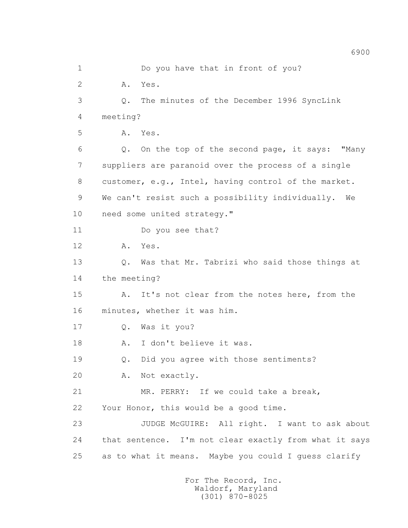1 Do you have that in front of you? 2 A. Yes. 3 Q. The minutes of the December 1996 SyncLink 4 meeting? 5 A. Yes. 6 Q. On the top of the second page, it says: "Many 7 suppliers are paranoid over the process of a single 8 customer, e.g., Intel, having control of the market. 9 We can't resist such a possibility individually. We 10 need some united strategy." 11 Do you see that? 12 A. Yes. 13 Q. Was that Mr. Tabrizi who said those things at 14 the meeting? 15 A. It's not clear from the notes here, from the 16 minutes, whether it was him. 17 Q. Was it you? 18 A. I don't believe it was. 19 Q. Did you agree with those sentiments? 20 A. Not exactly. 21 MR. PERRY: If we could take a break, 22 Your Honor, this would be a good time. 23 JUDGE McGUIRE: All right. I want to ask about 24 that sentence. I'm not clear exactly from what it says 25 as to what it means. Maybe you could I guess clarify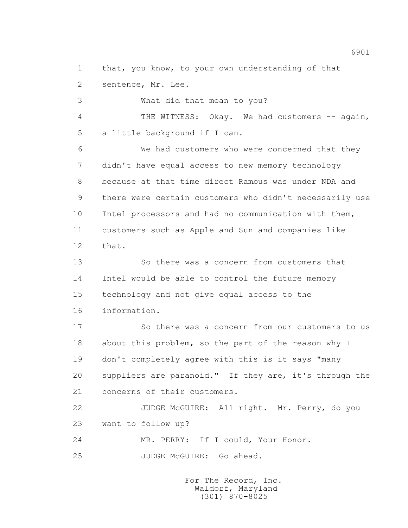1 that, you know, to your own understanding of that 2 sentence, Mr. Lee.

 3 What did that mean to you? 4 THE WITNESS: Okay. We had customers -- again, 5 a little background if I can. 6 We had customers who were concerned that they 7 didn't have equal access to new memory technology 8 because at that time direct Rambus was under NDA and 9 there were certain customers who didn't necessarily use 10 Intel processors and had no communication with them, 11 customers such as Apple and Sun and companies like 12 that.

 13 So there was a concern from customers that 14 Intel would be able to control the future memory 15 technology and not give equal access to the 16 information.

 17 So there was a concern from our customers to us 18 about this problem, so the part of the reason why I 19 don't completely agree with this is it says "many 20 suppliers are paranoid." If they are, it's through the 21 concerns of their customers.

 22 JUDGE McGUIRE: All right. Mr. Perry, do you 23 want to follow up?

24 MR. PERRY: If I could, Your Honor.

25 JUDGE McGUIRE: Go ahead.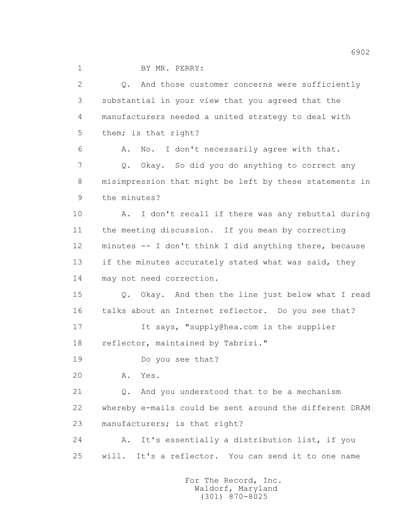1 BY MR. PERRY:

 2 Q. And those customer concerns were sufficiently 3 substantial in your view that you agreed that the 4 manufacturers needed a united strategy to deal with 5 them; is that right? 6 A. No. I don't necessarily agree with that. 7 Q. Okay. So did you do anything to correct any 8 misimpression that might be left by these statements in 9 the minutes? 10 A. I don't recall if there was any rebuttal during 11 the meeting discussion. If you mean by correcting 12 minutes -- I don't think I did anything there, because 13 if the minutes accurately stated what was said, they 14 may not need correction. 15 Q. Okay. And then the line just below what I read 16 talks about an Internet reflector. Do you see that? 17 It says, "supply@hea.com is the supplier 18 reflector, maintained by Tabrizi." 19 Do you see that? 20 A. Yes. 21 Q. And you understood that to be a mechanism 22 whereby e-mails could be sent around the different DRAM 23 manufacturers; is that right? 24 A. It's essentially a distribution list, if you 25 will. It's a reflector. You can send it to one name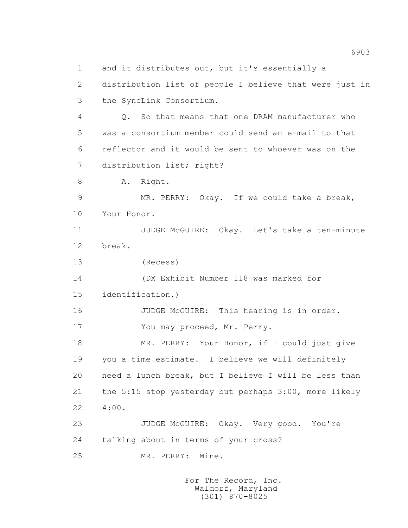1 and it distributes out, but it's essentially a 2 distribution list of people I believe that were just in 3 the SyncLink Consortium. 4 Q. So that means that one DRAM manufacturer who 5 was a consortium member could send an e-mail to that 6 reflector and it would be sent to whoever was on the 7 distribution list; right? 8 A. Right. 9 MR. PERRY: Okay. If we could take a break, 10 Your Honor. 11 JUDGE McGUIRE: Okay. Let's take a ten-minute 12 break. 13 (Recess) 14 (DX Exhibit Number 118 was marked for 15 identification.) 16 JUDGE McGUIRE: This hearing is in order. 17 You may proceed, Mr. Perry. 18 MR. PERRY: Your Honor, if I could just give 19 you a time estimate. I believe we will definitely 20 need a lunch break, but I believe I will be less than 21 the 5:15 stop yesterday but perhaps 3:00, more likely 22 4:00. 23 JUDGE McGUIRE: Okay. Very good. You're 24 talking about in terms of your cross? 25 MR. PERRY: Mine.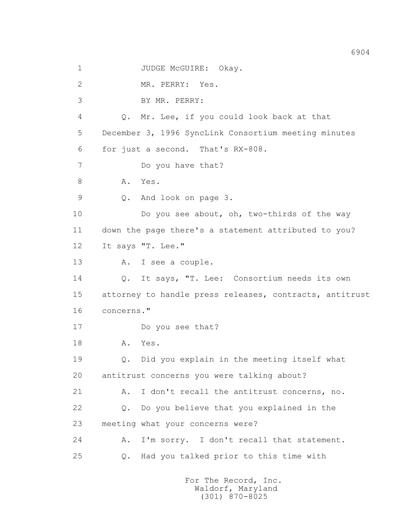1 JUDGE McGUIRE: Okay. 2 MR. PERRY: Yes. 3 BY MR. PERRY: 4 Q. Mr. Lee, if you could look back at that 5 December 3, 1996 SyncLink Consortium meeting minutes 6 for just a second. That's RX-808. 7 Do you have that? 8 A. Yes. 9 Q. And look on page 3. 10 Do you see about, oh, two-thirds of the way 11 down the page there's a statement attributed to you? 12 It says "T. Lee." 13 A. I see a couple. 14 Q. It says, "T. Lee: Consortium needs its own 15 attorney to handle press releases, contracts, antitrust 16 concerns." 17 Do you see that? 18 A. Yes. 19 Q. Did you explain in the meeting itself what 20 antitrust concerns you were talking about? 21 A. I don't recall the antitrust concerns, no. 22 Q. Do you believe that you explained in the 23 meeting what your concerns were? 24 A. I'm sorry. I don't recall that statement. 25 Q. Had you talked prior to this time with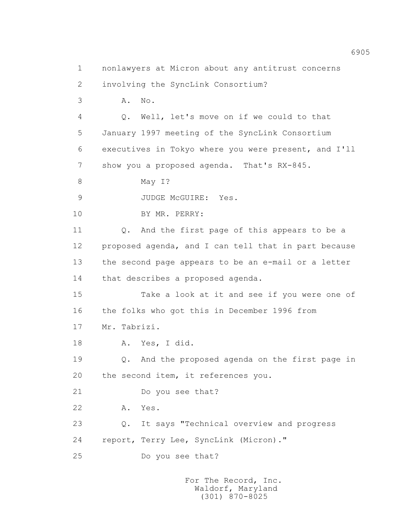1 nonlawyers at Micron about any antitrust concerns 2 involving the SyncLink Consortium? 3 A. No. 4 Q. Well, let's move on if we could to that 5 January 1997 meeting of the SyncLink Consortium 6 executives in Tokyo where you were present, and I'll 7 show you a proposed agenda. That's RX-845. 8 May I? 9 JUDGE McGUIRE: Yes. 10 BY MR. PERRY: 11 Q. And the first page of this appears to be a 12 proposed agenda, and I can tell that in part because 13 the second page appears to be an e-mail or a letter 14 that describes a proposed agenda. 15 Take a look at it and see if you were one of 16 the folks who got this in December 1996 from 17 Mr. Tabrizi. 18 A. Yes, I did. 19 Q. And the proposed agenda on the first page in 20 the second item, it references you. 21 Do you see that? 22 A. Yes. 23 Q. It says "Technical overview and progress 24 report, Terry Lee, SyncLink (Micron)." 25 Do you see that?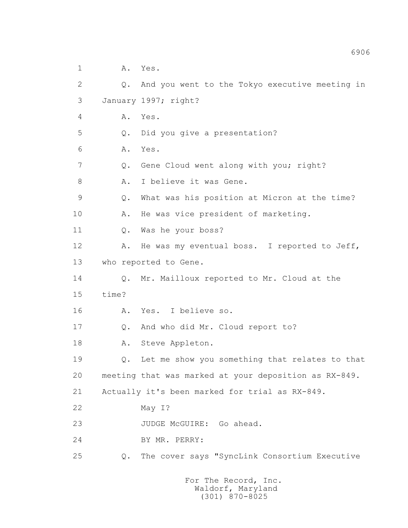1 A. Yes.

 2 Q. And you went to the Tokyo executive meeting in 3 January 1997; right? 4 A. Yes. 5 Q. Did you give a presentation? 6 A. Yes. 7 Q. Gene Cloud went along with you; right? 8 A. I believe it was Gene. 9 Q. What was his position at Micron at the time? 10 A. He was vice president of marketing. 11 Q. Was he your boss? 12 A. He was my eventual boss. I reported to Jeff, 13 who reported to Gene. 14 Q. Mr. Mailloux reported to Mr. Cloud at the 15 time? 16 A. Yes. I believe so. 17 Q. And who did Mr. Cloud report to? 18 A. Steve Appleton. 19 Q. Let me show you something that relates to that 20 meeting that was marked at your deposition as RX-849. 21 Actually it's been marked for trial as RX-849. 22 May I? 23 JUDGE McGUIRE: Go ahead. 24 BY MR. PERRY: 25 Q. The cover says "SyncLink Consortium Executive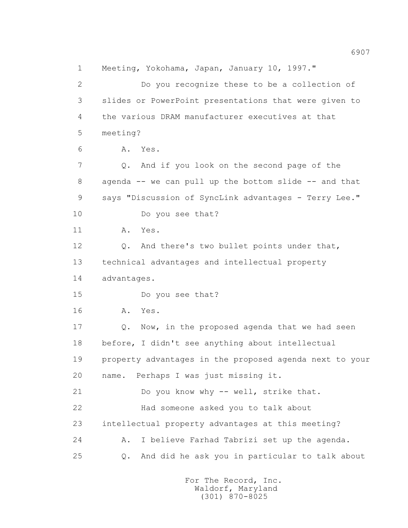1 Meeting, Yokohama, Japan, January 10, 1997." 2 Do you recognize these to be a collection of 3 slides or PowerPoint presentations that were given to 4 the various DRAM manufacturer executives at that 5 meeting? 6 A. Yes. 7 Q. And if you look on the second page of the 8 agenda -- we can pull up the bottom slide -- and that 9 says "Discussion of SyncLink advantages - Terry Lee." 10 Do you see that? 11 A. Yes. 12 Q. And there's two bullet points under that, 13 technical advantages and intellectual property 14 advantages. 15 Do you see that? 16 A. Yes. 17 Q. Now, in the proposed agenda that we had seen 18 before, I didn't see anything about intellectual 19 property advantages in the proposed agenda next to your 20 name. Perhaps I was just missing it. 21 Do you know why -- well, strike that. 22 Had someone asked you to talk about 23 intellectual property advantages at this meeting? 24 A. I believe Farhad Tabrizi set up the agenda. 25 Q. And did he ask you in particular to talk about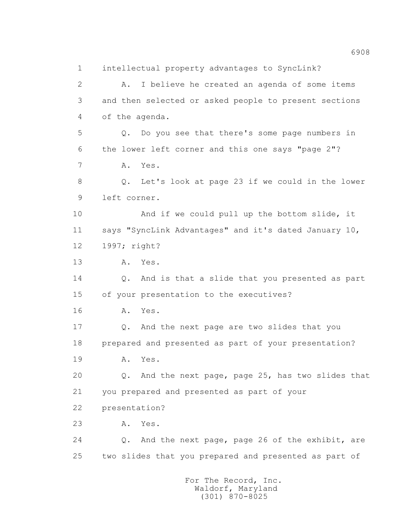1 intellectual property advantages to SyncLink? 2 A. I believe he created an agenda of some items 3 and then selected or asked people to present sections 4 of the agenda. 5 Q. Do you see that there's some page numbers in 6 the lower left corner and this one says "page 2"? 7 A. Yes. 8 Q. Let's look at page 23 if we could in the lower 9 left corner. 10 And if we could pull up the bottom slide, it 11 says "SyncLink Advantages" and it's dated January 10, 12 1997; right? 13 A. Yes. 14 Q. And is that a slide that you presented as part 15 of your presentation to the executives? 16 A. Yes. 17 Q. And the next page are two slides that you 18 prepared and presented as part of your presentation? 19 A. Yes. 20 Q. And the next page, page 25, has two slides that 21 you prepared and presented as part of your 22 presentation? 23 A. Yes. 24 Q. And the next page, page 26 of the exhibit, are 25 two slides that you prepared and presented as part of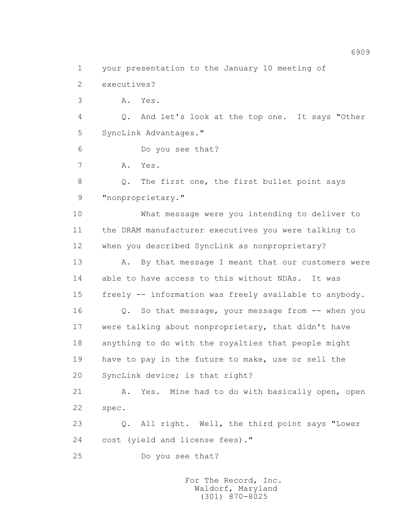1 your presentation to the January 10 meeting of

2 executives?

3 A. Yes.

 4 Q. And let's look at the top one. It says "Other 5 SyncLink Advantages."

6 Do you see that?

7 A. Yes.

 8 Q. The first one, the first bullet point says 9 "nonproprietary."

 10 What message were you intending to deliver to 11 the DRAM manufacturer executives you were talking to 12 when you described SyncLink as nonproprietary?

13 A. By that message I meant that our customers were 14 able to have access to this without NDAs. It was 15 freely -- information was freely available to anybody.

 16 Q. So that message, your message from -- when you 17 were talking about nonproprietary, that didn't have 18 anything to do with the royalties that people might 19 have to pay in the future to make, use or sell the 20 SyncLink device; is that right?

 21 A. Yes. Mine had to do with basically open, open 22 spec.

 23 Q. All right. Well, the third point says "Lower 24 cost (yield and license fees)."

25 Do you see that?

 For The Record, Inc. Waldorf, Maryland (301) 870-8025

6909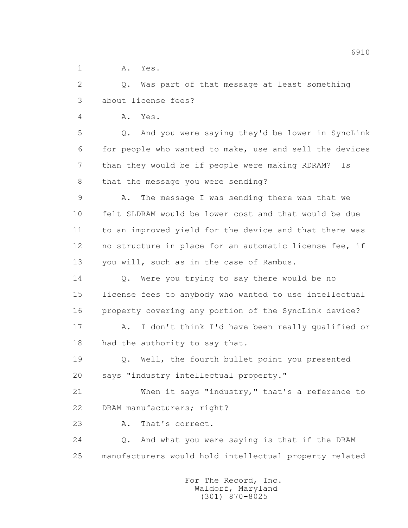1 A. Yes.

 2 Q. Was part of that message at least something 3 about license fees?

4 A. Yes.

 5 Q. And you were saying they'd be lower in SyncLink 6 for people who wanted to make, use and sell the devices 7 than they would be if people were making RDRAM? Is 8 that the message you were sending?

 9 A. The message I was sending there was that we 10 felt SLDRAM would be lower cost and that would be due 11 to an improved yield for the device and that there was 12 no structure in place for an automatic license fee, if 13 you will, such as in the case of Rambus.

 14 Q. Were you trying to say there would be no 15 license fees to anybody who wanted to use intellectual 16 property covering any portion of the SyncLink device?

 17 A. I don't think I'd have been really qualified or 18 had the authority to say that.

 19 Q. Well, the fourth bullet point you presented 20 says "industry intellectual property."

 21 When it says "industry," that's a reference to 22 DRAM manufacturers; right?

23 A. That's correct.

 24 Q. And what you were saying is that if the DRAM 25 manufacturers would hold intellectual property related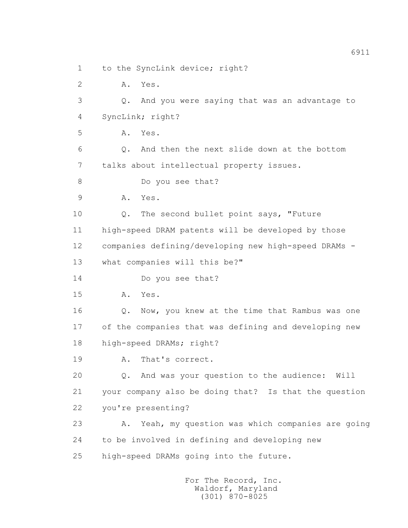1 to the SyncLink device; right?

2 A. Yes.

 3 Q. And you were saying that was an advantage to 4 SyncLink; right?

5 A. Yes.

 6 Q. And then the next slide down at the bottom 7 talks about intellectual property issues.

8 Do you see that?

9 A. Yes.

10 Q. The second bullet point says, "Future

11 high-speed DRAM patents will be developed by those

12 companies defining/developing new high-speed DRAMs -

13 what companies will this be?"

14 Do you see that?

15 A. Yes.

 16 Q. Now, you knew at the time that Rambus was one 17 of the companies that was defining and developing new 18 high-speed DRAMs; right?

19 A. That's correct.

 20 Q. And was your question to the audience: Will 21 your company also be doing that? Is that the question 22 you're presenting?

 23 A. Yeah, my question was which companies are going 24 to be involved in defining and developing new 25 high-speed DRAMs going into the future.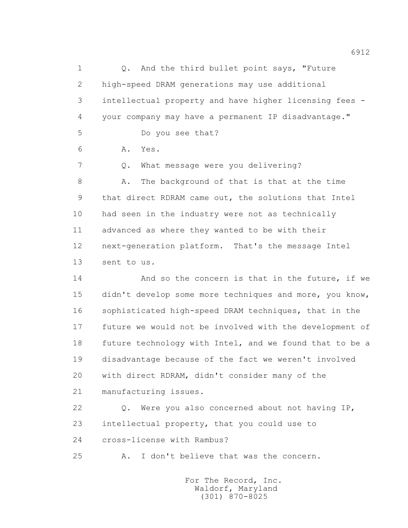1 0. And the third bullet point says, "Future 2 high-speed DRAM generations may use additional 3 intellectual property and have higher licensing fees - 4 your company may have a permanent IP disadvantage." 5 Do you see that? 6 A. Yes. 7 Q. What message were you delivering? 8 A. The background of that is that at the time 9 that direct RDRAM came out, the solutions that Intel 10 had seen in the industry were not as technically 11 advanced as where they wanted to be with their 12 next-generation platform. That's the message Intel 13 sent to us. 14 And so the concern is that in the future, if we 15 didn't develop some more techniques and more, you know, 16 sophisticated high-speed DRAM techniques, that in the

 17 future we would not be involved with the development of 18 future technology with Intel, and we found that to be a 19 disadvantage because of the fact we weren't involved 20 with direct RDRAM, didn't consider many of the 21 manufacturing issues.

 22 Q. Were you also concerned about not having IP, 23 intellectual property, that you could use to 24 cross-license with Rambus?

25 A. I don't believe that was the concern.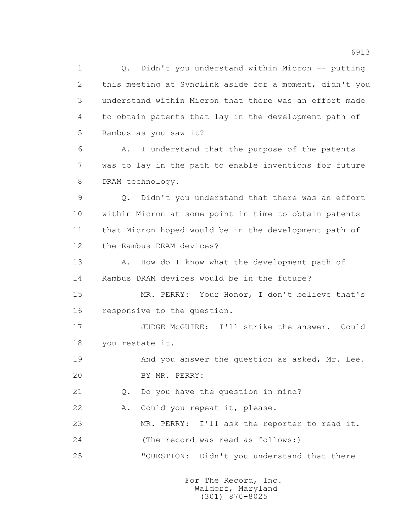1 Q. Didn't you understand within Micron -- putting 2 this meeting at SyncLink aside for a moment, didn't you 3 understand within Micron that there was an effort made 4 to obtain patents that lay in the development path of 5 Rambus as you saw it?

 6 A. I understand that the purpose of the patents 7 was to lay in the path to enable inventions for future 8 DRAM technology.

 9 Q. Didn't you understand that there was an effort 10 within Micron at some point in time to obtain patents 11 that Micron hoped would be in the development path of 12 the Rambus DRAM devices?

13 A. How do I know what the development path of 14 Rambus DRAM devices would be in the future?

 15 MR. PERRY: Your Honor, I don't believe that's 16 responsive to the question.

17 JUDGE McGUIRE: I'll strike the answer. Could 18 you restate it.

19 And you answer the question as asked, Mr. Lee. 20 BY MR. PERRY:

21 Q. Do you have the question in mind?

22 A. Could you repeat it, please.

23 MR. PERRY: I'll ask the reporter to read it.

24 (The record was read as follows:)

25 "QUESTION: Didn't you understand that there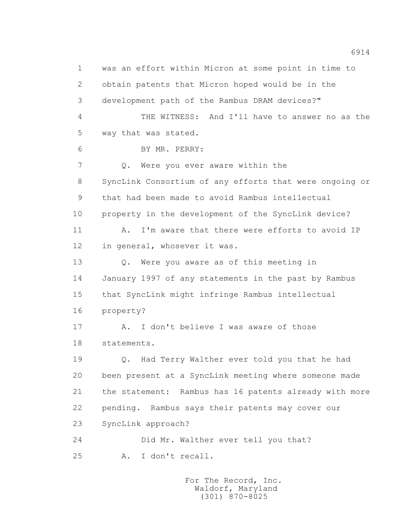1 was an effort within Micron at some point in time to 2 obtain patents that Micron hoped would be in the 3 development path of the Rambus DRAM devices?" 4 THE WITNESS: And I'll have to answer no as the 5 way that was stated. 6 BY MR. PERRY: 7 0. Were you ever aware within the 8 SyncLink Consortium of any efforts that were ongoing or 9 that had been made to avoid Rambus intellectual 10 property in the development of the SyncLink device? 11 A. I'm aware that there were efforts to avoid IP 12 in general, whosever it was. 13 O. Were you aware as of this meeting in 14 January 1997 of any statements in the past by Rambus 15 that SyncLink might infringe Rambus intellectual 16 property? 17 A. I don't believe I was aware of those 18 statements. 19 Q. Had Terry Walther ever told you that he had 20 been present at a SyncLink meeting where someone made 21 the statement: Rambus has 16 patents already with more 22 pending. Rambus says their patents may cover our 23 SyncLink approach? 24 Did Mr. Walther ever tell you that? 25 A. I don't recall.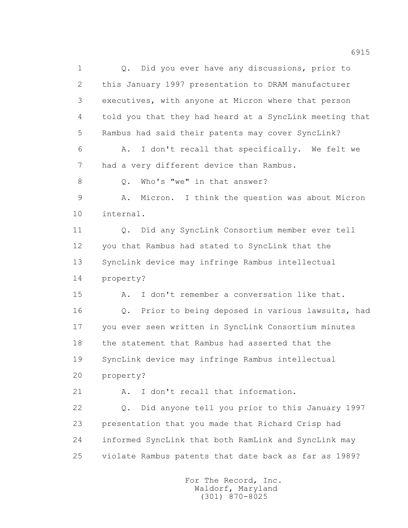1 0. Did you ever have any discussions, prior to 2 this January 1997 presentation to DRAM manufacturer 3 executives, with anyone at Micron where that person 4 told you that they had heard at a SyncLink meeting that 5 Rambus had said their patents may cover SyncLink? 6 A. I don't recall that specifically. We felt we 7 had a very different device than Rambus. 8 O. Who's "we" in that answer? 9 A. Micron. I think the question was about Micron 10 internal. 11 Q. Did any SyncLink Consortium member ever tell 12 you that Rambus had stated to SyncLink that the 13 SyncLink device may infringe Rambus intellectual 14 property? 15 A. I don't remember a conversation like that. 16 Q. Prior to being deposed in various lawsuits, had 17 you ever seen written in SyncLink Consortium minutes 18 the statement that Rambus had asserted that the 19 SyncLink device may infringe Rambus intellectual 20 property? 21 A. I don't recall that information. 22 Q. Did anyone tell you prior to this January 1997 23 presentation that you made that Richard Crisp had 24 informed SyncLink that both RamLink and SyncLink may 25 violate Rambus patents that date back as far as 1989?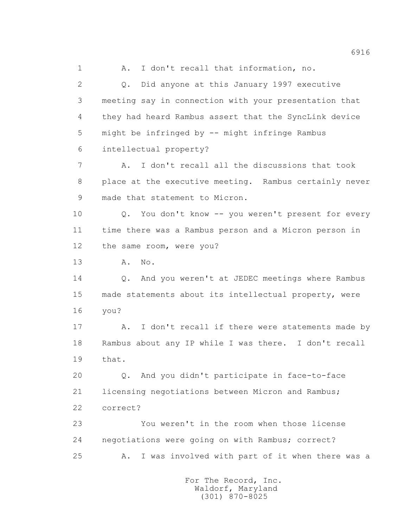1 A. I don't recall that information, no. 2 Q. Did anyone at this January 1997 executive 3 meeting say in connection with your presentation that 4 they had heard Rambus assert that the SyncLink device 5 might be infringed by -- might infringe Rambus 6 intellectual property? 7 A. I don't recall all the discussions that took 8 place at the executive meeting. Rambus certainly never 9 made that statement to Micron. 10 0. You don't know -- you weren't present for every 11 time there was a Rambus person and a Micron person in 12 the same room, were you? 13 A. No. 14 Q. And you weren't at JEDEC meetings where Rambus 15 made statements about its intellectual property, were 16 you? 17 A. I don't recall if there were statements made by 18 Rambus about any IP while I was there. I don't recall 19 that. 20 Q. And you didn't participate in face-to-face 21 licensing negotiations between Micron and Rambus; 22 correct? 23 You weren't in the room when those license 24 negotiations were going on with Rambus; correct? 25 A. I was involved with part of it when there was a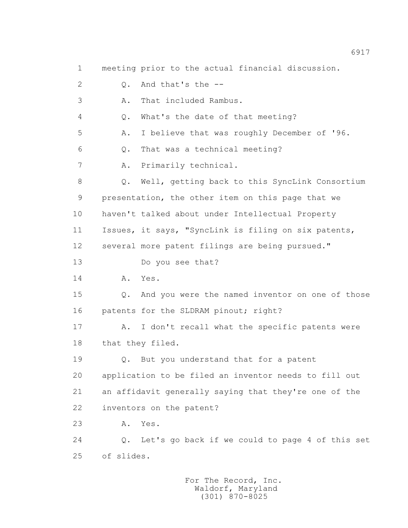1 meeting prior to the actual financial discussion. 2 Q. And that's the -- 3 A. That included Rambus. 4 Q. What's the date of that meeting? 5 A. I believe that was roughly December of '96. 6 Q. That was a technical meeting? 7 A. Primarily technical. 8 Q. Well, getting back to this SyncLink Consortium 9 presentation, the other item on this page that we 10 haven't talked about under Intellectual Property 11 Issues, it says, "SyncLink is filing on six patents, 12 several more patent filings are being pursued." 13 Do you see that? 14 A. Yes. 15 Q. And you were the named inventor on one of those 16 patents for the SLDRAM pinout; right? 17 A. I don't recall what the specific patents were 18 that they filed. 19 Q. But you understand that for a patent 20 application to be filed an inventor needs to fill out 21 an affidavit generally saying that they're one of the 22 inventors on the patent? 23 A. Yes. 24 Q. Let's go back if we could to page 4 of this set 25 of slides.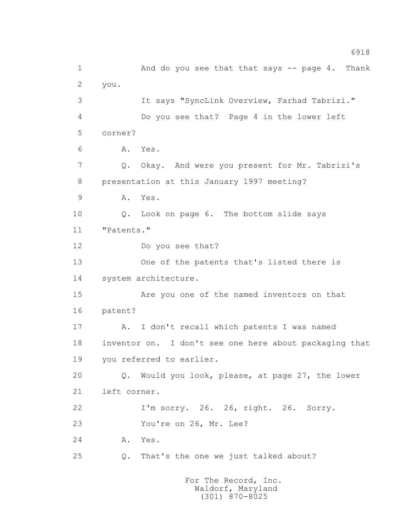1 And do you see that that says -- page 4. Thank 2 you. 3 It says "SyncLink Overview, Farhad Tabrizi." 4 Do you see that? Page 4 in the lower left 5 corner? 6 A. Yes. 7 Q. Okay. And were you present for Mr. Tabrizi's 8 presentation at this January 1997 meeting? 9 A. Yes. 10 Q. Look on page 6. The bottom slide says 11 "Patents." 12 Do you see that? 13 One of the patents that's listed there is 14 system architecture. 15 Are you one of the named inventors on that 16 patent? 17 A. I don't recall which patents I was named 18 inventor on. I don't see one here about packaging that 19 you referred to earlier. 20 Q. Would you look, please, at page 27, the lower 21 left corner. 22 I'm sorry. 26. 26, right. 26. Sorry. 23 You're on 26, Mr. Lee? 24 A. Yes. 25 Q. That's the one we just talked about?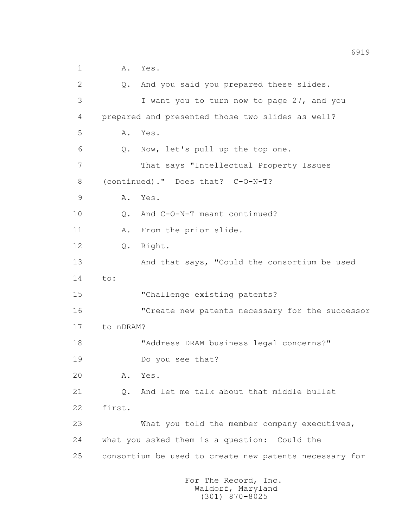1 A. Yes.

 2 Q. And you said you prepared these slides. 3 I want you to turn now to page 27, and you 4 prepared and presented those two slides as well? 5 A. Yes. 6 Q. Now, let's pull up the top one. 7 That says "Intellectual Property Issues 8 (continued)." Does that? C-O-N-T? 9 A. Yes. 10 0. And C-O-N-T meant continued? 11 A. From the prior slide. 12 Q. Right. 13 And that says, "Could the consortium be used 14 to: 15 "Challenge existing patents? 16 "Create new patents necessary for the successor 17 to nDRAM? 18 "Address DRAM business legal concerns?" 19 Do you see that? 20 A. Yes. 21 Q. And let me talk about that middle bullet 22 first. 23 What you told the member company executives, 24 what you asked them is a question: Could the 25 consortium be used to create new patents necessary for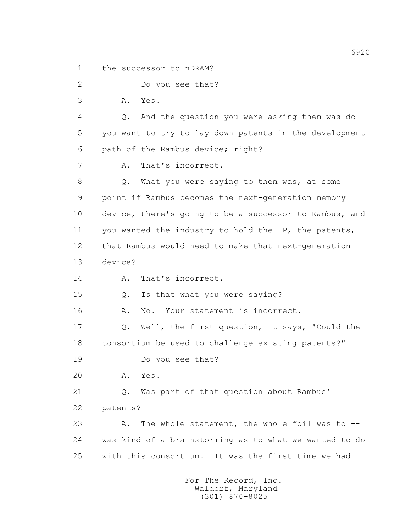1 the successor to nDRAM?

2 Do you see that?

3 A. Yes.

 4 Q. And the question you were asking them was do 5 you want to try to lay down patents in the development 6 path of the Rambus device; right?

7 A. That's incorrect.

 8 Q. What you were saying to them was, at some 9 point if Rambus becomes the next-generation memory 10 device, there's going to be a successor to Rambus, and 11 you wanted the industry to hold the IP, the patents, 12 that Rambus would need to make that next-generation 13 device?

14 A. That's incorrect.

15 Q. Is that what you were saying?

16 A. No. Your statement is incorrect.

 17 Q. Well, the first question, it says, "Could the 18 consortium be used to challenge existing patents?"

19 Do you see that?

20 A. Yes.

21 Q. Was part of that question about Rambus'

22 patents?

 23 A. The whole statement, the whole foil was to -- 24 was kind of a brainstorming as to what we wanted to do 25 with this consortium. It was the first time we had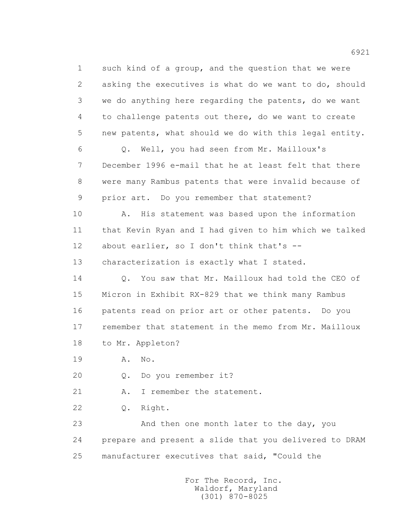1 such kind of a group, and the question that we were 2 asking the executives is what do we want to do, should 3 we do anything here regarding the patents, do we want 4 to challenge patents out there, do we want to create 5 new patents, what should we do with this legal entity. 6 Q. Well, you had seen from Mr. Mailloux's 7 December 1996 e-mail that he at least felt that there 8 were many Rambus patents that were invalid because of 9 prior art. Do you remember that statement? 10 A. His statement was based upon the information 11 that Kevin Ryan and I had given to him which we talked 12 about earlier, so I don't think that's -- 13 characterization is exactly what I stated. 14 Q. You saw that Mr. Mailloux had told the CEO of 15 Micron in Exhibit RX-829 that we think many Rambus 16 patents read on prior art or other patents. Do you 17 remember that statement in the memo from Mr. Mailloux 18 to Mr. Appleton? 19 A. No. 20 Q. Do you remember it? 21 A. I remember the statement. 22 Q. Right.

> 23 And then one month later to the day, you 24 prepare and present a slide that you delivered to DRAM 25 manufacturer executives that said, "Could the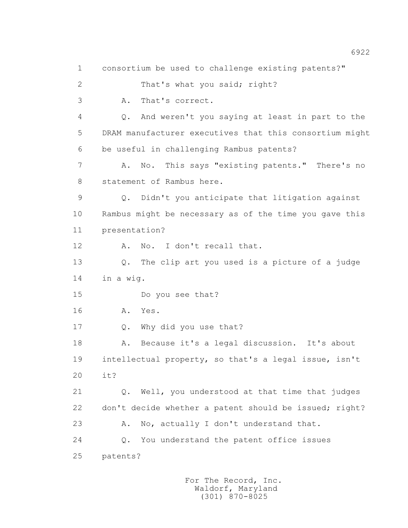1 consortium be used to challenge existing patents?" 2 That's what you said; right? 3 A. That's correct. 4 Q. And weren't you saying at least in part to the 5 DRAM manufacturer executives that this consortium might 6 be useful in challenging Rambus patents? 7 A. No. This says "existing patents." There's no 8 statement of Rambus here. 9 Q. Didn't you anticipate that litigation against 10 Rambus might be necessary as of the time you gave this 11 presentation? 12 A. No. I don't recall that. 13 Q. The clip art you used is a picture of a judge 14 in a wig. 15 Do you see that? 16 A. Yes. 17 Q. Why did you use that? 18 A. Because it's a legal discussion. It's about 19 intellectual property, so that's a legal issue, isn't 20 it? 21 Q. Well, you understood at that time that judges 22 don't decide whether a patent should be issued; right? 23 A. No, actually I don't understand that. 24 Q. You understand the patent office issues 25 patents?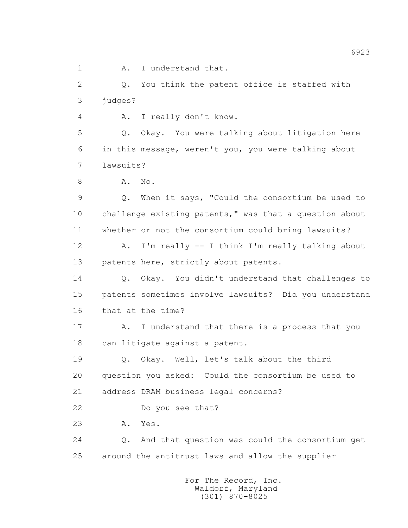1 A. I understand that.

 2 Q. You think the patent office is staffed with 3 judges?

4 A. I really don't know.

 5 Q. Okay. You were talking about litigation here 6 in this message, weren't you, you were talking about 7 lawsuits?

8 A. No.

 9 Q. When it says, "Could the consortium be used to 10 challenge existing patents," was that a question about 11 whether or not the consortium could bring lawsuits?

 12 A. I'm really -- I think I'm really talking about 13 patents here, strictly about patents.

 14 Q. Okay. You didn't understand that challenges to 15 patents sometimes involve lawsuits? Did you understand 16 that at the time?

 17 A. I understand that there is a process that you 18 can litigate against a patent.

 19 Q. Okay. Well, let's talk about the third 20 question you asked: Could the consortium be used to 21 address DRAM business legal concerns?

22 Do you see that?

23 A. Yes.

 24 Q. And that question was could the consortium get 25 around the antitrust laws and allow the supplier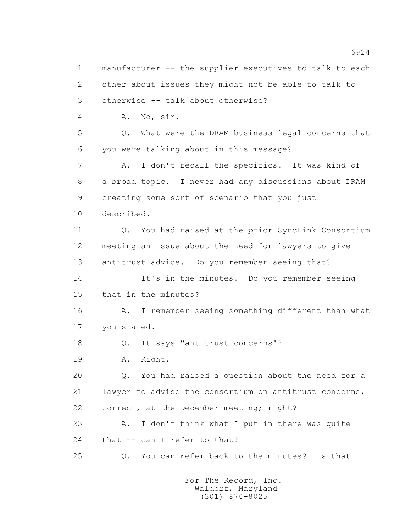1 manufacturer -- the supplier executives to talk to each 2 other about issues they might not be able to talk to 3 otherwise -- talk about otherwise? 4 A. No, sir. 5 Q. What were the DRAM business legal concerns that 6 you were talking about in this message? 7 A. I don't recall the specifics. It was kind of 8 a broad topic. I never had any discussions about DRAM 9 creating some sort of scenario that you just 10 described. 11 Q. You had raised at the prior SyncLink Consortium 12 meeting an issue about the need for lawyers to give 13 antitrust advice. Do you remember seeing that? 14 It's in the minutes. Do you remember seeing 15 that in the minutes? 16 A. I remember seeing something different than what 17 you stated. 18 Q. It says "antitrust concerns"? 19 A. Right. 20 Q. You had raised a question about the need for a 21 lawyer to advise the consortium on antitrust concerns, 22 correct, at the December meeting; right? 23 A. I don't think what I put in there was quite 24 that -- can I refer to that? 25 Q. You can refer back to the minutes? Is that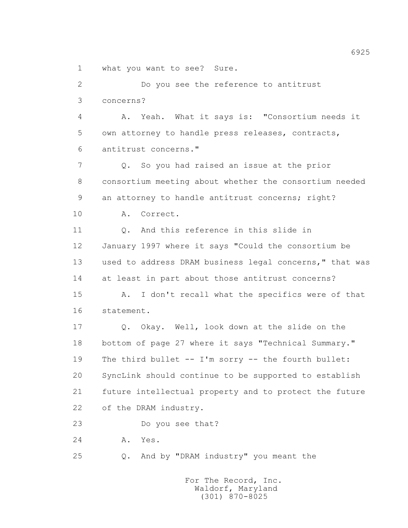1 what you want to see? Sure.

 2 Do you see the reference to antitrust 3 concerns? 4 A. Yeah. What it says is: "Consortium needs it 5 own attorney to handle press releases, contracts, 6 antitrust concerns." 7 Q. So you had raised an issue at the prior 8 consortium meeting about whether the consortium needed 9 an attorney to handle antitrust concerns; right? 10 A. Correct. 11 Q. And this reference in this slide in 12 January 1997 where it says "Could the consortium be 13 used to address DRAM business legal concerns," that was 14 at least in part about those antitrust concerns? 15 A. I don't recall what the specifics were of that 16 statement. 17 Q. Okay. Well, look down at the slide on the 18 bottom of page 27 where it says "Technical Summary." 19 The third bullet -- I'm sorry -- the fourth bullet: 20 SyncLink should continue to be supported to establish 21 future intellectual property and to protect the future 22 of the DRAM industry. 23 Do you see that? 24 A. Yes. 25 Q. And by "DRAM industry" you meant the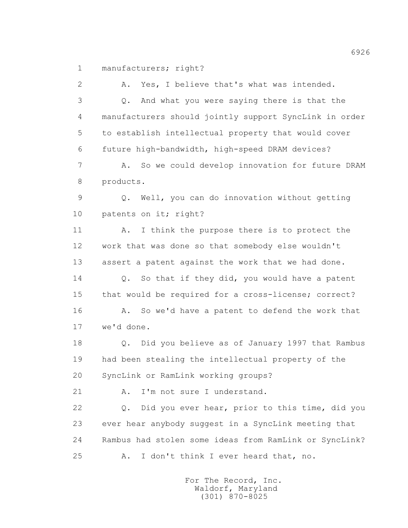1 manufacturers; right?

 2 A. Yes, I believe that's what was intended. 3 Q. And what you were saying there is that the 4 manufacturers should jointly support SyncLink in order 5 to establish intellectual property that would cover 6 future high-bandwidth, high-speed DRAM devices? 7 A. So we could develop innovation for future DRAM 8 products. 9 Q. Well, you can do innovation without getting 10 patents on it; right? 11 A. I think the purpose there is to protect the 12 work that was done so that somebody else wouldn't 13 assert a patent against the work that we had done. 14 Q. So that if they did, you would have a patent 15 that would be required for a cross-license; correct? 16 A. So we'd have a patent to defend the work that 17 we'd done. 18 Q. Did you believe as of January 1997 that Rambus 19 had been stealing the intellectual property of the 20 SyncLink or RamLink working groups? 21 A. I'm not sure I understand. 22 Q. Did you ever hear, prior to this time, did you 23 ever hear anybody suggest in a SyncLink meeting that 24 Rambus had stolen some ideas from RamLink or SyncLink? 25 A. I don't think I ever heard that, no.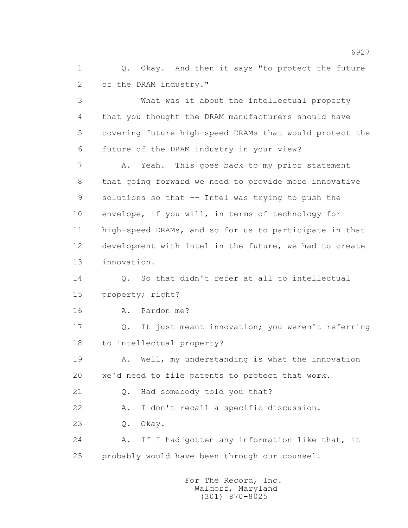1 0. Okay. And then it says "to protect the future 2 of the DRAM industry."

 3 What was it about the intellectual property 4 that you thought the DRAM manufacturers should have 5 covering future high-speed DRAMs that would protect the 6 future of the DRAM industry in your view?

 7 A. Yeah. This goes back to my prior statement 8 that going forward we need to provide more innovative 9 solutions so that -- Intel was trying to push the 10 envelope, if you will, in terms of technology for 11 high-speed DRAMs, and so for us to participate in that 12 development with Intel in the future, we had to create 13 innovation.

 14 Q. So that didn't refer at all to intellectual 15 property; right?

16 A. Pardon me?

 17 Q. It just meant innovation; you weren't referring 18 to intellectual property?

 19 A. Well, my understanding is what the innovation 20 we'd need to file patents to protect that work.

21 Q. Had somebody told you that?

22 A. I don't recall a specific discussion.

23 Q. Okay.

 24 A. If I had gotten any information like that, it 25 probably would have been through our counsel.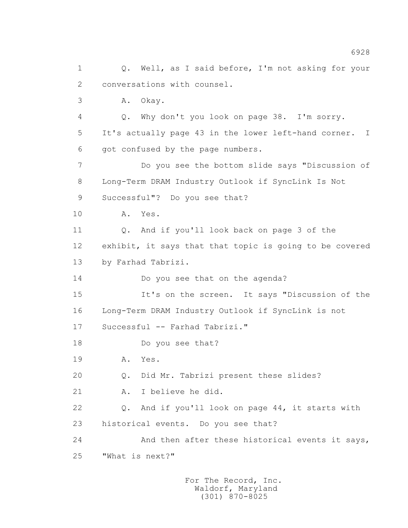1 0. Well, as I said before, I'm not asking for your 2 conversations with counsel. 3 A. Okay. 4 Q. Why don't you look on page 38. I'm sorry. 5 It's actually page 43 in the lower left-hand corner. I 6 got confused by the page numbers. 7 Do you see the bottom slide says "Discussion of 8 Long-Term DRAM Industry Outlook if SyncLink Is Not 9 Successful"? Do you see that? 10 A. Yes. 11 Q. And if you'll look back on page 3 of the 12 exhibit, it says that that topic is going to be covered 13 by Farhad Tabrizi. 14 Do you see that on the agenda? 15 It's on the screen. It says "Discussion of the 16 Long-Term DRAM Industry Outlook if SyncLink is not 17 Successful -- Farhad Tabrizi." 18 Do you see that? 19 A. Yes. 20 Q. Did Mr. Tabrizi present these slides? 21 A. I believe he did. 22 Q. And if you'll look on page 44, it starts with 23 historical events. Do you see that? 24 And then after these historical events it says, 25 "What is next?"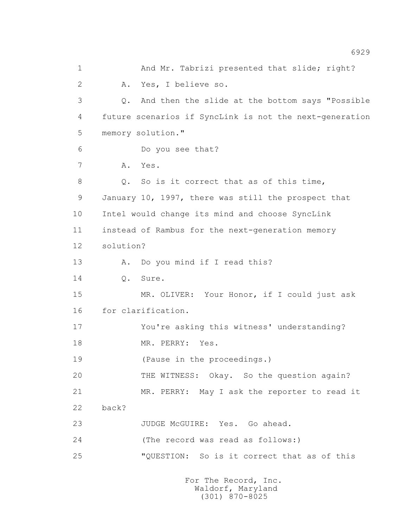1 And Mr. Tabrizi presented that slide; right? 2 A. Yes, I believe so. 3 Q. And then the slide at the bottom says "Possible 4 future scenarios if SyncLink is not the next-generation 5 memory solution." 6 Do you see that? 7 A. Yes. 8 Q. So is it correct that as of this time, 9 January 10, 1997, there was still the prospect that 10 Intel would change its mind and choose SyncLink 11 instead of Rambus for the next-generation memory 12 solution? 13 A. Do you mind if I read this? 14 Q. Sure. 15 MR. OLIVER: Your Honor, if I could just ask 16 for clarification. 17 You're asking this witness' understanding? 18 MR. PERRY: Yes. 19 (Pause in the proceedings.) 20 THE WITNESS: Okay. So the question again? 21 MR. PERRY: May I ask the reporter to read it 22 back? 23 JUDGE McGUIRE: Yes. Go ahead. 24 (The record was read as follows:) 25 "QUESTION: So is it correct that as of this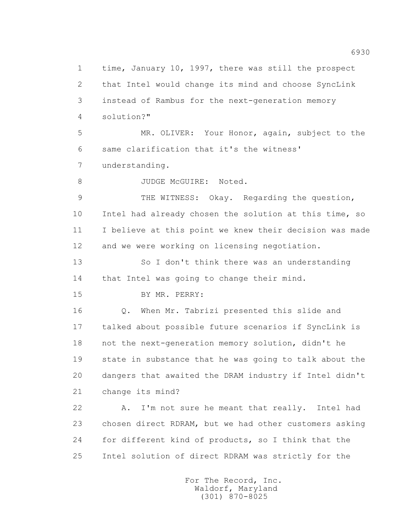1 time, January 10, 1997, there was still the prospect 2 that Intel would change its mind and choose SyncLink 3 instead of Rambus for the next-generation memory 4 solution?" 5 MR. OLIVER: Your Honor, again, subject to the 6 same clarification that it's the witness' 7 understanding. 8 JUDGE McGUIRE: Noted. 9 THE WITNESS: Okay. Regarding the question, 10 Intel had already chosen the solution at this time, so 11 I believe at this point we knew their decision was made 12 and we were working on licensing negotiation. 13 So I don't think there was an understanding 14 that Intel was going to change their mind. 15 BY MR. PERRY: 16 Q. When Mr. Tabrizi presented this slide and 17 talked about possible future scenarios if SyncLink is 18 not the next-generation memory solution, didn't he 19 state in substance that he was going to talk about the 20 dangers that awaited the DRAM industry if Intel didn't 21 change its mind? 22 A. I'm not sure he meant that really. Intel had 23 chosen direct RDRAM, but we had other customers asking 24 for different kind of products, so I think that the 25 Intel solution of direct RDRAM was strictly for the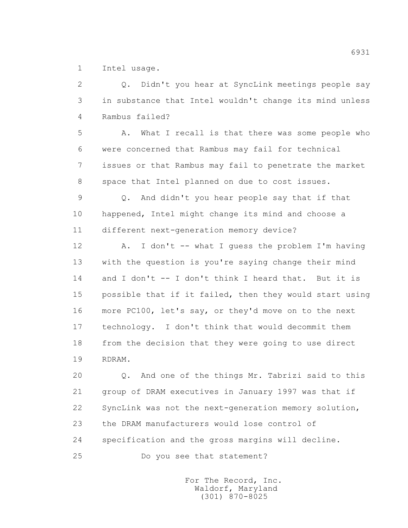1 Intel usage.

 2 Q. Didn't you hear at SyncLink meetings people say 3 in substance that Intel wouldn't change its mind unless 4 Rambus failed?

 5 A. What I recall is that there was some people who 6 were concerned that Rambus may fail for technical 7 issues or that Rambus may fail to penetrate the market 8 space that Intel planned on due to cost issues.

 9 Q. And didn't you hear people say that if that 10 happened, Intel might change its mind and choose a 11 different next-generation memory device?

 12 A. I don't -- what I guess the problem I'm having 13 with the question is you're saying change their mind 14 and I don't -- I don't think I heard that. But it is 15 possible that if it failed, then they would start using 16 more PC100, let's say, or they'd move on to the next 17 technology. I don't think that would decommit them 18 from the decision that they were going to use direct 19 RDRAM.

 20 Q. And one of the things Mr. Tabrizi said to this 21 group of DRAM executives in January 1997 was that if 22 SyncLink was not the next-generation memory solution, 23 the DRAM manufacturers would lose control of 24 specification and the gross margins will decline.

25 Do you see that statement?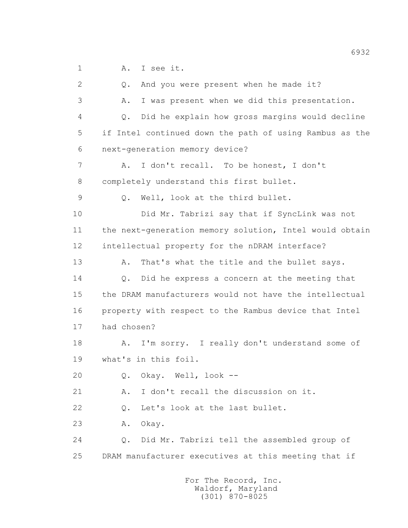1 A. I see it.

 2 Q. And you were present when he made it? 3 A. I was present when we did this presentation. 4 Q. Did he explain how gross margins would decline 5 if Intel continued down the path of using Rambus as the 6 next-generation memory device? 7 A. I don't recall. To be honest, I don't 8 completely understand this first bullet. 9 Q. Well, look at the third bullet. 10 Did Mr. Tabrizi say that if SyncLink was not 11 the next-generation memory solution, Intel would obtain 12 intellectual property for the nDRAM interface? 13 A. That's what the title and the bullet says. 14 Q. Did he express a concern at the meeting that 15 the DRAM manufacturers would not have the intellectual 16 property with respect to the Rambus device that Intel 17 had chosen? 18 A. I'm sorry. I really don't understand some of 19 what's in this foil. 20 Q. Okay. Well, look -- 21 A. I don't recall the discussion on it. 22 Q. Let's look at the last bullet. 23 A. Okay. 24 Q. Did Mr. Tabrizi tell the assembled group of 25 DRAM manufacturer executives at this meeting that if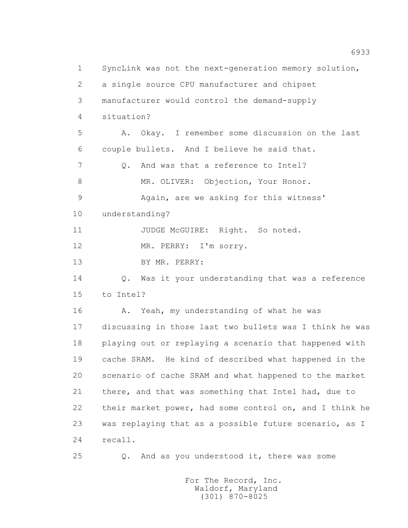1 SyncLink was not the next-generation memory solution, 2 a single source CPU manufacturer and chipset 3 manufacturer would control the demand-supply 4 situation? 5 A. Okay. I remember some discussion on the last 6 couple bullets. And I believe he said that. 7 0. And was that a reference to Intel? 8 MR. OLIVER: Objection, Your Honor. 9 Again, are we asking for this witness' 10 understanding? 11 JUDGE McGUIRE: Right. So noted. 12 MR. PERRY: I'm sorry. 13 BY MR. PERRY: 14 Q. Was it your understanding that was a reference 15 to Intel? 16 A. Yeah, my understanding of what he was 17 discussing in those last two bullets was I think he was 18 playing out or replaying a scenario that happened with 19 cache SRAM. He kind of described what happened in the 20 scenario of cache SRAM and what happened to the market 21 there, and that was something that Intel had, due to 22 their market power, had some control on, and I think he 23 was replaying that as a possible future scenario, as I 24 recall. 25 Q. And as you understood it, there was some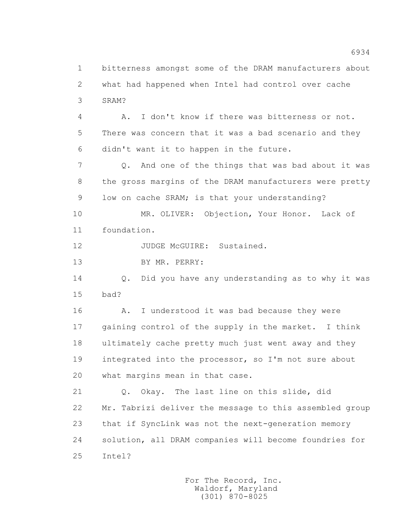1 bitterness amongst some of the DRAM manufacturers about 2 what had happened when Intel had control over cache 3 SRAM? 4 A. I don't know if there was bitterness or not. 5 There was concern that it was a bad scenario and they 6 didn't want it to happen in the future. 7 Q. And one of the things that was bad about it was 8 the gross margins of the DRAM manufacturers were pretty 9 low on cache SRAM; is that your understanding? 10 MR. OLIVER: Objection, Your Honor. Lack of 11 foundation. 12 JUDGE McGUIRE: Sustained. 13 BY MR. PERRY: 14 Q. Did you have any understanding as to why it was 15 bad? 16 A. I understood it was bad because they were 17 gaining control of the supply in the market. I think 18 ultimately cache pretty much just went away and they 19 integrated into the processor, so I'm not sure about 20 what margins mean in that case. 21 Q. Okay. The last line on this slide, did 22 Mr. Tabrizi deliver the message to this assembled group 23 that if SyncLink was not the next-generation memory 24 solution, all DRAM companies will become foundries for 25 Intel?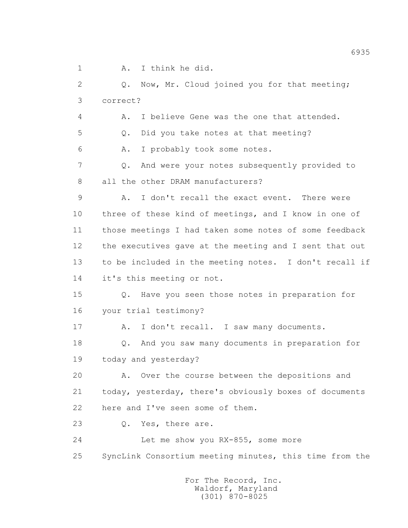1 A. I think he did.

 2 Q. Now, Mr. Cloud joined you for that meeting; 3 correct? 4 A. I believe Gene was the one that attended. 5 Q. Did you take notes at that meeting? 6 A. I probably took some notes. 7 Q. And were your notes subsequently provided to 8 all the other DRAM manufacturers? 9 A. I don't recall the exact event. There were 10 three of these kind of meetings, and I know in one of 11 those meetings I had taken some notes of some feedback 12 the executives gave at the meeting and I sent that out 13 to be included in the meeting notes. I don't recall if 14 it's this meeting or not. 15 Q. Have you seen those notes in preparation for 16 your trial testimony? 17 A. I don't recall. I saw many documents. 18 Q. And you saw many documents in preparation for 19 today and yesterday? 20 A. Over the course between the depositions and 21 today, yesterday, there's obviously boxes of documents 22 here and I've seen some of them. 23 Q. Yes, there are. 24 Let me show you RX-855, some more 25 SyncLink Consortium meeting minutes, this time from the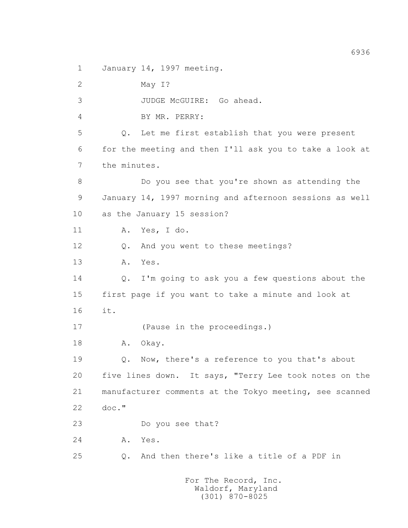1 January 14, 1997 meeting.

 2 May I? 3 JUDGE McGUIRE: Go ahead. 4 BY MR. PERRY: 5 Q. Let me first establish that you were present 6 for the meeting and then I'll ask you to take a look at 7 the minutes. 8 Do you see that you're shown as attending the 9 January 14, 1997 morning and afternoon sessions as well 10 as the January 15 session? 11 A. Yes, I do. 12 Q. And you went to these meetings? 13 A. Yes. 14 Q. I'm going to ask you a few questions about the 15 first page if you want to take a minute and look at 16 it. 17 (Pause in the proceedings.) 18 A. Okay. 19 Q. Now, there's a reference to you that's about 20 five lines down. It says, "Terry Lee took notes on the 21 manufacturer comments at the Tokyo meeting, see scanned 22 doc." 23 Do you see that? 24 A. Yes. 25 Q. And then there's like a title of a PDF in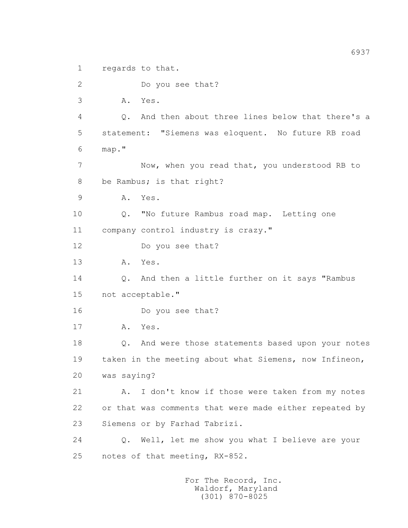1 regards to that.

2 Do you see that?

3 A. Yes.

 4 Q. And then about three lines below that there's a 5 statement: "Siemens was eloquent. No future RB road 6 map."

 7 Now, when you read that, you understood RB to 8 be Rambus; is that right?

9 A. Yes.

10 Q. "No future Rambus road map. Letting one

11 company control industry is crazy."

12 Do you see that?

13 A. Yes.

 14 Q. And then a little further on it says "Rambus 15 not acceptable."

16 Do you see that?

17 A. Yes.

 18 Q. And were those statements based upon your notes 19 taken in the meeting about what Siemens, now Infineon, 20 was saying?

 21 A. I don't know if those were taken from my notes 22 or that was comments that were made either repeated by 23 Siemens or by Farhad Tabrizi.

 24 Q. Well, let me show you what I believe are your 25 notes of that meeting, RX-852.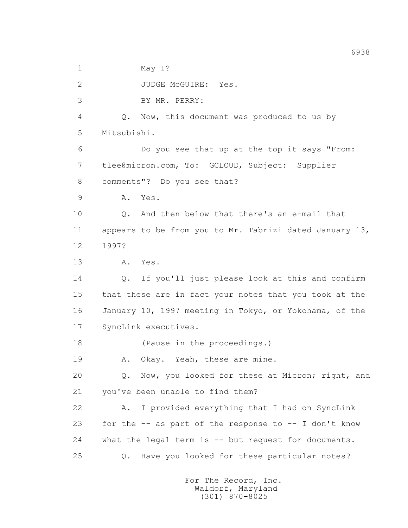1 May I?

2 JUDGE McGUIRE: Yes.

3 BY MR. PERRY:

 4 Q. Now, this document was produced to us by 5 Mitsubishi.

 6 Do you see that up at the top it says "From: 7 tlee@micron.com, To: GCLOUD, Subject: Supplier 8 comments"? Do you see that?

9 A. Yes.

 10 Q. And then below that there's an e-mail that 11 appears to be from you to Mr. Tabrizi dated January 13, 12 1997?

13 A. Yes.

 14 Q. If you'll just please look at this and confirm 15 that these are in fact your notes that you took at the 16 January 10, 1997 meeting in Tokyo, or Yokohama, of the 17 SyncLink executives.

18 (Pause in the proceedings.)

19 A. Okay. Yeah, these are mine.

 20 Q. Now, you looked for these at Micron; right, and 21 you've been unable to find them?

 22 A. I provided everything that I had on SyncLink 23 for the -- as part of the response to -- I don't know 24 what the legal term is -- but request for documents. 25 Q. Have you looked for these particular notes?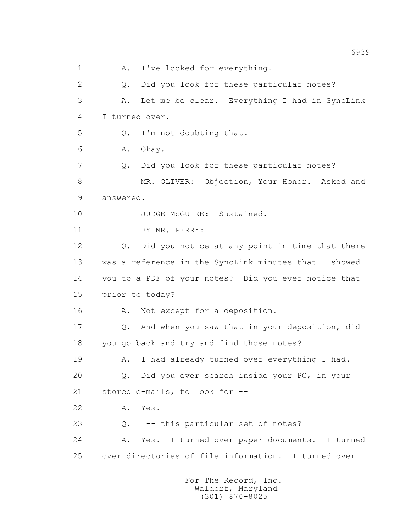1 A. I've looked for everything. 2 Q. Did you look for these particular notes? 3 A. Let me be clear. Everything I had in SyncLink 4 I turned over. 5 Q. I'm not doubting that. 6 A. Okay. 7 Q. Did you look for these particular notes? 8 MR. OLIVER: Objection, Your Honor. Asked and 9 answered. 10 JUDGE McGUIRE: Sustained. 11 BY MR. PERRY: 12 Q. Did you notice at any point in time that there 13 was a reference in the SyncLink minutes that I showed 14 you to a PDF of your notes? Did you ever notice that 15 prior to today? 16 A. Not except for a deposition. 17 Q. And when you saw that in your deposition, did 18 you go back and try and find those notes? 19 A. I had already turned over everything I had. 20 Q. Did you ever search inside your PC, in your 21 stored e-mails, to look for -- 22 A. Yes. 23 0. -- this particular set of notes? 24 A. Yes. I turned over paper documents. I turned 25 over directories of file information. I turned over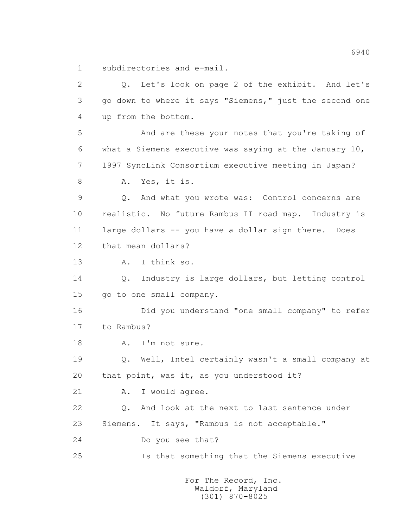1 subdirectories and e-mail.

 2 Q. Let's look on page 2 of the exhibit. And let's 3 go down to where it says "Siemens," just the second one 4 up from the bottom. 5 And are these your notes that you're taking of 6 what a Siemens executive was saying at the January 10, 7 1997 SyncLink Consortium executive meeting in Japan? 8 A. Yes, it is. 9 Q. And what you wrote was: Control concerns are 10 realistic. No future Rambus II road map. Industry is 11 large dollars -- you have a dollar sign there. Does 12 that mean dollars? 13 A. I think so. 14 Q. Industry is large dollars, but letting control 15 go to one small company. 16 Did you understand "one small company" to refer 17 to Rambus? 18 A. I'm not sure. 19 Q. Well, Intel certainly wasn't a small company at 20 that point, was it, as you understood it? 21 A. I would agree. 22 Q. And look at the next to last sentence under 23 Siemens. It says, "Rambus is not acceptable." 24 Do you see that? 25 Is that something that the Siemens executive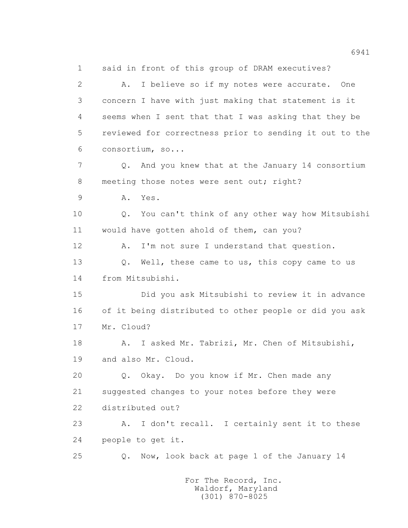1 said in front of this group of DRAM executives? 2 A. I believe so if my notes were accurate. One 3 concern I have with just making that statement is it 4 seems when I sent that that I was asking that they be 5 reviewed for correctness prior to sending it out to the 6 consortium, so... 7 Q. And you knew that at the January 14 consortium 8 meeting those notes were sent out; right? 9 A. Yes. 10 Q. You can't think of any other way how Mitsubishi 11 would have gotten ahold of them, can you? 12 A. I'm not sure I understand that question. 13 O. Well, these came to us, this copy came to us 14 from Mitsubishi. 15 Did you ask Mitsubishi to review it in advance 16 of it being distributed to other people or did you ask 17 Mr. Cloud? 18 A. I asked Mr. Tabrizi, Mr. Chen of Mitsubishi, 19 and also Mr. Cloud. 20 Q. Okay. Do you know if Mr. Chen made any 21 suggested changes to your notes before they were 22 distributed out? 23 A. I don't recall. I certainly sent it to these 24 people to get it. 25 Q. Now, look back at page 1 of the January 14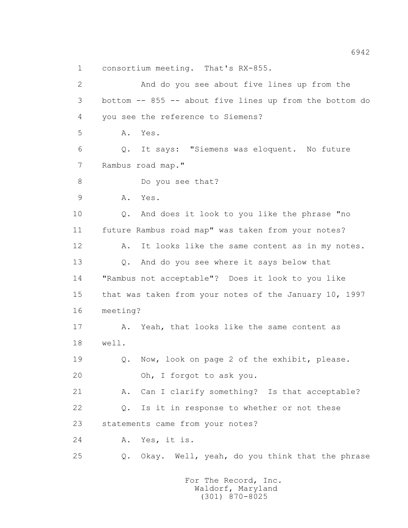1 consortium meeting. That's RX-855.

 2 And do you see about five lines up from the 3 bottom -- 855 -- about five lines up from the bottom do 4 you see the reference to Siemens? 5 A. Yes. 6 Q. It says: "Siemens was eloquent. No future 7 Rambus road map." 8 Do you see that? 9 A. Yes. 10 0. And does it look to you like the phrase "no 11 future Rambus road map" was taken from your notes? 12 A. It looks like the same content as in my notes. 13 Q. And do you see where it says below that 14 "Rambus not acceptable"? Does it look to you like 15 that was taken from your notes of the January 10, 1997 16 meeting? 17 A. Yeah, that looks like the same content as 18 well. 19 Q. Now, look on page 2 of the exhibit, please. 20 Oh, I forgot to ask you. 21 A. Can I clarify something? Is that acceptable? 22 Q. Is it in response to whether or not these 23 statements came from your notes? 24 A. Yes, it is. 25 Q. Okay. Well, yeah, do you think that the phrase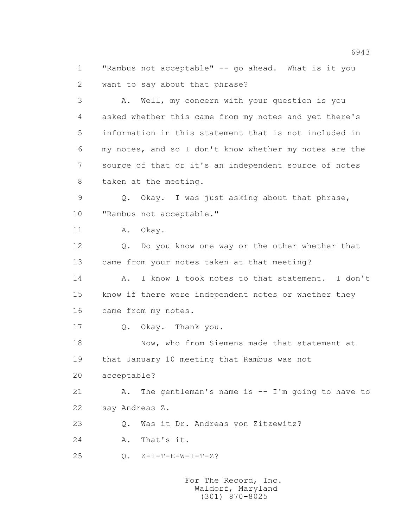1 "Rambus not acceptable" -- go ahead. What is it you 2 want to say about that phrase?

 3 A. Well, my concern with your question is you 4 asked whether this came from my notes and yet there's 5 information in this statement that is not included in 6 my notes, and so I don't know whether my notes are the 7 source of that or it's an independent source of notes 8 taken at the meeting.

 9 Q. Okay. I was just asking about that phrase, 10 "Rambus not acceptable."

11 A. Okay.

 12 Q. Do you know one way or the other whether that 13 came from your notes taken at that meeting?

 14 A. I know I took notes to that statement. I don't 15 know if there were independent notes or whether they 16 came from my notes.

17 Q. Okay. Thank you.

 18 Now, who from Siemens made that statement at 19 that January 10 meeting that Rambus was not

20 acceptable?

 21 A. The gentleman's name is -- I'm going to have to 22 say Andreas Z.

23 Q. Was it Dr. Andreas von Zitzewitz?

24 A. That's it.

25 Q. Z-I-T-E-W-I-T-Z?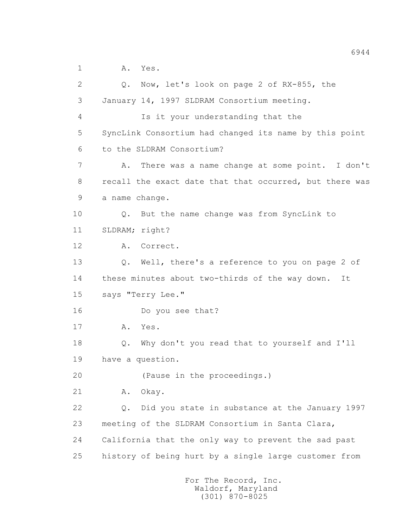1 A. Yes.

 2 Q. Now, let's look on page 2 of RX-855, the 3 January 14, 1997 SLDRAM Consortium meeting. 4 Is it your understanding that the 5 SyncLink Consortium had changed its name by this point 6 to the SLDRAM Consortium? 7 A. There was a name change at some point. I don't 8 recall the exact date that that occurred, but there was 9 a name change. 10 Q. But the name change was from SyncLink to 11 SLDRAM; right? 12 A. Correct. 13 Q. Well, there's a reference to you on page 2 of 14 these minutes about two-thirds of the way down. It 15 says "Terry Lee." 16 Do you see that? 17 A. Yes. 18 Q. Why don't you read that to yourself and I'll 19 have a question. 20 (Pause in the proceedings.) 21 A. Okay. 22 Q. Did you state in substance at the January 1997 23 meeting of the SLDRAM Consortium in Santa Clara, 24 California that the only way to prevent the sad past 25 history of being hurt by a single large customer from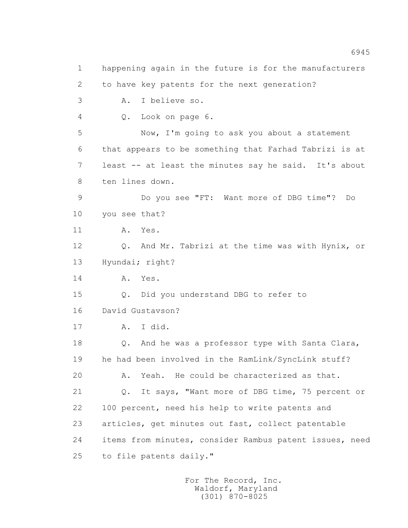1 happening again in the future is for the manufacturers 2 to have key patents for the next generation? 3 A. I believe so. 4 Q. Look on page 6. 5 Now, I'm going to ask you about a statement 6 that appears to be something that Farhad Tabrizi is at 7 least -- at least the minutes say he said. It's about 8 ten lines down. 9 Do you see "FT: Want more of DBG time"? Do 10 you see that? 11 A. Yes. 12 Q. And Mr. Tabrizi at the time was with Hynix, or 13 Hyundai; right? 14 A. Yes. 15 Q. Did you understand DBG to refer to 16 David Gustavson? 17 A. I did. 18 Q. And he was a professor type with Santa Clara, 19 he had been involved in the RamLink/SyncLink stuff? 20 A. Yeah. He could be characterized as that. 21 Q. It says, "Want more of DBG time, 75 percent or 22 100 percent, need his help to write patents and 23 articles, get minutes out fast, collect patentable 24 items from minutes, consider Rambus patent issues, need 25 to file patents daily."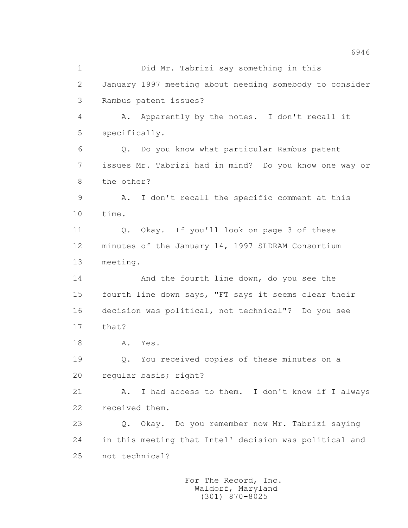1 Did Mr. Tabrizi say something in this 2 January 1997 meeting about needing somebody to consider 3 Rambus patent issues? 4 A. Apparently by the notes. I don't recall it 5 specifically. 6 Q. Do you know what particular Rambus patent 7 issues Mr. Tabrizi had in mind? Do you know one way or 8 the other? 9 A. I don't recall the specific comment at this 10 time. 11 Q. Okay. If you'll look on page 3 of these 12 minutes of the January 14, 1997 SLDRAM Consortium 13 meeting. 14 And the fourth line down, do you see the 15 fourth line down says, "FT says it seems clear their 16 decision was political, not technical"? Do you see 17 that? 18 A. Yes. 19 Q. You received copies of these minutes on a 20 regular basis; right? 21 A. I had access to them. I don't know if I always 22 received them. 23 Q. Okay. Do you remember now Mr. Tabrizi saying 24 in this meeting that Intel' decision was political and 25 not technical?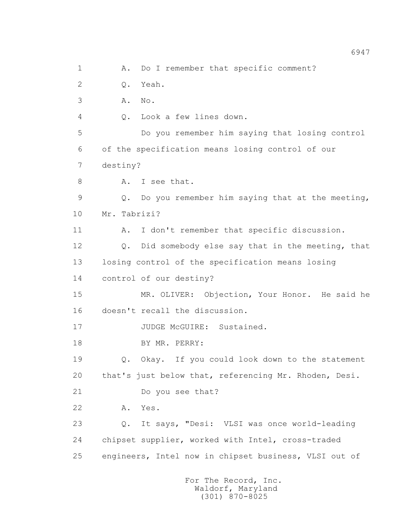1 A. Do I remember that specific comment? 2 Q. Yeah. 3 A. No. 4 Q. Look a few lines down. 5 Do you remember him saying that losing control 6 of the specification means losing control of our 7 destiny? 8 A. I see that. 9 Q. Do you remember him saying that at the meeting, 10 Mr. Tabrizi? 11 A. I don't remember that specific discussion. 12 Q. Did somebody else say that in the meeting, that 13 losing control of the specification means losing 14 control of our destiny? 15 MR. OLIVER: Objection, Your Honor. He said he 16 doesn't recall the discussion. 17 JUDGE McGUIRE: Sustained. 18 BY MR. PERRY: 19 Q. Okay. If you could look down to the statement 20 that's just below that, referencing Mr. Rhoden, Desi. 21 Do you see that? 22 A. Yes. 23 Q. It says, "Desi: VLSI was once world-leading 24 chipset supplier, worked with Intel, cross-traded 25 engineers, Intel now in chipset business, VLSI out of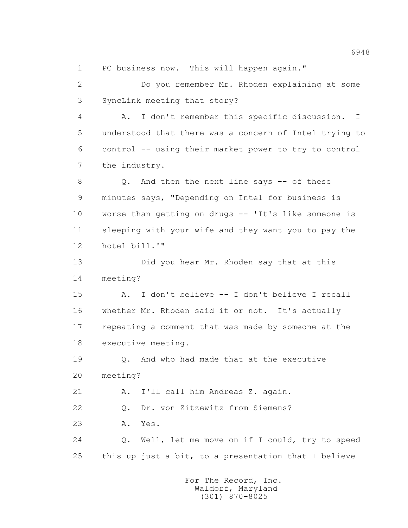1 PC business now. This will happen again."

 2 Do you remember Mr. Rhoden explaining at some 3 SyncLink meeting that story?

 4 A. I don't remember this specific discussion. I 5 understood that there was a concern of Intel trying to 6 control -- using their market power to try to control 7 the industry.

 8 Q. And then the next line says -- of these 9 minutes says, "Depending on Intel for business is 10 worse than getting on drugs -- 'It's like someone is 11 sleeping with your wife and they want you to pay the 12 hotel bill.'"

 13 Did you hear Mr. Rhoden say that at this 14 meeting?

 15 A. I don't believe -- I don't believe I recall 16 whether Mr. Rhoden said it or not. It's actually 17 repeating a comment that was made by someone at the 18 executive meeting.

 19 Q. And who had made that at the executive 20 meeting?

21 A. I'll call him Andreas Z. again.

22 Q. Dr. von Zitzewitz from Siemens?

23 A. Yes.

 24 Q. Well, let me move on if I could, try to speed 25 this up just a bit, to a presentation that I believe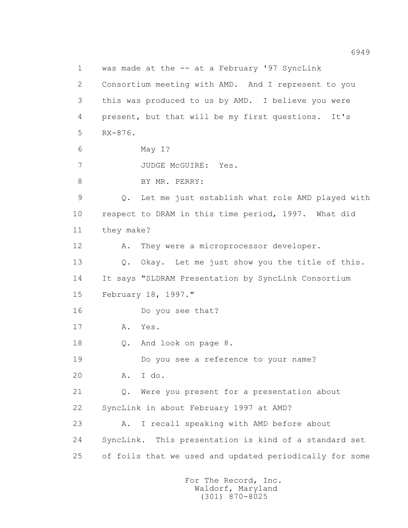1 was made at the -- at a February '97 SyncLink 2 Consortium meeting with AMD. And I represent to you 3 this was produced to us by AMD. I believe you were 4 present, but that will be my first questions. It's 5 RX-876. 6 May I? 7 JUDGE McGUIRE: Yes. 8 BY MR. PERRY: 9 Q. Let me just establish what role AMD played with 10 respect to DRAM in this time period, 1997. What did 11 they make? 12 A. They were a microprocessor developer. 13 Q. Okay. Let me just show you the title of this. 14 It says "SLDRAM Presentation by SyncLink Consortium 15 February 18, 1997." 16 Do you see that? 17 A. Yes. 18 Q. And look on page 8. 19 Do you see a reference to your name? 20 A. I do. 21 Q. Were you present for a presentation about 22 SyncLink in about February 1997 at AMD? 23 A. I recall speaking with AMD before about 24 SyncLink. This presentation is kind of a standard set 25 of foils that we used and updated periodically for some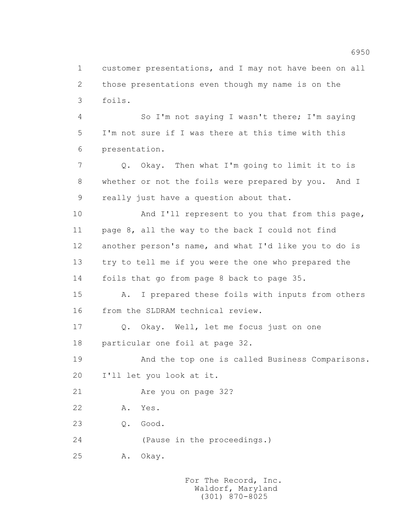1 customer presentations, and I may not have been on all 2 those presentations even though my name is on the 3 foils.

 4 So I'm not saying I wasn't there; I'm saying 5 I'm not sure if I was there at this time with this 6 presentation.

 7 Q. Okay. Then what I'm going to limit it to is 8 whether or not the foils were prepared by you. And I 9 really just have a question about that.

10 And I'll represent to you that from this page, 11 page 8, all the way to the back I could not find 12 another person's name, and what I'd like you to do is 13 try to tell me if you were the one who prepared the 14 foils that go from page 8 back to page 35.

 15 A. I prepared these foils with inputs from others 16 from the SLDRAM technical review.

 17 Q. Okay. Well, let me focus just on one 18 particular one foil at page 32.

 19 And the top one is called Business Comparisons. 20 I'll let you look at it.

21 Are you on page 32?

22 A. Yes.

23 Q. Good.

24 (Pause in the proceedings.)

25 A. Okay.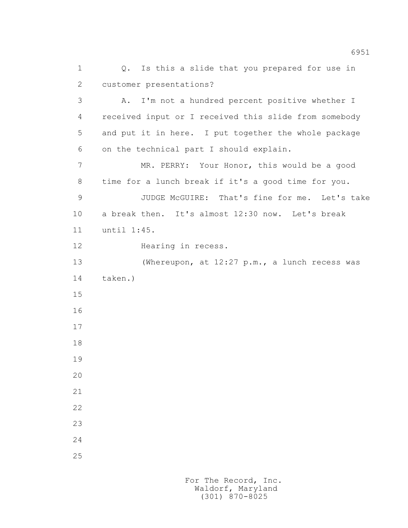1 Q. Is this a slide that you prepared for use in 2 customer presentations? 3 A. I'm not a hundred percent positive whether I 4 received input or I received this slide from somebody 5 and put it in here. I put together the whole package 6 on the technical part I should explain. 7 MR. PERRY: Your Honor, this would be a good 8 time for a lunch break if it's a good time for you. 9 JUDGE McGUIRE: That's fine for me. Let's take 10 a break then. It's almost 12:30 now. Let's break 11 until 1:45. 12 Hearing in recess. 13 (Whereupon, at 12:27 p.m., a lunch recess was 14 taken.) 15 16 17 18 19 20 21 22 23 24 25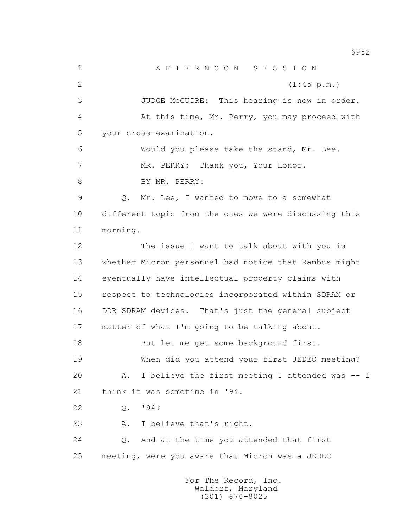1 A F T E R N O O N S E S S I O N 2 (1:45 p.m.) 3 JUDGE McGUIRE: This hearing is now in order. 4 At this time, Mr. Perry, you may proceed with 5 your cross-examination. 6 Would you please take the stand, Mr. Lee. 7 MR. PERRY: Thank you, Your Honor. 8 BY MR. PERRY: 9 Q. Mr. Lee, I wanted to move to a somewhat 10 different topic from the ones we were discussing this 11 morning. 12 The issue I want to talk about with you is 13 whether Micron personnel had notice that Rambus might 14 eventually have intellectual property claims with 15 respect to technologies incorporated within SDRAM or 16 DDR SDRAM devices. That's just the general subject 17 matter of what I'm going to be talking about. 18 But let me get some background first. 19 When did you attend your first JEDEC meeting? 20 A. I believe the first meeting I attended was -- I 21 think it was sometime in '94. 22 Q. '94? 23 A. I believe that's right. 24 Q. And at the time you attended that first 25 meeting, were you aware that Micron was a JEDEC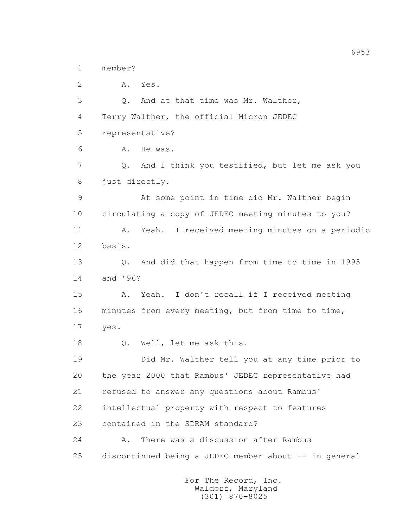1 member?

 2 A. Yes. 3 Q. And at that time was Mr. Walther, 4 Terry Walther, the official Micron JEDEC 5 representative? 6 A. He was. 7 Q. And I think you testified, but let me ask you 8 just directly. 9 At some point in time did Mr. Walther begin 10 circulating a copy of JEDEC meeting minutes to you? 11 A. Yeah. I received meeting minutes on a periodic 12 basis. 13 Q. And did that happen from time to time in 1995 14 and '96? 15 A. Yeah. I don't recall if I received meeting 16 minutes from every meeting, but from time to time, 17 yes. 18 Q. Well, let me ask this. 19 Did Mr. Walther tell you at any time prior to 20 the year 2000 that Rambus' JEDEC representative had 21 refused to answer any questions about Rambus' 22 intellectual property with respect to features 23 contained in the SDRAM standard? 24 A. There was a discussion after Rambus 25 discontinued being a JEDEC member about -- in general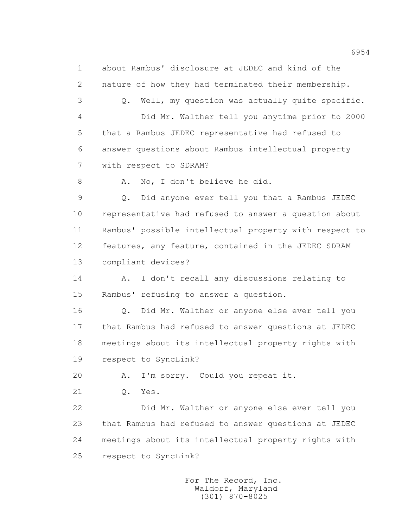1 about Rambus' disclosure at JEDEC and kind of the 2 nature of how they had terminated their membership. 3 Q. Well, my question was actually quite specific. 4 Did Mr. Walther tell you anytime prior to 2000 5 that a Rambus JEDEC representative had refused to 6 answer questions about Rambus intellectual property 7 with respect to SDRAM? 8 A. No, I don't believe he did. 9 Q. Did anyone ever tell you that a Rambus JEDEC 10 representative had refused to answer a question about 11 Rambus' possible intellectual property with respect to 12 features, any feature, contained in the JEDEC SDRAM 13 compliant devices? 14 A. I don't recall any discussions relating to 15 Rambus' refusing to answer a question. 16 Q. Did Mr. Walther or anyone else ever tell you 17 that Rambus had refused to answer questions at JEDEC 18 meetings about its intellectual property rights with 19 respect to SyncLink? 20 A. I'm sorry. Could you repeat it. 21 Q. Yes. 22 Did Mr. Walther or anyone else ever tell you 23 that Rambus had refused to answer questions at JEDEC 24 meetings about its intellectual property rights with 25 respect to SyncLink?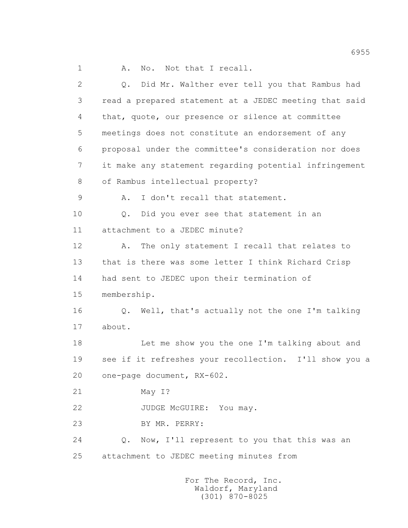1 A. No. Not that I recall.

 2 Q. Did Mr. Walther ever tell you that Rambus had 3 read a prepared statement at a JEDEC meeting that said 4 that, quote, our presence or silence at committee 5 meetings does not constitute an endorsement of any 6 proposal under the committee's consideration nor does 7 it make any statement regarding potential infringement 8 of Rambus intellectual property? 9 A. I don't recall that statement. 10 0. Did you ever see that statement in an 11 attachment to a JEDEC minute? 12 A. The only statement I recall that relates to 13 that is there was some letter I think Richard Crisp 14 had sent to JEDEC upon their termination of 15 membership. 16 Q. Well, that's actually not the one I'm talking 17 about. 18 Let me show you the one I'm talking about and 19 see if it refreshes your recollection. I'll show you a 20 one-page document, RX-602. 21 May I? 22 JUDGE McGUIRE: You may. 23 BY MR. PERRY: 24 Q. Now, I'll represent to you that this was an 25 attachment to JEDEC meeting minutes from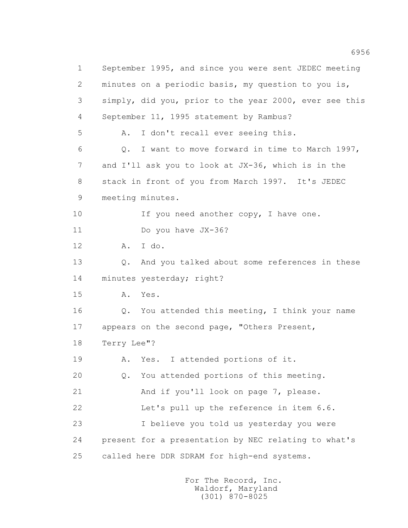1 September 1995, and since you were sent JEDEC meeting 2 minutes on a periodic basis, my question to you is, 3 simply, did you, prior to the year 2000, ever see this 4 September 11, 1995 statement by Rambus? 5 A. I don't recall ever seeing this. 6 Q. I want to move forward in time to March 1997, 7 and I'll ask you to look at JX-36, which is in the 8 stack in front of you from March 1997. It's JEDEC 9 meeting minutes. 10 If you need another copy, I have one. 11 Do you have JX-36? 12 A. I do. 13 0. And you talked about some references in these 14 minutes yesterday; right? 15 A. Yes. 16 Q. You attended this meeting, I think your name 17 appears on the second page, "Others Present, 18 Terry Lee"? 19 A. Yes. I attended portions of it. 20 Q. You attended portions of this meeting. 21 And if you'll look on page 7, please. 22 Let's pull up the reference in item 6.6. 23 I believe you told us yesterday you were 24 present for a presentation by NEC relating to what's 25 called here DDR SDRAM for high-end systems.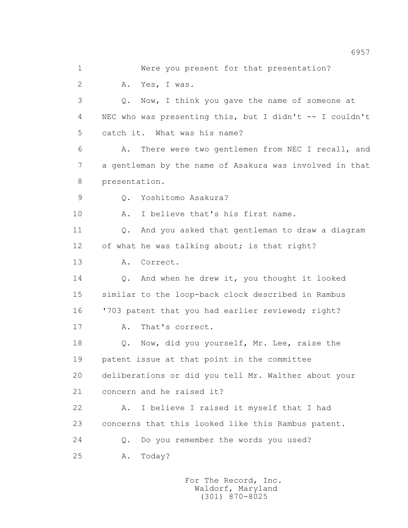1 Were you present for that presentation? 2 A. Yes, I was. 3 Q. Now, I think you gave the name of someone at 4 NEC who was presenting this, but I didn't -- I couldn't 5 catch it. What was his name? 6 A. There were two gentlemen from NEC I recall, and 7 a gentleman by the name of Asakura was involved in that 8 presentation. 9 Q. Yoshitomo Asakura? 10 A. I believe that's his first name. 11 Q. And you asked that gentleman to draw a diagram 12 of what he was talking about; is that right? 13 A. Correct. 14 Q. And when he drew it, you thought it looked 15 similar to the loop-back clock described in Rambus 16 '703 patent that you had earlier reviewed; right? 17 A. That's correct. 18 0. Now, did you yourself, Mr. Lee, raise the 19 patent issue at that point in the committee 20 deliberations or did you tell Mr. Walther about your 21 concern and he raised it? 22 A. I believe I raised it myself that I had 23 concerns that this looked like this Rambus patent. 24 Q. Do you remember the words you used? 25 A. Today?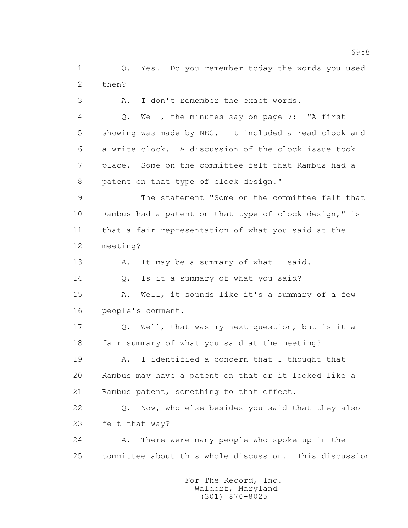1 Q. Yes. Do you remember today the words you used 2 then? 3 A. I don't remember the exact words. 4 Q. Well, the minutes say on page 7: "A first 5 showing was made by NEC. It included a read clock and

 6 a write clock. A discussion of the clock issue took 7 place. Some on the committee felt that Rambus had a 8 patent on that type of clock design."

 9 The statement "Some on the committee felt that 10 Rambus had a patent on that type of clock design," is 11 that a fair representation of what you said at the 12 meeting?

13 A. It may be a summary of what I said.

14 Q. Is it a summary of what you said?

 15 A. Well, it sounds like it's a summary of a few 16 people's comment.

 17 Q. Well, that was my next question, but is it a 18 fair summary of what you said at the meeting?

 19 A. I identified a concern that I thought that 20 Rambus may have a patent on that or it looked like a 21 Rambus patent, something to that effect.

 22 Q. Now, who else besides you said that they also 23 felt that way?

 24 A. There were many people who spoke up in the 25 committee about this whole discussion. This discussion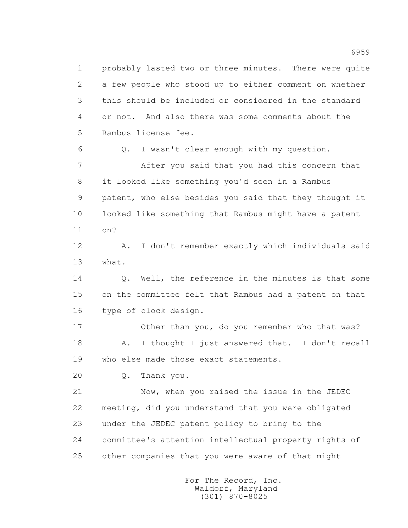1 probably lasted two or three minutes. There were quite 2 a few people who stood up to either comment on whether 3 this should be included or considered in the standard 4 or not. And also there was some comments about the 5 Rambus license fee. 6 Q. I wasn't clear enough with my question. 7 After you said that you had this concern that 8 it looked like something you'd seen in a Rambus 9 patent, who else besides you said that they thought it 10 looked like something that Rambus might have a patent 11 on? 12 A. I don't remember exactly which individuals said 13 what. 14 Q. Well, the reference in the minutes is that some 15 on the committee felt that Rambus had a patent on that 16 type of clock design. 17 Other than you, do you remember who that was? 18 A. I thought I just answered that. I don't recall 19 who else made those exact statements. 20 Q. Thank you. 21 Now, when you raised the issue in the JEDEC 22 meeting, did you understand that you were obligated 23 under the JEDEC patent policy to bring to the 24 committee's attention intellectual property rights of 25 other companies that you were aware of that might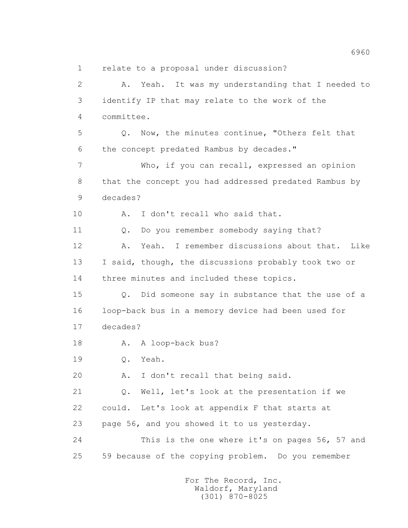1 relate to a proposal under discussion?

 2 A. Yeah. It was my understanding that I needed to 3 identify IP that may relate to the work of the 4 committee. 5 Q. Now, the minutes continue, "Others felt that 6 the concept predated Rambus by decades." 7 Who, if you can recall, expressed an opinion 8 that the concept you had addressed predated Rambus by 9 decades? 10 A. I don't recall who said that. 11 Q. Do you remember somebody saying that? 12 A. Yeah. I remember discussions about that. Like 13 I said, though, the discussions probably took two or 14 three minutes and included these topics. 15 Q. Did someone say in substance that the use of a 16 loop-back bus in a memory device had been used for 17 decades? 18 A. A loop-back bus? 19 Q. Yeah. 20 A. I don't recall that being said. 21 Q. Well, let's look at the presentation if we 22 could. Let's look at appendix F that starts at 23 page 56, and you showed it to us yesterday. 24 This is the one where it's on pages 56, 57 and 25 59 because of the copying problem. Do you remember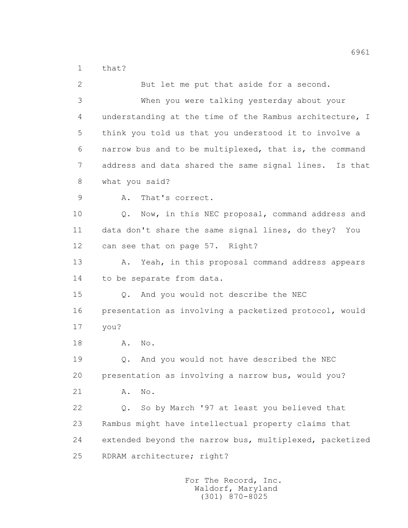1 that?

| 2  | But let me put that aside for a second.                 |
|----|---------------------------------------------------------|
| 3  | When you were talking yesterday about your              |
| 4  | understanding at the time of the Rambus architecture, I |
| 5  | think you told us that you understood it to involve a   |
| 6  | narrow bus and to be multiplexed, that is, the command  |
| 7  | address and data shared the same signal lines. Is that  |
| 8  | what you said?                                          |
| 9  | That's correct.<br>Α.                                   |
| 10 | Now, in this NEC proposal, command address and<br>Q.    |
| 11 | data don't share the same signal lines, do they? You    |
| 12 | can see that on page 57. Right?                         |
| 13 | Yeah, in this proposal command address appears<br>Α.    |
| 14 | to be separate from data.                               |
| 15 | And you would not describe the NEC<br>Q.                |
| 16 | presentation as involving a packetized protocol, would  |
| 17 | you?                                                    |
| 18 | No.<br>Α.                                               |
| 19 | And you would not have described the NEC<br>Q.          |
| 20 | presentation as involving a narrow bus, would you?      |
| 21 | No.<br>Α.                                               |
| 22 | So by March '97 at least you believed that<br>Q.        |
| 23 | Rambus might have intellectual property claims that     |
| 24 | extended beyond the narrow bus, multiplexed, packetized |
| 25 | RDRAM architecture; right?                              |
|    |                                                         |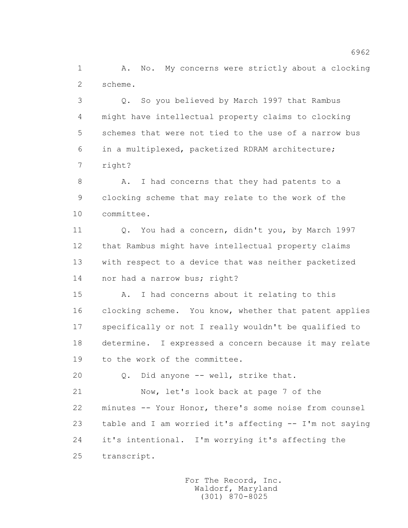1 A. No. My concerns were strictly about a clocking 2 scheme.

 3 Q. So you believed by March 1997 that Rambus 4 might have intellectual property claims to clocking 5 schemes that were not tied to the use of a narrow bus 6 in a multiplexed, packetized RDRAM architecture; 7 right?

 8 A. I had concerns that they had patents to a 9 clocking scheme that may relate to the work of the 10 committee.

 11 Q. You had a concern, didn't you, by March 1997 12 that Rambus might have intellectual property claims 13 with respect to a device that was neither packetized 14 nor had a narrow bus; right?

 15 A. I had concerns about it relating to this 16 clocking scheme. You know, whether that patent applies 17 specifically or not I really wouldn't be qualified to 18 determine. I expressed a concern because it may relate 19 to the work of the committee.

20 Q. Did anyone -- well, strike that.

 21 Now, let's look back at page 7 of the 22 minutes -- Your Honor, there's some noise from counsel 23 table and I am worried it's affecting -- I'm not saying 24 it's intentional. I'm worrying it's affecting the 25 transcript.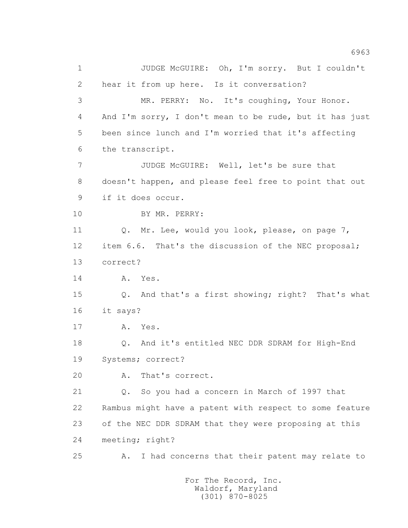1 JUDGE McGUIRE: Oh, I'm sorry. But I couldn't 2 hear it from up here. Is it conversation? 3 MR. PERRY: No. It's coughing, Your Honor. 4 And I'm sorry, I don't mean to be rude, but it has just 5 been since lunch and I'm worried that it's affecting 6 the transcript. 7 JUDGE McGUIRE: Well, let's be sure that 8 doesn't happen, and please feel free to point that out 9 if it does occur. 10 BY MR. PERRY: 11 Q. Mr. Lee, would you look, please, on page 7, 12 item 6.6. That's the discussion of the NEC proposal; 13 correct? 14 A. Yes. 15 Q. And that's a first showing; right? That's what 16 it says? 17 A. Yes. 18 Q. And it's entitled NEC DDR SDRAM for High-End 19 Systems; correct? 20 A. That's correct. 21 Q. So you had a concern in March of 1997 that 22 Rambus might have a patent with respect to some feature 23 of the NEC DDR SDRAM that they were proposing at this 24 meeting; right? 25 A. I had concerns that their patent may relate to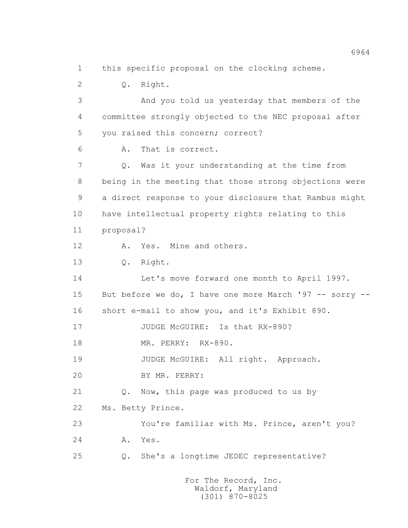1 this specific proposal on the clocking scheme.

 2 Q. Right. 3 And you told us yesterday that members of the 4 committee strongly objected to the NEC proposal after 5 you raised this concern; correct? 6 A. That is correct. 7 Q. Was it your understanding at the time from 8 being in the meeting that those strong objections were 9 a direct response to your disclosure that Rambus might 10 have intellectual property rights relating to this 11 proposal? 12 A. Yes. Mine and others. 13 Q. Right. 14 Let's move forward one month to April 1997. 15 But before we do, I have one more March '97 -- sorry -- 16 short e-mail to show you, and it's Exhibit 890. 17 JUDGE McGUIRE: Is that RX-890? 18 MR. PERRY: RX-890. 19 JUDGE McGUIRE: All right. Approach. 20 BY MR. PERRY: 21 Q. Now, this page was produced to us by 22 Ms. Betty Prince. 23 You're familiar with Ms. Prince, aren't you? 24 A. Yes. 25 Q. She's a longtime JEDEC representative?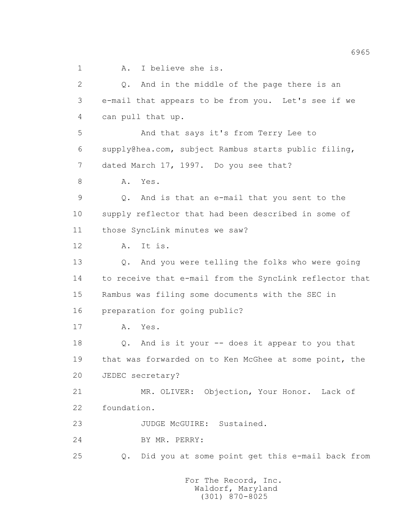1 A. I believe she is.

 2 Q. And in the middle of the page there is an 3 e-mail that appears to be from you. Let's see if we 4 can pull that up. 5 And that says it's from Terry Lee to 6 supply@hea.com, subject Rambus starts public filing, 7 dated March 17, 1997. Do you see that? 8 A. Yes. 9 Q. And is that an e-mail that you sent to the 10 supply reflector that had been described in some of 11 those SyncLink minutes we saw? 12 A. It is. 13 Q. And you were telling the folks who were going 14 to receive that e-mail from the SyncLink reflector that 15 Rambus was filing some documents with the SEC in 16 preparation for going public? 17 A. Yes. 18 Q. And is it your -- does it appear to you that 19 that was forwarded on to Ken McGhee at some point, the 20 JEDEC secretary? 21 MR. OLIVER: Objection, Your Honor. Lack of 22 foundation. 23 JUDGE McGUIRE: Sustained. 24 BY MR. PERRY: 25 Q. Did you at some point get this e-mail back from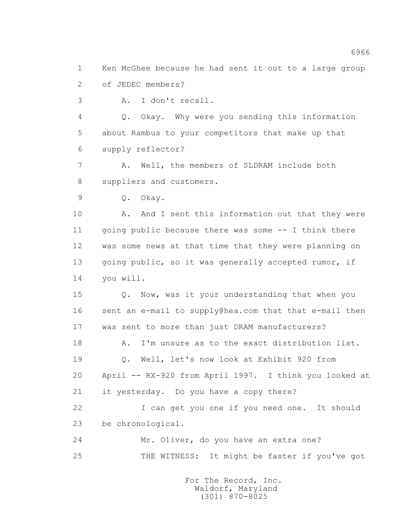1 Ken McGhee because he had sent it out to a large group 2 of JEDEC members?

3 A. I don't recall.

 4 Q. Okay. Why were you sending this information 5 about Rambus to your competitors that make up that 6 supply reflector?

 7 A. Well, the members of SLDRAM include both 8 suppliers and customers.

9 Q. Okay.

10 A. And I sent this information out that they were 11 going public because there was some -- I think there 12 was some news at that time that they were planning on 13 going public, so it was generally accepted rumor, if 14 you will.

 15 Q. Now, was it your understanding that when you 16 sent an e-mail to supply@hea.com that that e-mail then 17 was sent to more than just DRAM manufacturers?

 18 A. I'm unsure as to the exact distribution list. 19 Q. Well, let's now look at Exhibit 920 from 20 April -- RX-920 from April 1997. I think you looked at 21 it yesterday. Do you have a copy there?

 22 I can get you one if you need one. It should 23 be chronological.

 24 Mr. Oliver, do you have an extra one? 25 THE WITNESS: It might be faster if you've got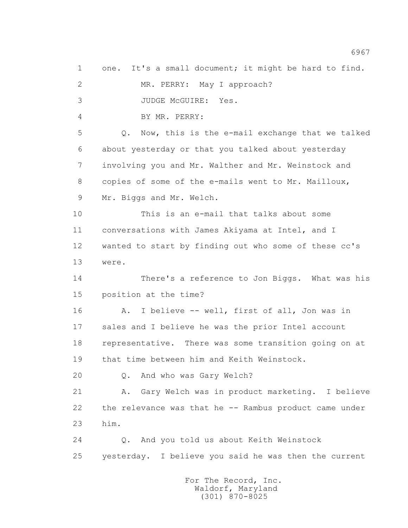1 one. It's a small document; it might be hard to find. 2 MR. PERRY: May I approach? 3 JUDGE McGUIRE: Yes. 4 BY MR. PERRY: 5 Q. Now, this is the e-mail exchange that we talked 6 about yesterday or that you talked about yesterday 7 involving you and Mr. Walther and Mr. Weinstock and 8 copies of some of the e-mails went to Mr. Mailloux, 9 Mr. Biggs and Mr. Welch. 10 This is an e-mail that talks about some 11 conversations with James Akiyama at Intel, and I 12 wanted to start by finding out who some of these cc's 13 were. 14 There's a reference to Jon Biggs. What was his 15 position at the time? 16 A. I believe -- well, first of all, Jon was in 17 sales and I believe he was the prior Intel account 18 representative. There was some transition going on at 19 that time between him and Keith Weinstock. 20 Q. And who was Gary Welch? 21 A. Gary Welch was in product marketing. I believe 22 the relevance was that he -- Rambus product came under 23 him. 24 Q. And you told us about Keith Weinstock 25 yesterday. I believe you said he was then the current For The Record, Inc.

 Waldorf, Maryland (301) 870-8025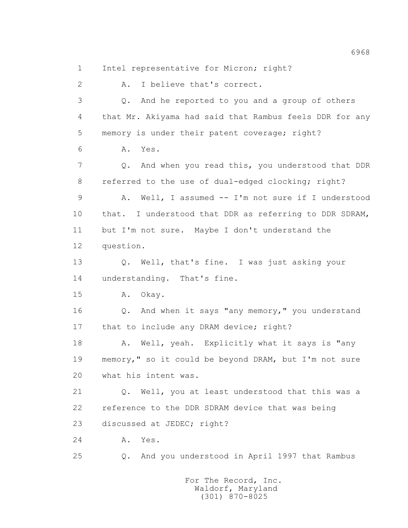1 Intel representative for Micron; right?

 2 A. I believe that's correct. 3 Q. And he reported to you and a group of others 4 that Mr. Akiyama had said that Rambus feels DDR for any 5 memory is under their patent coverage; right? 6 A. Yes. 7 Q. And when you read this, you understood that DDR 8 referred to the use of dual-edged clocking; right? 9 A. Well, I assumed -- I'm not sure if I understood 10 that. I understood that DDR as referring to DDR SDRAM, 11 but I'm not sure. Maybe I don't understand the 12 question. 13 Q. Well, that's fine. I was just asking your 14 understanding. That's fine. 15 A. Okay. 16 Q. And when it says "any memory," you understand 17 that to include any DRAM device; right? 18 A. Well, yeah. Explicitly what it says is "any 19 memory," so it could be beyond DRAM, but I'm not sure 20 what his intent was. 21 Q. Well, you at least understood that this was a 22 reference to the DDR SDRAM device that was being 23 discussed at JEDEC; right? 24 A. Yes. 25 Q. And you understood in April 1997 that Rambus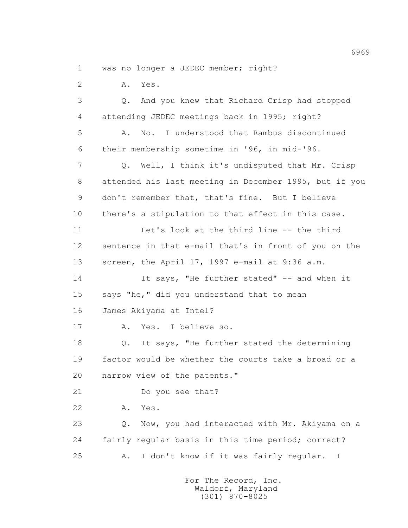1 was no longer a JEDEC member; right?

2 A. Yes.

 3 Q. And you knew that Richard Crisp had stopped 4 attending JEDEC meetings back in 1995; right? 5 A. No. I understood that Rambus discontinued 6 their membership sometime in '96, in mid-'96. 7 Q. Well, I think it's undisputed that Mr. Crisp 8 attended his last meeting in December 1995, but if you 9 don't remember that, that's fine. But I believe 10 there's a stipulation to that effect in this case. 11 Let's look at the third line -- the third 12 sentence in that e-mail that's in front of you on the 13 screen, the April 17, 1997 e-mail at 9:36 a.m. 14 It says, "He further stated" -- and when it 15 says "he," did you understand that to mean 16 James Akiyama at Intel? 17 A. Yes. I believe so. 18 Q. It says, "He further stated the determining 19 factor would be whether the courts take a broad or a 20 narrow view of the patents." 21 Do you see that? 22 A. Yes. 23 Q. Now, you had interacted with Mr. Akiyama on a 24 fairly regular basis in this time period; correct? 25 A. I don't know if it was fairly regular. I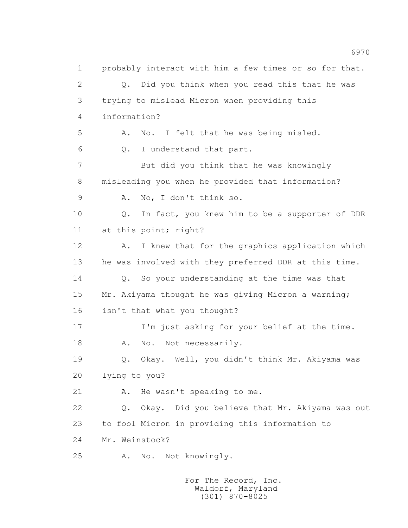1 probably interact with him a few times or so for that. 2 Q. Did you think when you read this that he was 3 trying to mislead Micron when providing this 4 information? 5 A. No. I felt that he was being misled. 6 Q. I understand that part. 7 But did you think that he was knowingly 8 misleading you when he provided that information? 9 A. No, I don't think so. 10 Q. In fact, you knew him to be a supporter of DDR 11 at this point; right? 12 A. I knew that for the graphics application which 13 he was involved with they preferred DDR at this time. 14 Q. So your understanding at the time was that 15 Mr. Akiyama thought he was giving Micron a warning; 16 isn't that what you thought? 17 I'm just asking for your belief at the time. 18 A. No. Not necessarily. 19 Q. Okay. Well, you didn't think Mr. Akiyama was 20 lying to you? 21 A. He wasn't speaking to me. 22 Q. Okay. Did you believe that Mr. Akiyama was out 23 to fool Micron in providing this information to 24 Mr. Weinstock? 25 A. No. Not knowingly.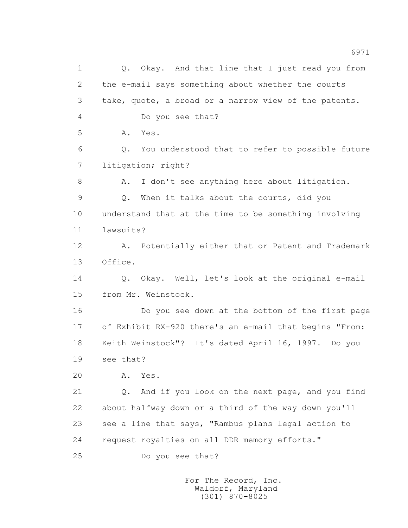1 Q. Okay. And that line that I just read you from 2 the e-mail says something about whether the courts 3 take, quote, a broad or a narrow view of the patents. 4 Do you see that? 5 A. Yes. 6 Q. You understood that to refer to possible future 7 litigation; right? 8 A. I don't see anything here about litigation. 9 Q. When it talks about the courts, did you 10 understand that at the time to be something involving 11 lawsuits? 12 A. Potentially either that or Patent and Trademark 13 Office. 14 Q. Okay. Well, let's look at the original e-mail 15 from Mr. Weinstock. 16 Do you see down at the bottom of the first page 17 of Exhibit RX-920 there's an e-mail that begins "From: 18 Keith Weinstock"? It's dated April 16, 1997. Do you 19 see that? 20 A. Yes. 21 Q. And if you look on the next page, and you find 22 about halfway down or a third of the way down you'll 23 see a line that says, "Rambus plans legal action to 24 request royalties on all DDR memory efforts." 25 Do you see that?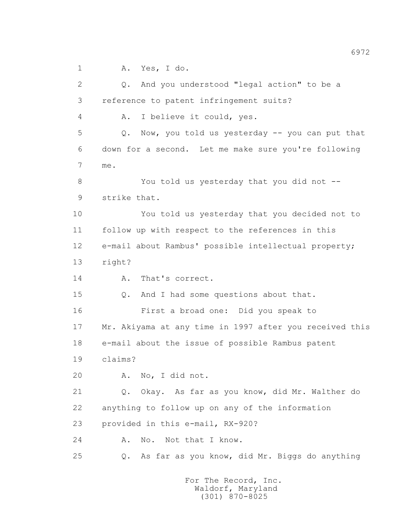1 A. Yes, I do.

 2 Q. And you understood "legal action" to be a 3 reference to patent infringement suits? 4 A. I believe it could, yes. 5 Q. Now, you told us yesterday -- you can put that 6 down for a second. Let me make sure you're following 7 me. 8 You told us yesterday that you did not -- 9 strike that. 10 You told us yesterday that you decided not to 11 follow up with respect to the references in this 12 e-mail about Rambus' possible intellectual property; 13 right? 14 A. That's correct. 15 Q. And I had some questions about that. 16 First a broad one: Did you speak to 17 Mr. Akiyama at any time in 1997 after you received this 18 e-mail about the issue of possible Rambus patent 19 claims? 20 A. No, I did not. 21 Q. Okay. As far as you know, did Mr. Walther do 22 anything to follow up on any of the information 23 provided in this e-mail, RX-920? 24 A. No. Not that I know. 25 Q. As far as you know, did Mr. Biggs do anything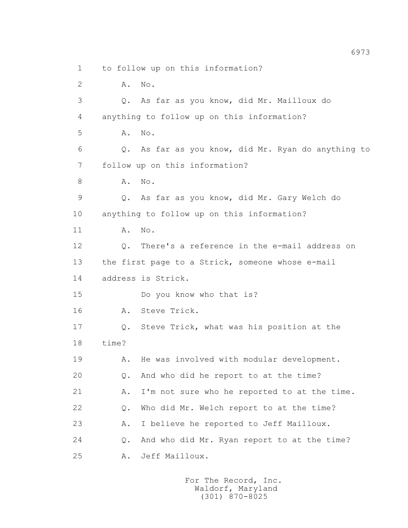1 to follow up on this information?

2 **A.** No.

 3 Q. As far as you know, did Mr. Mailloux do 4 anything to follow up on this information? 5 A. No. 6 Q. As far as you know, did Mr. Ryan do anything to 7 follow up on this information? 8 A. No. 9 Q. As far as you know, did Mr. Gary Welch do 10 anything to follow up on this information? 11 A. No. 12 Q. There's a reference in the e-mail address on 13 the first page to a Strick, someone whose e-mail 14 address is Strick. 15 Do you know who that is? 16 A. Steve Trick. 17 Q. Steve Trick, what was his position at the 18 time? 19 A. He was involved with modular development. 20 Q. And who did he report to at the time? 21 A. I'm not sure who he reported to at the time. 22 Q. Who did Mr. Welch report to at the time? 23 A. I believe he reported to Jeff Mailloux. 24 Q. And who did Mr. Ryan report to at the time? 25 A. Jeff Mailloux.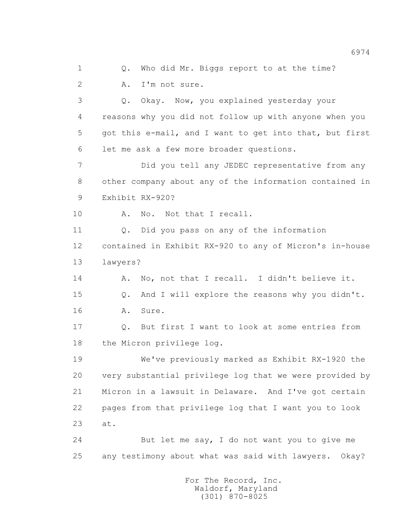1 0. Who did Mr. Biggs report to at the time? 2 A. I'm not sure. 3 Q. Okay. Now, you explained yesterday your 4 reasons why you did not follow up with anyone when you 5 got this e-mail, and I want to get into that, but first 6 let me ask a few more broader questions. 7 Did you tell any JEDEC representative from any 8 other company about any of the information contained in 9 Exhibit RX-920? 10 A. No. Not that I recall. 11 Q. Did you pass on any of the information 12 contained in Exhibit RX-920 to any of Micron's in-house 13 lawyers? 14 A. No, not that I recall. I didn't believe it. 15 Q. And I will explore the reasons why you didn't. 16 A. Sure. 17 Q. But first I want to look at some entries from 18 the Micron privilege log. 19 We've previously marked as Exhibit RX-1920 the 20 very substantial privilege log that we were provided by 21 Micron in a lawsuit in Delaware. And I've got certain 22 pages from that privilege log that I want you to look 23 at. 24 But let me say, I do not want you to give me 25 any testimony about what was said with lawyers. Okay?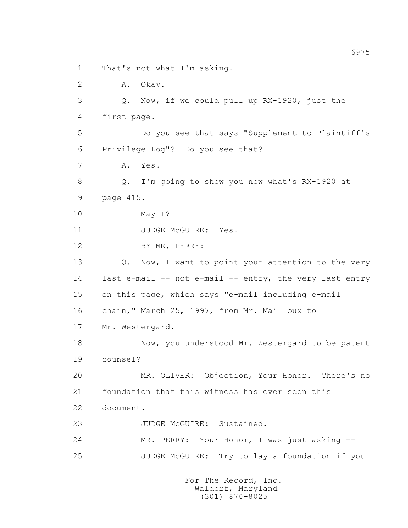1 That's not what I'm asking.

2 A. Okay.

 3 Q. Now, if we could pull up RX-1920, just the 4 first page.

 5 Do you see that says "Supplement to Plaintiff's 6 Privilege Log"? Do you see that?

7 A. Yes.

 8 Q. I'm going to show you now what's RX-1920 at 9 page 415.

10 May I?

11 JUDGE McGUIRE: Yes.

12 BY MR. PERRY:

13 Q. Now, I want to point your attention to the very 14 last e-mail -- not e-mail -- entry, the very last entry 15 on this page, which says "e-mail including e-mail

16 chain," March 25, 1997, from Mr. Mailloux to

17 Mr. Westergard.

18 Now, you understood Mr. Westergard to be patent 19 counsel?

 20 MR. OLIVER: Objection, Your Honor. There's no 21 foundation that this witness has ever seen this 22 document.

23 JUDGE McGUIRE: Sustained.

 24 MR. PERRY: Your Honor, I was just asking -- 25 JUDGE McGUIRE: Try to lay a foundation if you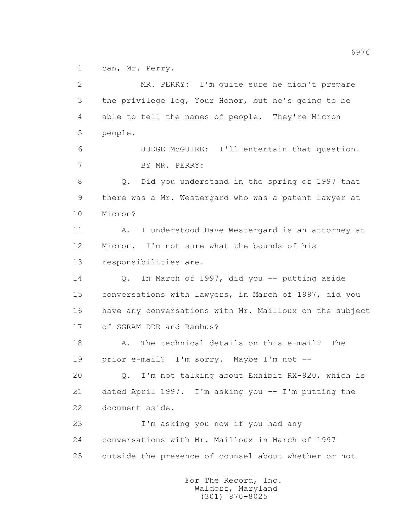1 can, Mr. Perry.

 2 MR. PERRY: I'm quite sure he didn't prepare 3 the privilege log, Your Honor, but he's going to be 4 able to tell the names of people. They're Micron 5 people. 6 JUDGE McGUIRE: I'll entertain that question. 7 BY MR. PERRY: 8 Q. Did you understand in the spring of 1997 that 9 there was a Mr. Westergard who was a patent lawyer at 10 Micron? 11 A. I understood Dave Westergard is an attorney at 12 Micron. I'm not sure what the bounds of his 13 responsibilities are. 14 Q. In March of 1997, did you -- putting aside 15 conversations with lawyers, in March of 1997, did you 16 have any conversations with Mr. Mailloux on the subject 17 of SGRAM DDR and Rambus? 18 A. The technical details on this e-mail? The 19 prior e-mail? I'm sorry. Maybe I'm not -- 20 Q. I'm not talking about Exhibit RX-920, which is 21 dated April 1997. I'm asking you -- I'm putting the 22 document aside. 23 I'm asking you now if you had any 24 conversations with Mr. Mailloux in March of 1997 25 outside the presence of counsel about whether or not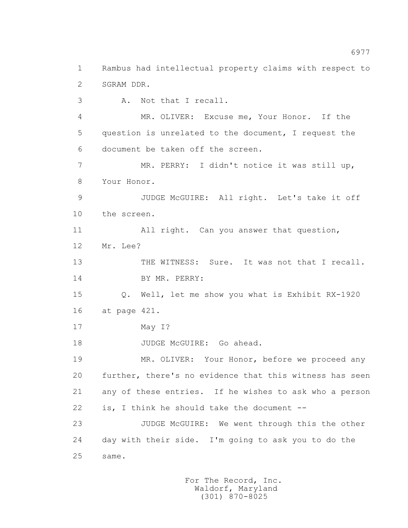2 SGRAM DDR. 3 A. Not that I recall. 4 MR. OLIVER: Excuse me, Your Honor. If the 5 question is unrelated to the document, I request the 6 document be taken off the screen. 7 MR. PERRY: I didn't notice it was still up, 8 Your Honor. 9 JUDGE McGUIRE: All right. Let's take it off 10 the screen. 11 All right. Can you answer that question, 12 Mr. Lee? 13 THE WITNESS: Sure. It was not that I recall. 14 BY MR. PERRY: 15 Q. Well, let me show you what is Exhibit RX-1920 16 at page 421. 17 May I? 18 JUDGE McGUIRE: Go ahead. 19 MR. OLIVER: Your Honor, before we proceed any 20 further, there's no evidence that this witness has seen 21 any of these entries. If he wishes to ask who a person 22 is, I think he should take the document -- 23 JUDGE McGUIRE: We went through this the other 24 day with their side. I'm going to ask you to do the 25 same.

1 Rambus had intellectual property claims with respect to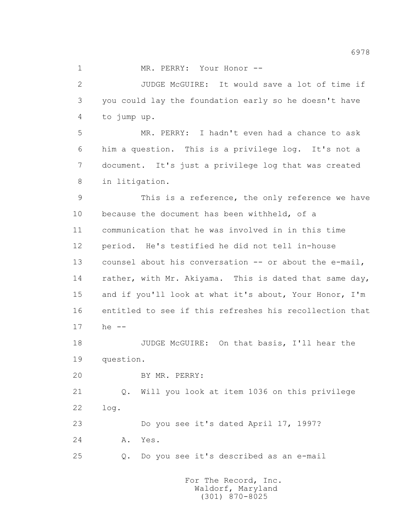1 MR. PERRY: Your Honor --

 2 JUDGE McGUIRE: It would save a lot of time if 3 you could lay the foundation early so he doesn't have 4 to jump up.

 5 MR. PERRY: I hadn't even had a chance to ask 6 him a question. This is a privilege log. It's not a 7 document. It's just a privilege log that was created 8 in litigation.

 9 This is a reference, the only reference we have 10 because the document has been withheld, of a 11 communication that he was involved in in this time 12 period. He's testified he did not tell in-house 13 counsel about his conversation -- or about the e-mail, 14 rather, with Mr. Akiyama. This is dated that same day, 15 and if you'll look at what it's about, Your Honor, I'm 16 entitled to see if this refreshes his recollection that 17 he --

 18 JUDGE McGUIRE: On that basis, I'll hear the 19 question.

20 BY MR. PERRY:

 21 Q. Will you look at item 1036 on this privilege 22 log.

 23 Do you see it's dated April 17, 1997? 24 A. Yes.

25 Q. Do you see it's described as an e-mail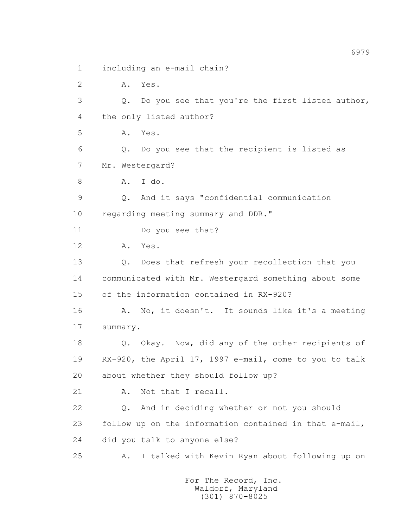1 including an e-mail chain?

2 A. Yes.

 3 Q. Do you see that you're the first listed author, 4 the only listed author?

5 A. Yes.

6 Q. Do you see that the recipient is listed as

7 Mr. Westergard?

8 A. I do.

 9 Q. And it says "confidential communication 10 regarding meeting summary and DDR."

11 Do you see that?

12 A. Yes.

 13 Q. Does that refresh your recollection that you 14 communicated with Mr. Westergard something about some 15 of the information contained in RX-920?

 16 A. No, it doesn't. It sounds like it's a meeting 17 summary.

 18 Q. Okay. Now, did any of the other recipients of 19 RX-920, the April 17, 1997 e-mail, come to you to talk 20 about whether they should follow up?

21 A. Not that I recall.

 22 Q. And in deciding whether or not you should 23 follow up on the information contained in that e-mail, 24 did you talk to anyone else?

25 A. I talked with Kevin Ryan about following up on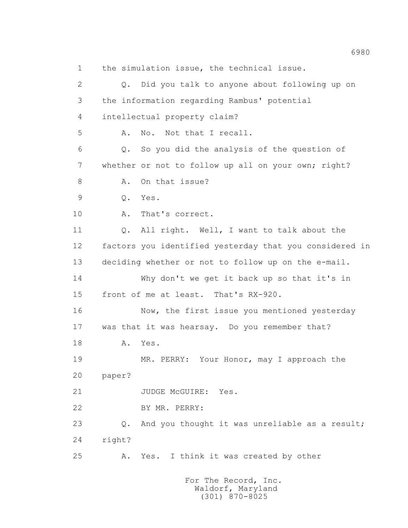1 the simulation issue, the technical issue. 2 Q. Did you talk to anyone about following up on 3 the information regarding Rambus' potential 4 intellectual property claim? 5 A. No. Not that I recall. 6 Q. So you did the analysis of the question of 7 whether or not to follow up all on your own; right? 8 A. On that issue? 9 Q. Yes. 10 A. That's correct. 11 Q. All right. Well, I want to talk about the 12 factors you identified yesterday that you considered in 13 deciding whether or not to follow up on the e-mail. 14 Why don't we get it back up so that it's in 15 front of me at least. That's RX-920. 16 Now, the first issue you mentioned yesterday 17 was that it was hearsay. Do you remember that? 18 A. Yes. 19 MR. PERRY: Your Honor, may I approach the 20 paper? 21 JUDGE McGUIRE: Yes. 22 BY MR. PERRY: 23 Q. And you thought it was unreliable as a result; 24 right? 25 A. Yes. I think it was created by other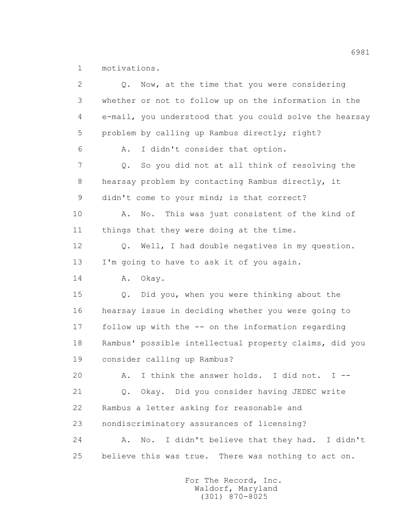1 motivations.

| $\overline{2}$ | Now, at the time that you were considering<br>Q.              |
|----------------|---------------------------------------------------------------|
| 3              | whether or not to follow up on the information in the         |
| 4              | e-mail, you understood that you could solve the hearsay       |
| 5              | problem by calling up Rambus directly; right?                 |
| 6              | I didn't consider that option.<br>Α.                          |
| 7              | So you did not at all think of resolving the<br>Q.            |
| 8              | hearsay problem by contacting Rambus directly, it             |
| 9              | didn't come to your mind; is that correct?                    |
| 10             | This was just consistent of the kind of<br>No.<br>Α.          |
| 11             | things that they were doing at the time.                      |
| 12             | Well, I had double negatives in my question.<br>$Q_{\bullet}$ |
| 13             | I'm going to have to ask it of you again.                     |
| 14             | Α.<br>Okay.                                                   |
| 15             | Did you, when you were thinking about the<br>Q.               |
| 16             | hearsay issue in deciding whether you were going to           |
| 17             | follow up with the -- on the information regarding            |
| 18             | Rambus' possible intellectual property claims, did you        |
| 19             | consider calling up Rambus?                                   |
| 20             | I think the answer holds.<br>I did not.<br>Α.<br>$I$ $-$      |
| 21             | Okay. Did you consider having JEDEC write<br>$Q_{\bullet}$    |
| 22             | Rambus a letter asking for reasonable and                     |
| 23             | nondiscriminatory assurances of licensing?                    |
| 24             | I didn't believe that they had. I didn't<br>Α.<br>No.         |
| 25             | believe this was true. There was nothing to act on.           |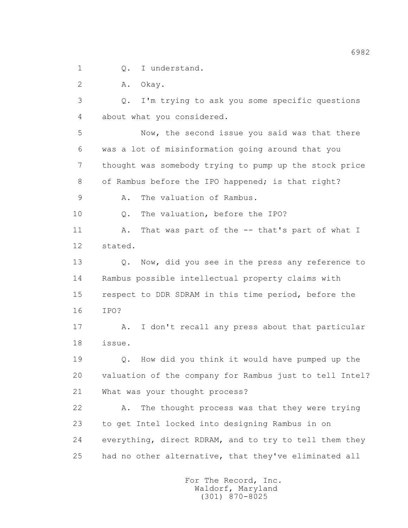1 0. I understand.

2 A. Okay.

 3 Q. I'm trying to ask you some specific questions 4 about what you considered.

 5 Now, the second issue you said was that there 6 was a lot of misinformation going around that you 7 thought was somebody trying to pump up the stock price 8 of Rambus before the IPO happened; is that right?

9 A. The valuation of Rambus.

10 0. The valuation, before the IPO?

 11 A. That was part of the -- that's part of what I 12 stated.

13 O. Now, did you see in the press any reference to 14 Rambus possible intellectual property claims with 15 respect to DDR SDRAM in this time period, before the 16 IPO?

 17 A. I don't recall any press about that particular 18 issue.

 19 Q. How did you think it would have pumped up the 20 valuation of the company for Rambus just to tell Intel? 21 What was your thought process?

 22 A. The thought process was that they were trying 23 to get Intel locked into designing Rambus in on 24 everything, direct RDRAM, and to try to tell them they 25 had no other alternative, that they've eliminated all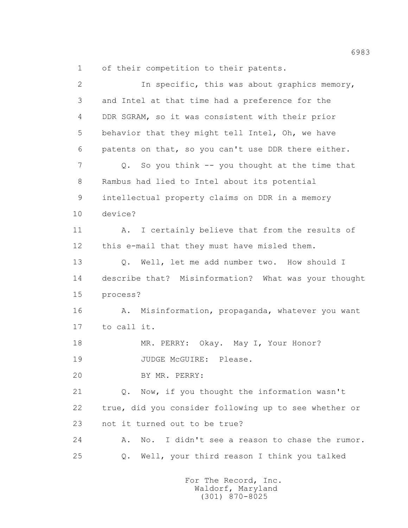1 of their competition to their patents.

| $\overline{2}$ | In specific, this was about graphics memory,                            |
|----------------|-------------------------------------------------------------------------|
| 3              | and Intel at that time had a preference for the                         |
| 4              | DDR SGRAM, so it was consistent with their prior                        |
| 5              | behavior that they might tell Intel, Oh, we have                        |
| 6              | patents on that, so you can't use DDR there either.                     |
| 7              | So you think -- you thought at the time that<br>Q.                      |
| 8              | Rambus had lied to Intel about its potential                            |
| 9              | intellectual property claims on DDR in a memory                         |
| 10             | device?                                                                 |
| 11             | I certainly believe that from the results of<br>Α.                      |
| 12             | this e-mail that they must have misled them.                            |
| 13             | Well, let me add number two. How should I<br>$Q$ .                      |
| 14             | describe that? Misinformation? What was your thought                    |
| 15             | process?                                                                |
| 16             | Misinformation, propaganda, whatever you want<br>Α.                     |
|                |                                                                         |
| 17             | to call it.                                                             |
| 18             | MR. PERRY: Okay. May I, Your Honor?                                     |
| 19             | JUDGE MCGUIRE:<br>Please.                                               |
| 20             | BY MR. PERRY:                                                           |
| 21             | Now, if you thought the information wasn't<br>$Q$ .                     |
| 22             | true, did you consider following up to see whether or                   |
| 23             | not it turned out to be true?                                           |
| 24             | I didn't see a reason to chase the rumor.<br>Α.<br>$\mathbb{N} \circ$ . |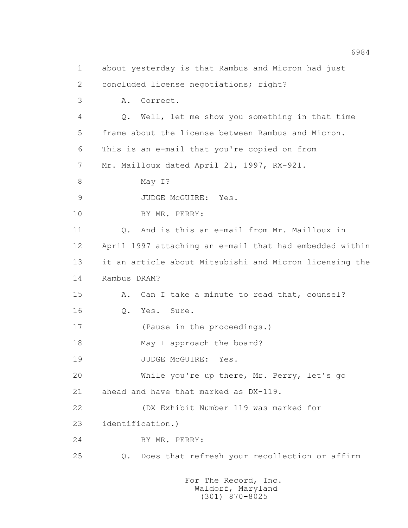1 about yesterday is that Rambus and Micron had just 2 concluded license negotiations; right? 3 A. Correct. 4 Q. Well, let me show you something in that time 5 frame about the license between Rambus and Micron. 6 This is an e-mail that you're copied on from 7 Mr. Mailloux dated April 21, 1997, RX-921. 8 May 1? 9 JUDGE McGUIRE: Yes. 10 BY MR. PERRY: 11 0. And is this an e-mail from Mr. Mailloux in 12 April 1997 attaching an e-mail that had embedded within 13 it an article about Mitsubishi and Micron licensing the 14 Rambus DRAM? 15 A. Can I take a minute to read that, counsel? 16 Q. Yes. Sure. 17 (Pause in the proceedings.) 18 May I approach the board? 19 JUDGE McGUIRE: Yes. 20 While you're up there, Mr. Perry, let's go 21 ahead and have that marked as DX-119. 22 (DX Exhibit Number 119 was marked for 23 identification.) 24 BY MR. PERRY: 25 Q. Does that refresh your recollection or affirm For The Record, Inc. Waldorf, Maryland

(301) 870-8025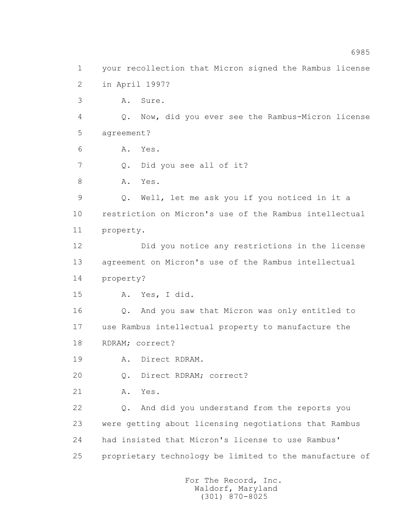1 your recollection that Micron signed the Rambus license 2 in April 1997? 3 A. Sure. 4 Q. Now, did you ever see the Rambus-Micron license 5 agreement? 6 A. Yes. 7 Q. Did you see all of it? 8 A. Yes. 9 Q. Well, let me ask you if you noticed in it a 10 restriction on Micron's use of the Rambus intellectual 11 property. 12 Did you notice any restrictions in the license 13 agreement on Micron's use of the Rambus intellectual 14 property? 15 A. Yes, I did. 16 Q. And you saw that Micron was only entitled to 17 use Rambus intellectual property to manufacture the 18 RDRAM; correct? 19 A. Direct RDRAM. 20 Q. Direct RDRAM; correct? 21 A. Yes. 22 Q. And did you understand from the reports you 23 were getting about licensing negotiations that Rambus 24 had insisted that Micron's license to use Rambus' 25 proprietary technology be limited to the manufacture of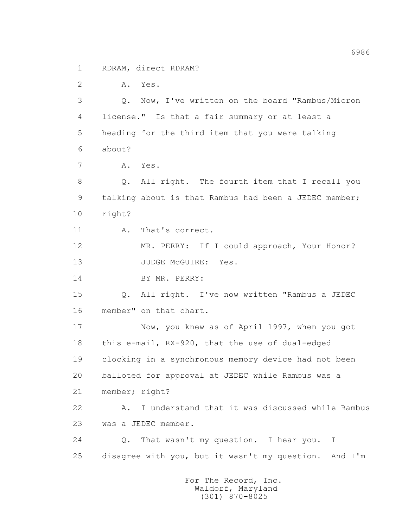1 RDRAM, direct RDRAM?

2 A. Yes.

 3 Q. Now, I've written on the board "Rambus/Micron 4 license." Is that a fair summary or at least a 5 heading for the third item that you were talking 6 about?

7 A. Yes.

 8 Q. All right. The fourth item that I recall you 9 talking about is that Rambus had been a JEDEC member; 10 right?

11 A. That's correct.

 12 MR. PERRY: If I could approach, Your Honor? 13 JUDGE McGUIRE: Yes.

14 BY MR. PERRY:

 15 Q. All right. I've now written "Rambus a JEDEC 16 member" on that chart.

 17 Now, you knew as of April 1997, when you got 18 this e-mail, RX-920, that the use of dual-edged 19 clocking in a synchronous memory device had not been 20 balloted for approval at JEDEC while Rambus was a 21 member; right?

 22 A. I understand that it was discussed while Rambus 23 was a JEDEC member.

 24 Q. That wasn't my question. I hear you. I 25 disagree with you, but it wasn't my question. And I'm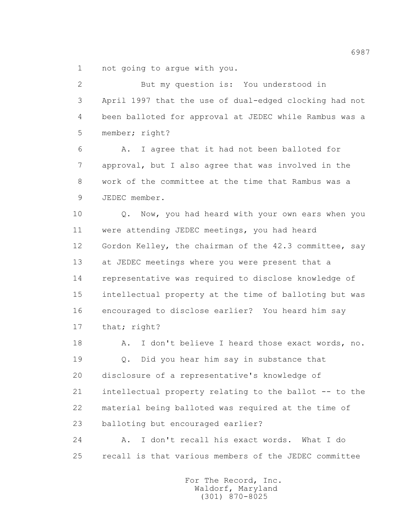1 not going to argue with you.

 2 But my question is: You understood in 3 April 1997 that the use of dual-edged clocking had not 4 been balloted for approval at JEDEC while Rambus was a 5 member; right? 6 A. I agree that it had not been balloted for 7 approval, but I also agree that was involved in the 8 work of the committee at the time that Rambus was a 9 JEDEC member. 10 0. Now, you had heard with your own ears when you 11 were attending JEDEC meetings, you had heard 12 Gordon Kelley, the chairman of the 42.3 committee, say 13 at JEDEC meetings where you were present that a 14 representative was required to disclose knowledge of 15 intellectual property at the time of balloting but was 16 encouraged to disclose earlier? You heard him say 17 that; right? 18 A. I don't believe I heard those exact words, no. 19 Q. Did you hear him say in substance that 20 disclosure of a representative's knowledge of 21 intellectual property relating to the ballot -- to the 22 material being balloted was required at the time of 23 balloting but encouraged earlier? 24 A. I don't recall his exact words. What I do 25 recall is that various members of the JEDEC committee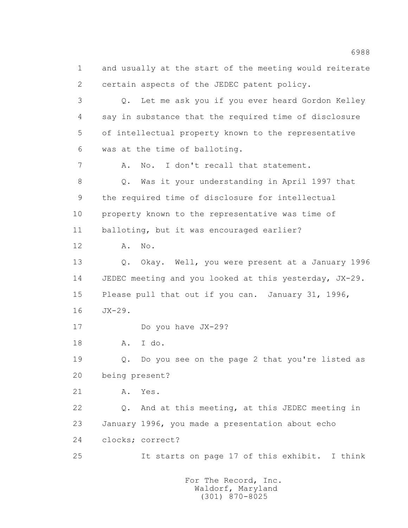1 and usually at the start of the meeting would reiterate 2 certain aspects of the JEDEC patent policy. 3 Q. Let me ask you if you ever heard Gordon Kelley 4 say in substance that the required time of disclosure 5 of intellectual property known to the representative 6 was at the time of balloting. 7 A. No. I don't recall that statement. 8 Q. Was it your understanding in April 1997 that 9 the required time of disclosure for intellectual 10 property known to the representative was time of 11 balloting, but it was encouraged earlier? 12 A. No. 13 Q. Okay. Well, you were present at a January 1996 14 JEDEC meeting and you looked at this yesterday, JX-29. 15 Please pull that out if you can. January 31, 1996, 16 JX-29. 17 Do you have JX-29? 18 A. I do. 19 Q. Do you see on the page 2 that you're listed as 20 being present? 21 A. Yes. 22 Q. And at this meeting, at this JEDEC meeting in 23 January 1996, you made a presentation about echo 24 clocks; correct? 25 It starts on page 17 of this exhibit. I think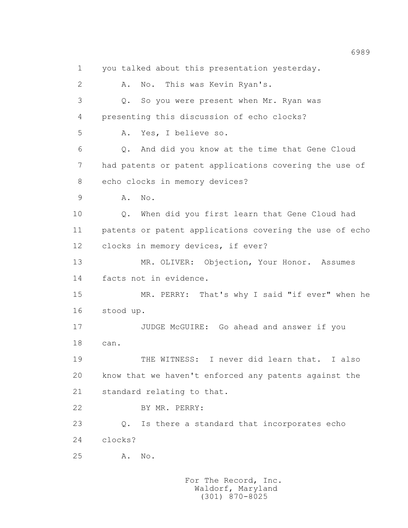1 you talked about this presentation yesterday. 2 A. No. This was Kevin Ryan's. 3 Q. So you were present when Mr. Ryan was 4 presenting this discussion of echo clocks? 5 A. Yes, I believe so. 6 Q. And did you know at the time that Gene Cloud 7 had patents or patent applications covering the use of 8 echo clocks in memory devices? 9 A. No. 10 Q. When did you first learn that Gene Cloud had 11 patents or patent applications covering the use of echo 12 clocks in memory devices, if ever? 13 MR. OLIVER: Objection, Your Honor. Assumes 14 facts not in evidence. 15 MR. PERRY: That's why I said "if ever" when he 16 stood up. 17 JUDGE McGUIRE: Go ahead and answer if you 18 can. 19 THE WITNESS: I never did learn that. I also 20 know that we haven't enforced any patents against the 21 standard relating to that. 22 BY MR. PERRY: 23 Q. Is there a standard that incorporates echo 24 clocks? 25 A. No.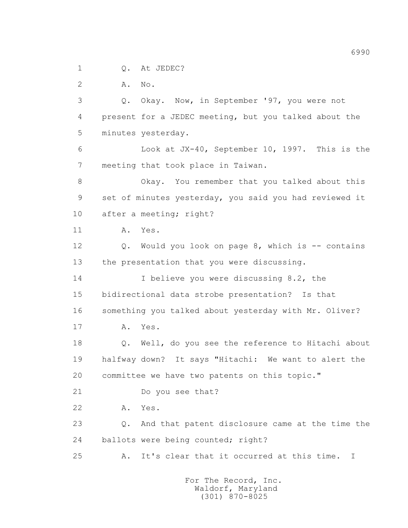1 0. At JEDEC?

2 **A.** No.

 3 Q. Okay. Now, in September '97, you were not 4 present for a JEDEC meeting, but you talked about the 5 minutes yesterday. 6 Look at JX-40, September 10, 1997. This is the 7 meeting that took place in Taiwan. 8 Okay. You remember that you talked about this 9 set of minutes yesterday, you said you had reviewed it 10 after a meeting; right? 11 A. Yes. 12 Q. Would you look on page 8, which is -- contains 13 the presentation that you were discussing. 14 I believe you were discussing 8.2, the 15 bidirectional data strobe presentation? Is that 16 something you talked about yesterday with Mr. Oliver? 17 A. Yes. 18 Q. Well, do you see the reference to Hitachi about 19 halfway down? It says "Hitachi: We want to alert the 20 committee we have two patents on this topic." 21 Do you see that? 22 A. Yes. 23 Q. And that patent disclosure came at the time the 24 ballots were being counted; right? 25 A. It's clear that it occurred at this time. I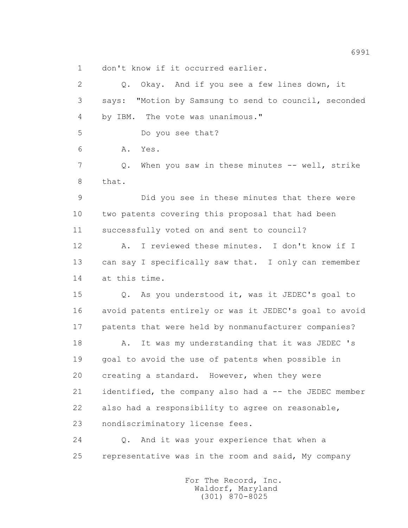1 don't know if it occurred earlier.

 2 Q. Okay. And if you see a few lines down, it 3 says: "Motion by Samsung to send to council, seconded 4 by IBM. The vote was unanimous." 5 Do you see that? 6 A. Yes. 7 Q. When you saw in these minutes -- well, strike 8 that. 9 Did you see in these minutes that there were 10 two patents covering this proposal that had been 11 successfully voted on and sent to council? 12 A. I reviewed these minutes. I don't know if I 13 can say I specifically saw that. I only can remember 14 at this time. 15 Q. As you understood it, was it JEDEC's goal to 16 avoid patents entirely or was it JEDEC's goal to avoid 17 patents that were held by nonmanufacturer companies? 18 A. It was my understanding that it was JEDEC 's 19 goal to avoid the use of patents when possible in 20 creating a standard. However, when they were 21 identified, the company also had a -- the JEDEC member 22 also had a responsibility to agree on reasonable, 23 nondiscriminatory license fees. 24 Q. And it was your experience that when a 25 representative was in the room and said, My company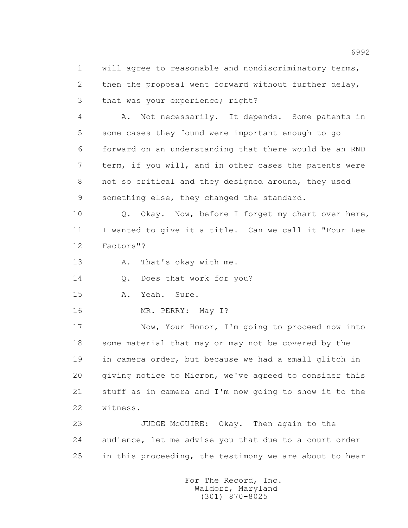1 will agree to reasonable and nondiscriminatory terms, 2 then the proposal went forward without further delay, 3 that was your experience; right?

 4 A. Not necessarily. It depends. Some patents in 5 some cases they found were important enough to go 6 forward on an understanding that there would be an RND 7 term, if you will, and in other cases the patents were 8 not so critical and they designed around, they used 9 something else, they changed the standard.

 10 Q. Okay. Now, before I forget my chart over here, 11 I wanted to give it a title. Can we call it "Four Lee 12 Factors"?

13 A. That's okay with me.

14 Q. Does that work for you?

15 A. Yeah. Sure.

16 MR. PERRY: May I?

 17 Now, Your Honor, I'm going to proceed now into 18 some material that may or may not be covered by the 19 in camera order, but because we had a small glitch in 20 giving notice to Micron, we've agreed to consider this 21 stuff as in camera and I'm now going to show it to the 22 witness.

 23 JUDGE McGUIRE: Okay. Then again to the 24 audience, let me advise you that due to a court order 25 in this proceeding, the testimony we are about to hear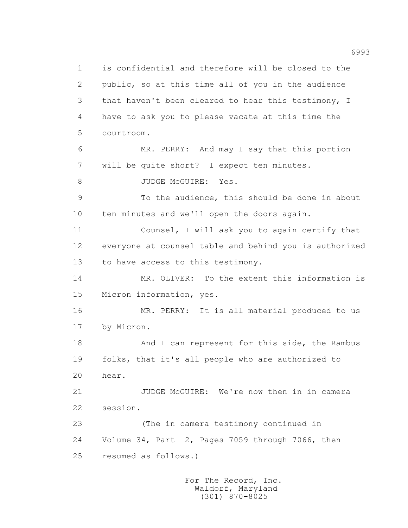1 is confidential and therefore will be closed to the 2 public, so at this time all of you in the audience 3 that haven't been cleared to hear this testimony, I 4 have to ask you to please vacate at this time the 5 courtroom. 6 MR. PERRY: And may I say that this portion 7 will be quite short? I expect ten minutes. 8 JUDGE McGUIRE: Yes. 9 To the audience, this should be done in about 10 ten minutes and we'll open the doors again. 11 Counsel, I will ask you to again certify that 12 everyone at counsel table and behind you is authorized 13 to have access to this testimony. 14 MR. OLIVER: To the extent this information is 15 Micron information, yes. 16 MR. PERRY: It is all material produced to us 17 by Micron. 18 And I can represent for this side, the Rambus 19 folks, that it's all people who are authorized to 20 hear. 21 JUDGE McGUIRE: We're now then in in camera 22 session. 23 (The in camera testimony continued in 24 Volume 34, Part 2, Pages 7059 through 7066, then 25 resumed as follows.)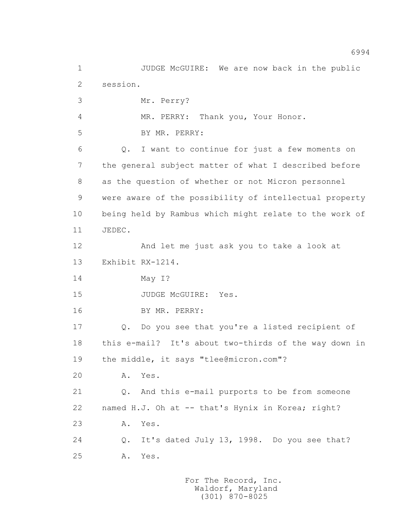1 JUDGE McGUIRE: We are now back in the public 2 session. 3 Mr. Perry? 4 MR. PERRY: Thank you, Your Honor. 5 BY MR. PERRY: 6 Q. I want to continue for just a few moments on 7 the general subject matter of what I described before 8 as the question of whether or not Micron personnel 9 were aware of the possibility of intellectual property 10 being held by Rambus which might relate to the work of 11 JEDEC. 12 And let me just ask you to take a look at 13 Exhibit RX-1214. 14 May I? 15 JUDGE McGUIRE: Yes. 16 BY MR. PERRY: 17 Q. Do you see that you're a listed recipient of 18 this e-mail? It's about two-thirds of the way down in 19 the middle, it says "tlee@micron.com"? 20 A. Yes. 21 Q. And this e-mail purports to be from someone 22 named H.J. Oh at -- that's Hynix in Korea; right? 23 A. Yes. 24 Q. It's dated July 13, 1998. Do you see that? 25 A. Yes.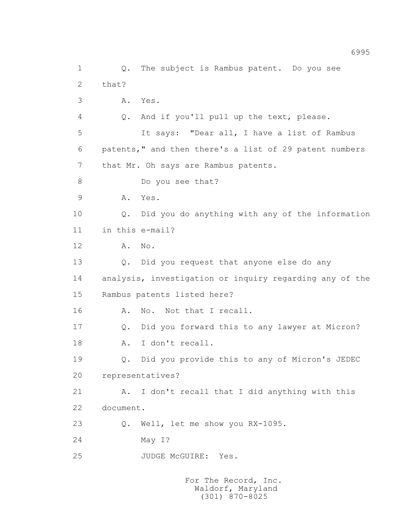1 Q. The subject is Rambus patent. Do you see 2 that? 3 A. Yes. 4 Q. And if you'll pull up the text, please. 5 It says: "Dear all, I have a list of Rambus 6 patents," and then there's a list of 29 patent numbers 7 that Mr. Oh says are Rambus patents. 8 Do you see that? 9 A. Yes. 10 Q. Did you do anything with any of the information 11 in this e-mail? 12 A. No. 13 Q. Did you request that anyone else do any 14 analysis, investigation or inquiry regarding any of the 15 Rambus patents listed here? 16 A. No. Not that I recall. 17 Q. Did you forward this to any lawyer at Micron? 18 A. I don't recall. 19 Q. Did you provide this to any of Micron's JEDEC 20 representatives? 21 A. I don't recall that I did anything with this 22 document. 23 Q. Well, let me show you RX-1095. 24 May I? 25 JUDGE McGUIRE: Yes.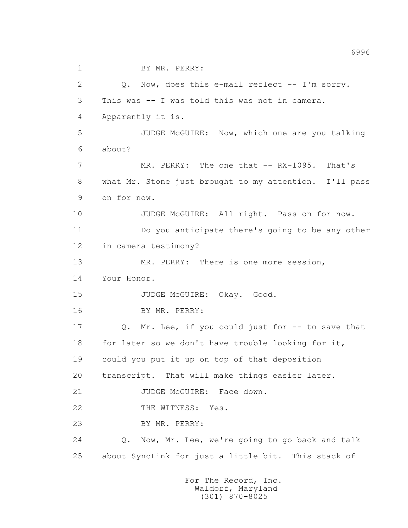1 BY MR. PERRY:

 2 Q. Now, does this e-mail reflect -- I'm sorry. 3 This was -- I was told this was not in camera. 4 Apparently it is. 5 JUDGE McGUIRE: Now, which one are you talking 6 about? 7 MR. PERRY: The one that -- RX-1095. That's 8 what Mr. Stone just brought to my attention. I'll pass 9 on for now. 10 JUDGE McGUIRE: All right. Pass on for now. 11 Do you anticipate there's going to be any other 12 in camera testimony? 13 MR. PERRY: There is one more session, 14 Your Honor. 15 JUDGE McGUIRE: Okay. Good. 16 BY MR. PERRY: 17 Q. Mr. Lee, if you could just for -- to save that 18 for later so we don't have trouble looking for it, 19 could you put it up on top of that deposition 20 transcript. That will make things easier later. 21 JUDGE McGUIRE: Face down. 22 THE WITNESS: Yes. 23 BY MR. PERRY: 24 Q. Now, Mr. Lee, we're going to go back and talk 25 about SyncLink for just a little bit. This stack of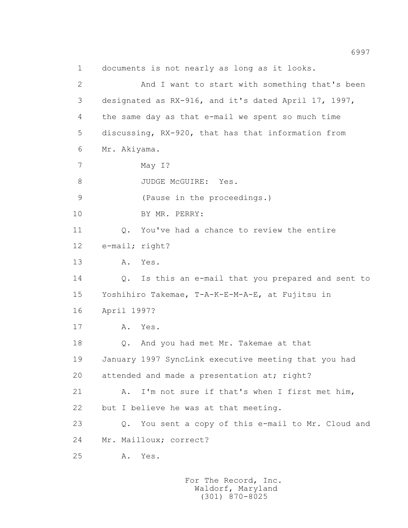1 documents is not nearly as long as it looks. 2 And I want to start with something that's been 3 designated as RX-916, and it's dated April 17, 1997, 4 the same day as that e-mail we spent so much time 5 discussing, RX-920, that has that information from 6 Mr. Akiyama. 7 May I? 8 JUDGE McGUIRE: Yes. 9 (Pause in the proceedings.) 10 BY MR. PERRY: 11 Q. You've had a chance to review the entire 12 e-mail; right? 13 A. Yes. 14 Q. Is this an e-mail that you prepared and sent to 15 Yoshihiro Takemae, T-A-K-E-M-A-E, at Fujitsu in 16 April 1997? 17 A. Yes. 18 Q. And you had met Mr. Takemae at that 19 January 1997 SyncLink executive meeting that you had 20 attended and made a presentation at; right? 21 A. I'm not sure if that's when I first met him, 22 but I believe he was at that meeting. 23 Q. You sent a copy of this e-mail to Mr. Cloud and 24 Mr. Mailloux; correct? 25 A. Yes.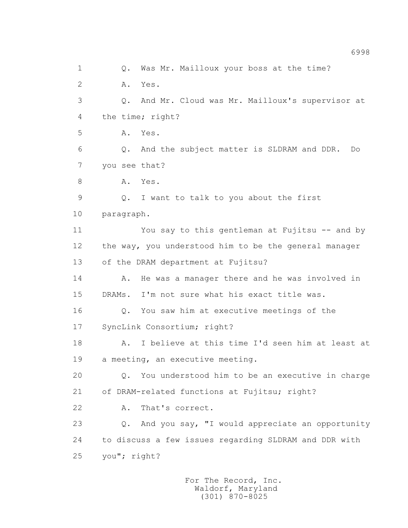1 0. Was Mr. Mailloux your boss at the time? 2 A. Yes. 3 Q. And Mr. Cloud was Mr. Mailloux's supervisor at 4 the time; right? 5 A. Yes. 6 Q. And the subject matter is SLDRAM and DDR. Do 7 you see that? 8 A. Yes. 9 Q. I want to talk to you about the first 10 paragraph. 11 You say to this gentleman at Fujitsu -- and by 12 the way, you understood him to be the general manager 13 of the DRAM department at Fujitsu? 14 A. He was a manager there and he was involved in 15 DRAMs. I'm not sure what his exact title was. 16 Q. You saw him at executive meetings of the 17 SyncLink Consortium; right? 18 A. I believe at this time I'd seen him at least at 19 a meeting, an executive meeting. 20 Q. You understood him to be an executive in charge 21 of DRAM-related functions at Fujitsu; right? 22 A. That's correct. 23 Q. And you say, "I would appreciate an opportunity 24 to discuss a few issues regarding SLDRAM and DDR with 25 you"; right?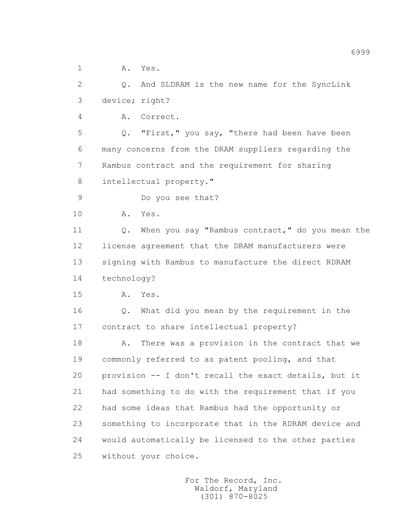1 A. Yes.

 2 Q. And SLDRAM is the new name for the SyncLink 3 device; right?

4 A. Correct.

 5 Q. "First," you say, "there had been have been 6 many concerns from the DRAM suppliers regarding the 7 Rambus contract and the requirement for sharing 8 intellectual property."

- 9 Do you see that?
- 10 A. Yes.

 11 Q. When you say "Rambus contract," do you mean the 12 license agreement that the DRAM manufacturers were 13 signing with Rambus to manufacture the direct RDRAM 14 technology?

15 A. Yes.

 16 Q. What did you mean by the requirement in the 17 contract to share intellectual property?

18 A. There was a provision in the contract that we 19 commonly referred to as patent pooling, and that 20 provision -- I don't recall the exact details, but it 21 had something to do with the requirement that if you 22 had some ideas that Rambus had the opportunity or 23 something to incorporate that in the RDRAM device and 24 would automatically be licensed to the other parties 25 without your choice.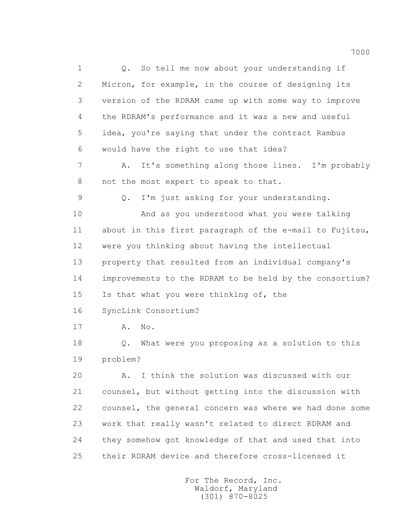1 0. So tell me now about your understanding if 2 Micron, for example, in the course of designing its 3 version of the RDRAM came up with some way to improve 4 the RDRAM's performance and it was a new and useful 5 idea, you're saying that under the contract Rambus 6 would have the right to use that idea? 7 A. It's something along those lines. I'm probably 8 not the most expert to speak to that. 9 Q. I'm just asking for your understanding. 10 And as you understood what you were talking 11 about in this first paragraph of the e-mail to Fujitsu, 12 were you thinking about having the intellectual 13 property that resulted from an individual company's 14 improvements to the RDRAM to be held by the consortium? 15 Is that what you were thinking of, the 16 SyncLink Consortium? 17 A. No. 18 Q. What were you proposing as a solution to this 19 problem? 20 A. I think the solution was discussed with our 21 counsel, but without getting into the discussion with 22 counsel, the general concern was where we had done some 23 work that really wasn't related to direct RDRAM and 24 they somehow got knowledge of that and used that into 25 their RDRAM device and therefore cross-licensed it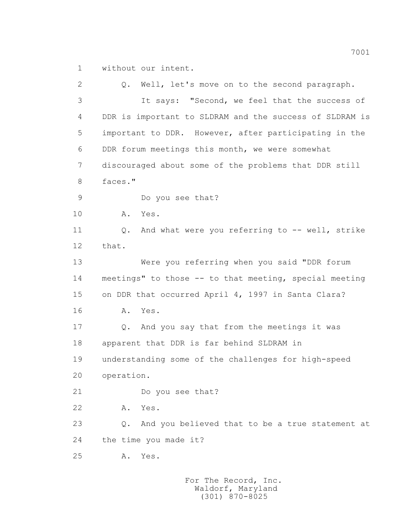1 without our intent.

 2 Q. Well, let's move on to the second paragraph. 3 It says: "Second, we feel that the success of 4 DDR is important to SLDRAM and the success of SLDRAM is 5 important to DDR. However, after participating in the 6 DDR forum meetings this month, we were somewhat 7 discouraged about some of the problems that DDR still 8 faces." 9 Do you see that? 10 A. Yes. 11 Q. And what were you referring to -- well, strike 12 that. 13 Were you referring when you said "DDR forum 14 meetings" to those -- to that meeting, special meeting 15 on DDR that occurred April 4, 1997 in Santa Clara? 16 A. Yes. 17 Q. And you say that from the meetings it was 18 apparent that DDR is far behind SLDRAM in 19 understanding some of the challenges for high-speed 20 operation. 21 Do you see that? 22 A. Yes. 23 Q. And you believed that to be a true statement at 24 the time you made it? 25 A. Yes.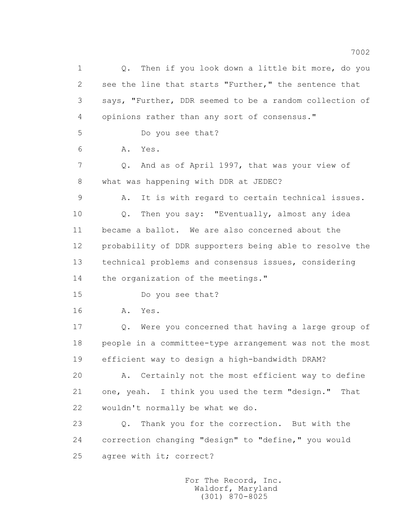1 Q. Then if you look down a little bit more, do you 2 see the line that starts "Further," the sentence that 3 says, "Further, DDR seemed to be a random collection of 4 opinions rather than any sort of consensus." 5 Do you see that? 6 A. Yes. 7 Q. And as of April 1997, that was your view of 8 what was happening with DDR at JEDEC? 9 A. It is with regard to certain technical issues. 10 Q. Then you say: "Eventually, almost any idea 11 became a ballot. We are also concerned about the 12 probability of DDR supporters being able to resolve the 13 technical problems and consensus issues, considering 14 the organization of the meetings." 15 Do you see that? 16 A. Yes. 17 Q. Were you concerned that having a large group of 18 people in a committee-type arrangement was not the most 19 efficient way to design a high-bandwidth DRAM? 20 A. Certainly not the most efficient way to define 21 one, yeah. I think you used the term "design." That 22 wouldn't normally be what we do. 23 Q. Thank you for the correction. But with the 24 correction changing "design" to "define," you would 25 agree with it; correct?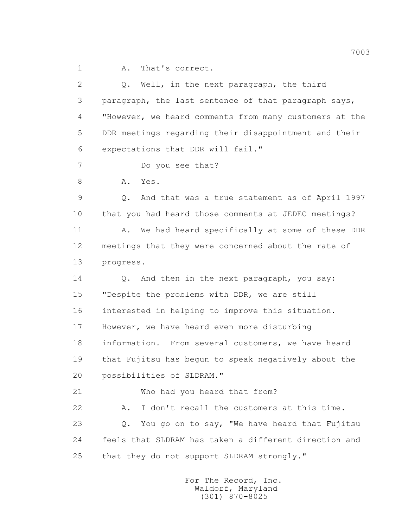1 A. That's correct.

 2 Q. Well, in the next paragraph, the third 3 paragraph, the last sentence of that paragraph says, 4 "However, we heard comments from many customers at the 5 DDR meetings regarding their disappointment and their 6 expectations that DDR will fail." 7 Do you see that? 8 A. Yes. 9 Q. And that was a true statement as of April 1997 10 that you had heard those comments at JEDEC meetings? 11 A. We had heard specifically at some of these DDR 12 meetings that they were concerned about the rate of 13 progress. 14 Q. And then in the next paragraph, you say: 15 "Despite the problems with DDR, we are still 16 interested in helping to improve this situation. 17 However, we have heard even more disturbing 18 information. From several customers, we have heard 19 that Fujitsu has begun to speak negatively about the 20 possibilities of SLDRAM." 21 Who had you heard that from? 22 A. I don't recall the customers at this time. 23 Q. You go on to say, "We have heard that Fujitsu 24 feels that SLDRAM has taken a different direction and 25 that they do not support SLDRAM strongly."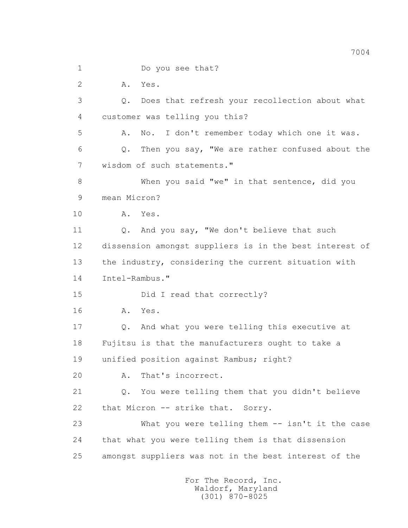1 Do you see that?

2 A. Yes.

 3 Q. Does that refresh your recollection about what 4 customer was telling you this?

 5 A. No. I don't remember today which one it was. 6 Q. Then you say, "We are rather confused about the 7 wisdom of such statements."

 8 When you said "we" in that sentence, did you 9 mean Micron?

10 A. Yes.

 11 Q. And you say, "We don't believe that such 12 dissension amongst suppliers is in the best interest of 13 the industry, considering the current situation with 14 Intel-Rambus."

15 Did I read that correctly?

16 A. Yes.

 17 Q. And what you were telling this executive at 18 Fujitsu is that the manufacturers ought to take a

19 unified position against Rambus; right?

20 A. That's incorrect.

 21 Q. You were telling them that you didn't believe 22 that Micron -- strike that. Sorry.

 23 What you were telling them -- isn't it the case 24 that what you were telling them is that dissension 25 amongst suppliers was not in the best interest of the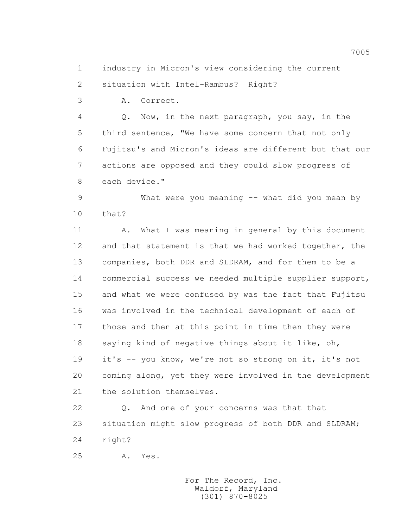1 industry in Micron's view considering the current

2 situation with Intel-Rambus? Right?

3 A. Correct.

 4 Q. Now, in the next paragraph, you say, in the 5 third sentence, "We have some concern that not only 6 Fujitsu's and Micron's ideas are different but that our 7 actions are opposed and they could slow progress of 8 each device."

 9 What were you meaning -- what did you mean by  $10$  that?

 11 A. What I was meaning in general by this document 12 and that statement is that we had worked together, the 13 companies, both DDR and SLDRAM, and for them to be a 14 commercial success we needed multiple supplier support, 15 and what we were confused by was the fact that Fujitsu 16 was involved in the technical development of each of 17 those and then at this point in time then they were 18 saying kind of negative things about it like, oh, 19 it's -- you know, we're not so strong on it, it's not 20 coming along, yet they were involved in the development 21 the solution themselves.

 22 Q. And one of your concerns was that that 23 situation might slow progress of both DDR and SLDRAM; 24 right?

25 A. Yes.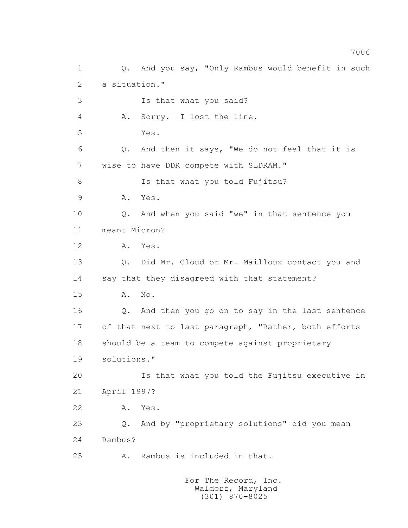1 Q. And you say, "Only Rambus would benefit in such 2 a situation." 3 Is that what you said? 4 A. Sorry. I lost the line. 5 Yes. 6 Q. And then it says, "We do not feel that it is 7 wise to have DDR compete with SLDRAM." 8 Is that what you told Fujitsu? 9 A. Yes. 10 Q. And when you said "we" in that sentence you 11 meant Micron? 12 A. Yes. 13 0. Did Mr. Cloud or Mr. Mailloux contact you and 14 say that they disagreed with that statement? 15 A. No. 16 Q. And then you go on to say in the last sentence 17 of that next to last paragraph, "Rather, both efforts 18 should be a team to compete against proprietary 19 solutions." 20 Is that what you told the Fujitsu executive in 21 April 1997? 22 A. Yes. 23 Q. And by "proprietary solutions" did you mean 24 Rambus? 25 A. Rambus is included in that.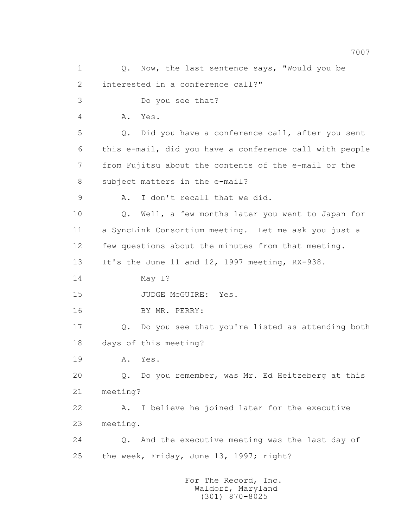1 0. Now, the last sentence says, "Would you be 2 interested in a conference call?" 3 Do you see that? 4 A. Yes. 5 Q. Did you have a conference call, after you sent 6 this e-mail, did you have a conference call with people 7 from Fujitsu about the contents of the e-mail or the 8 subject matters in the e-mail? 9 A. I don't recall that we did. 10 Q. Well, a few months later you went to Japan for 11 a SyncLink Consortium meeting. Let me ask you just a 12 few questions about the minutes from that meeting. 13 It's the June 11 and 12, 1997 meeting, RX-938. 14 May I? 15 JUDGE McGUIRE: Yes. 16 BY MR. PERRY: 17 Q. Do you see that you're listed as attending both 18 days of this meeting? 19 A. Yes. 20 Q. Do you remember, was Mr. Ed Heitzeberg at this 21 meeting? 22 A. I believe he joined later for the executive 23 meeting. 24 Q. And the executive meeting was the last day of 25 the week, Friday, June 13, 1997; right? For The Record, Inc. Waldorf, Maryland

(301) 870-8025

7007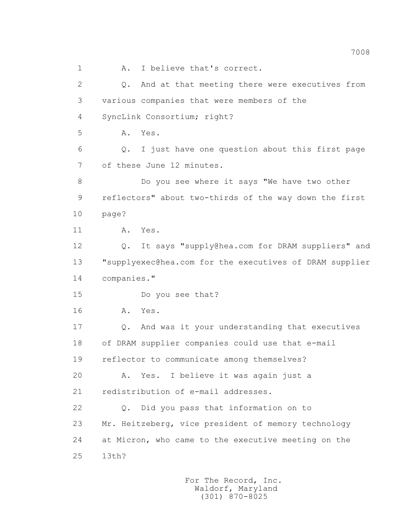1 A. I believe that's correct. 2 Q. And at that meeting there were executives from 3 various companies that were members of the 4 SyncLink Consortium; right? 5 A. Yes. 6 Q. I just have one question about this first page 7 of these June 12 minutes. 8 Do you see where it says "We have two other 9 reflectors" about two-thirds of the way down the first 10 page? 11 A. Yes. 12 Q. It says "supply@hea.com for DRAM suppliers" and 13 "supplyexec@hea.com for the executives of DRAM supplier 14 companies." 15 Do you see that? 16 A. Yes. 17 Q. And was it your understanding that executives 18 of DRAM supplier companies could use that e-mail 19 reflector to communicate among themselves? 20 A. Yes. I believe it was again just a 21 redistribution of e-mail addresses. 22 Q. Did you pass that information on to 23 Mr. Heitzeberg, vice president of memory technology 24 at Micron, who came to the executive meeting on the 25 13th?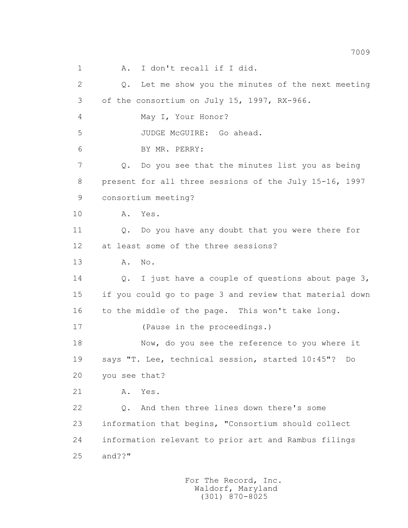1 A. I don't recall if I did. 2 Q. Let me show you the minutes of the next meeting 3 of the consortium on July 15, 1997, RX-966. 4 May I, Your Honor? 5 JUDGE McGUIRE: Go ahead. 6 BY MR. PERRY: 7 Q. Do you see that the minutes list you as being 8 present for all three sessions of the July 15-16, 1997 9 consortium meeting? 10 A. Yes. 11 Q. Do you have any doubt that you were there for 12 at least some of the three sessions? 13 A. No. 14 Q. I just have a couple of questions about page 3, 15 if you could go to page 3 and review that material down 16 to the middle of the page. This won't take long. 17 (Pause in the proceedings.) 18 Now, do you see the reference to you where it 19 says "T. Lee, technical session, started 10:45"? Do 20 you see that? 21 A. Yes. 22 Q. And then three lines down there's some 23 information that begins, "Consortium should collect 24 information relevant to prior art and Rambus filings 25 and??"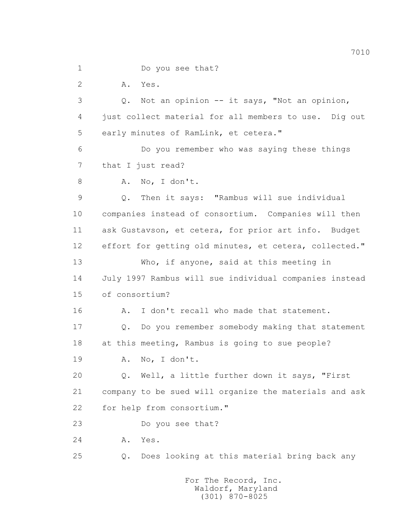1 Do you see that? 2 A. Yes. 3 Q. Not an opinion -- it says, "Not an opinion, 4 just collect material for all members to use. Dig out 5 early minutes of RamLink, et cetera." 6 Do you remember who was saying these things 7 that I just read? 8 A. No, I don't. 9 Q. Then it says: "Rambus will sue individual 10 companies instead of consortium. Companies will then 11 ask Gustavson, et cetera, for prior art info. Budget 12 effort for getting old minutes, et cetera, collected." 13 Who, if anyone, said at this meeting in 14 July 1997 Rambus will sue individual companies instead 15 of consortium? 16 A. I don't recall who made that statement. 17 Q. Do you remember somebody making that statement 18 at this meeting, Rambus is going to sue people? 19 A. No, I don't. 20 Q. Well, a little further down it says, "First 21 company to be sued will organize the materials and ask 22 for help from consortium." 23 Do you see that? 24 A. Yes. 25 Q. Does looking at this material bring back any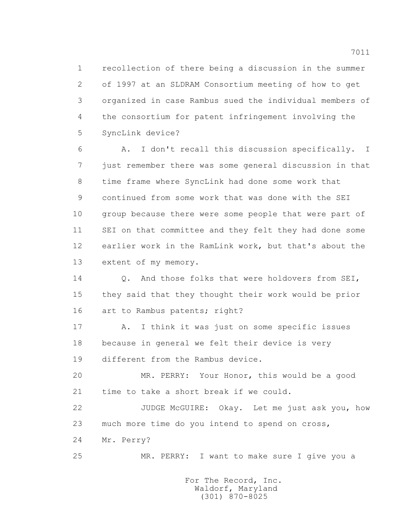1 recollection of there being a discussion in the summer 2 of 1997 at an SLDRAM Consortium meeting of how to get 3 organized in case Rambus sued the individual members of 4 the consortium for patent infringement involving the 5 SyncLink device?

 6 A. I don't recall this discussion specifically. I 7 just remember there was some general discussion in that 8 time frame where SyncLink had done some work that 9 continued from some work that was done with the SEI 10 group because there were some people that were part of 11 SEI on that committee and they felt they had done some 12 earlier work in the RamLink work, but that's about the 13 extent of my memory.

 14 Q. And those folks that were holdovers from SEI, 15 they said that they thought their work would be prior 16 art to Rambus patents; right?

 17 A. I think it was just on some specific issues 18 because in general we felt their device is very 19 different from the Rambus device.

 20 MR. PERRY: Your Honor, this would be a good 21 time to take a short break if we could.

 22 JUDGE McGUIRE: Okay. Let me just ask you, how 23 much more time do you intend to spend on cross,

24 Mr. Perry?

25 MR. PERRY: I want to make sure I give you a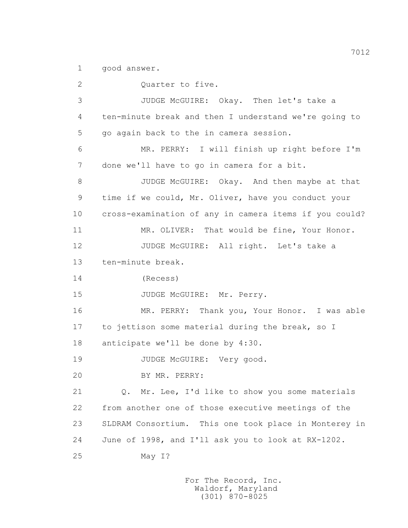1 good answer.

2 Ouarter to five. 3 JUDGE McGUIRE: Okay. Then let's take a 4 ten-minute break and then I understand we're going to 5 go again back to the in camera session. 6 MR. PERRY: I will finish up right before I'm 7 done we'll have to go in camera for a bit. 8 JUDGE McGUIRE: Okay. And then maybe at that 9 time if we could, Mr. Oliver, have you conduct your 10 cross-examination of any in camera items if you could? 11 MR. OLIVER: That would be fine, Your Honor. 12 JUDGE McGUIRE: All right. Let's take a 13 ten-minute break. 14 (Recess) 15 JUDGE McGUIRE: Mr. Perry. 16 MR. PERRY: Thank you, Your Honor. I was able 17 to jettison some material during the break, so I 18 anticipate we'll be done by 4:30. 19 JUDGE McGUIRE: Very good. 20 BY MR. PERRY: 21 Q. Mr. Lee, I'd like to show you some materials 22 from another one of those executive meetings of the 23 SLDRAM Consortium. This one took place in Monterey in 24 June of 1998, and I'll ask you to look at RX-1202. 25 May I?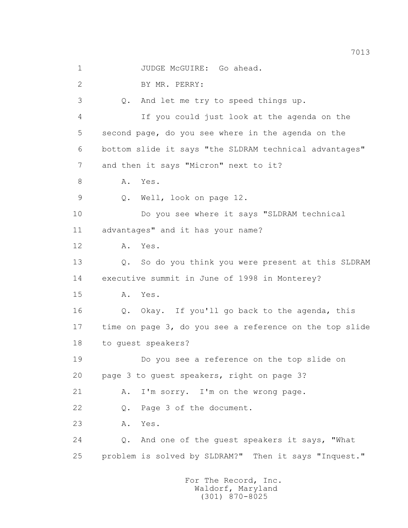2 BY MR. PERRY: 3 Q. And let me try to speed things up. 4 If you could just look at the agenda on the 5 second page, do you see where in the agenda on the 6 bottom slide it says "the SLDRAM technical advantages" 7 and then it says "Micron" next to it? 8 A. Yes. 9 Q. Well, look on page 12. 10 Do you see where it says "SLDRAM technical 11 advantages" and it has your name? 12 A. Yes. 13 0. So do you think you were present at this SLDRAM 14 executive summit in June of 1998 in Monterey? 15 A. Yes. 16 Q. Okay. If you'll go back to the agenda, this 17 time on page 3, do you see a reference on the top slide 18 to guest speakers? 19 Do you see a reference on the top slide on 20 page 3 to guest speakers, right on page 3? 21 A. I'm sorry. I'm on the wrong page. 22 Q. Page 3 of the document. 23 A. Yes. 24 Q. And one of the guest speakers it says, "What 25 problem is solved by SLDRAM?" Then it says "Inquest."

1 JUDGE McGUIRE: Go ahead.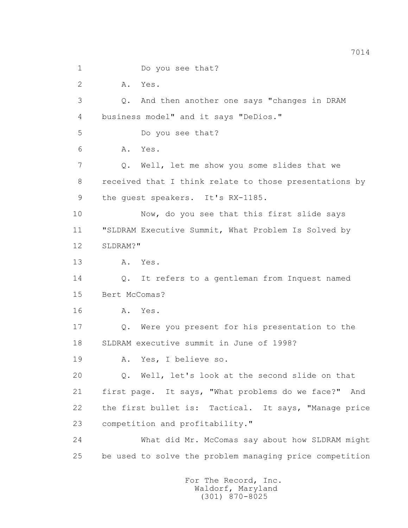1 Do you see that? 2 A. Yes. 3 Q. And then another one says "changes in DRAM 4 business model" and it says "DeDios." 5 Do you see that? 6 A. Yes. 7 Q. Well, let me show you some slides that we 8 received that I think relate to those presentations by 9 the quest speakers. It's RX-1185. 10 Now, do you see that this first slide says 11 "SLDRAM Executive Summit, What Problem Is Solved by 12 SLDRAM?" 13 A. Yes. 14 Q. It refers to a gentleman from Inquest named 15 Bert McComas? 16 A. Yes. 17 Q. Were you present for his presentation to the 18 SLDRAM executive summit in June of 1998? 19 A. Yes, I believe so. 20 Q. Well, let's look at the second slide on that 21 first page. It says, "What problems do we face?" And 22 the first bullet is: Tactical. It says, "Manage price 23 competition and profitability." 24 What did Mr. McComas say about how SLDRAM might 25 be used to solve the problem managing price competition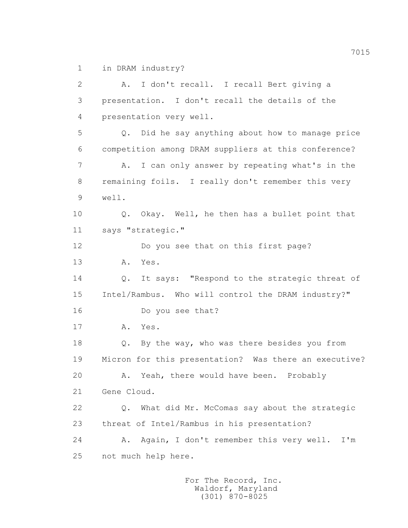1 in DRAM industry?

 2 A. I don't recall. I recall Bert giving a 3 presentation. I don't recall the details of the 4 presentation very well. 5 Q. Did he say anything about how to manage price 6 competition among DRAM suppliers at this conference? 7 A. I can only answer by repeating what's in the 8 remaining foils. I really don't remember this very 9 well. 10 Q. Okay. Well, he then has a bullet point that 11 says "strategic." 12 Do you see that on this first page? 13 A. Yes. 14 Q. It says: "Respond to the strategic threat of 15 Intel/Rambus. Who will control the DRAM industry?" 16 Do you see that? 17 A. Yes. 18 Q. By the way, who was there besides you from 19 Micron for this presentation? Was there an executive? 20 A. Yeah, there would have been. Probably 21 Gene Cloud. 22 Q. What did Mr. McComas say about the strategic 23 threat of Intel/Rambus in his presentation? 24 A. Again, I don't remember this very well. I'm 25 not much help here.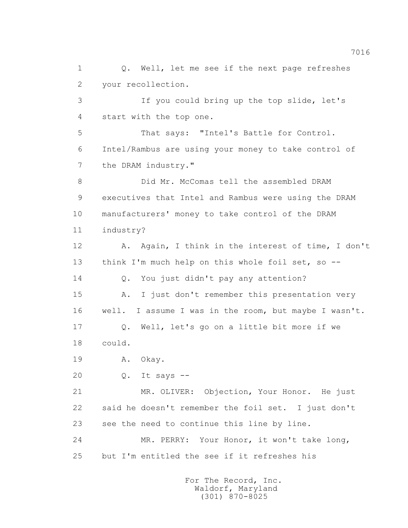1 Q. Well, let me see if the next page refreshes 2 your recollection. 3 If you could bring up the top slide, let's 4 start with the top one. 5 That says: "Intel's Battle for Control. 6 Intel/Rambus are using your money to take control of 7 the DRAM industry." 8 Did Mr. McComas tell the assembled DRAM 9 executives that Intel and Rambus were using the DRAM 10 manufacturers' money to take control of the DRAM 11 industry? 12 A. Again, I think in the interest of time, I don't 13 think I'm much help on this whole foil set, so -- 14 Q. You just didn't pay any attention? 15 A. I just don't remember this presentation very 16 well. I assume I was in the room, but maybe I wasn't. 17 Q. Well, let's go on a little bit more if we 18 could. 19 A. Okay. 20 Q. It says -- 21 MR. OLIVER: Objection, Your Honor. He just 22 said he doesn't remember the foil set. I just don't 23 see the need to continue this line by line. 24 MR. PERRY: Your Honor, it won't take long, 25 but I'm entitled the see if it refreshes his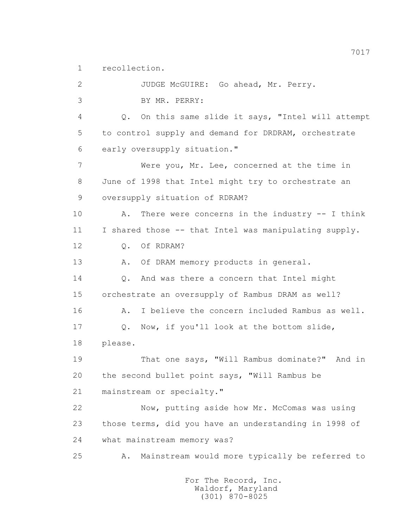1 recollection.

 2 JUDGE McGUIRE: Go ahead, Mr. Perry. 3 BY MR. PERRY: 4 Q. On this same slide it says, "Intel will attempt 5 to control supply and demand for DRDRAM, orchestrate 6 early oversupply situation." 7 Were you, Mr. Lee, concerned at the time in 8 June of 1998 that Intel might try to orchestrate an 9 oversupply situation of RDRAM? 10 A. There were concerns in the industry -- I think 11 I shared those -- that Intel was manipulating supply. 12 Q. Of RDRAM? 13 A. Of DRAM memory products in general. 14 Q. And was there a concern that Intel might 15 orchestrate an oversupply of Rambus DRAM as well? 16 A. I believe the concern included Rambus as well. 17 Q. Now, if you'll look at the bottom slide, 18 please. 19 That one says, "Will Rambus dominate?" And in 20 the second bullet point says, "Will Rambus be 21 mainstream or specialty." 22 Now, putting aside how Mr. McComas was using 23 those terms, did you have an understanding in 1998 of 24 what mainstream memory was? 25 A. Mainstream would more typically be referred to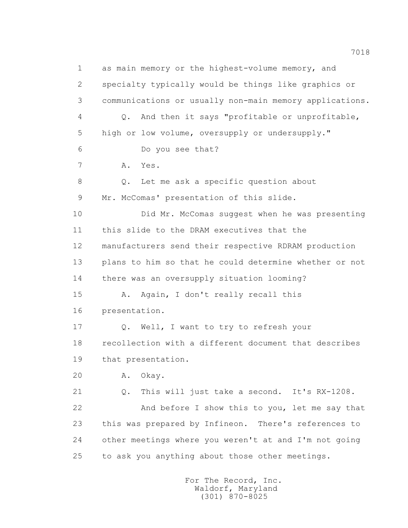1 as main memory or the highest-volume memory, and 2 specialty typically would be things like graphics or 3 communications or usually non-main memory applications. 4 Q. And then it says "profitable or unprofitable, 5 high or low volume, oversupply or undersupply." 6 Do you see that? 7 A. Yes. 8 Q. Let me ask a specific question about 9 Mr. McComas' presentation of this slide. 10 Did Mr. McComas suggest when he was presenting 11 this slide to the DRAM executives that the 12 manufacturers send their respective RDRAM production 13 plans to him so that he could determine whether or not 14 there was an oversupply situation looming? 15 A. Again, I don't really recall this 16 presentation. 17 O. Well, I want to try to refresh your 18 recollection with a different document that describes 19 that presentation. 20 A. Okay. 21 Q. This will just take a second. It's RX-1208. 22 And before I show this to you, let me say that 23 this was prepared by Infineon. There's references to 24 other meetings where you weren't at and I'm not going 25 to ask you anything about those other meetings.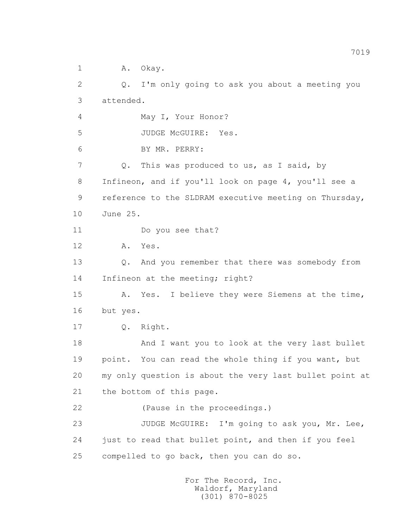1 A. Okav.

 2 Q. I'm only going to ask you about a meeting you 3 attended. 4 May I, Your Honor? 5 JUDGE McGUIRE: Yes. 6 BY MR. PERRY: 7 Q. This was produced to us, as I said, by 8 Infineon, and if you'll look on page 4, you'll see a 9 reference to the SLDRAM executive meeting on Thursday, 10 June 25. 11 Do you see that? 12 A. Yes. 13 Q. And you remember that there was somebody from 14 Infineon at the meeting; right? 15 A. Yes. I believe they were Siemens at the time, 16 but yes. 17 Q. Right. 18 And I want you to look at the very last bullet 19 point. You can read the whole thing if you want, but 20 my only question is about the very last bullet point at 21 the bottom of this page. 22 (Pause in the proceedings.) 23 JUDGE McGUIRE: I'm going to ask you, Mr. Lee, 24 just to read that bullet point, and then if you feel 25 compelled to go back, then you can do so.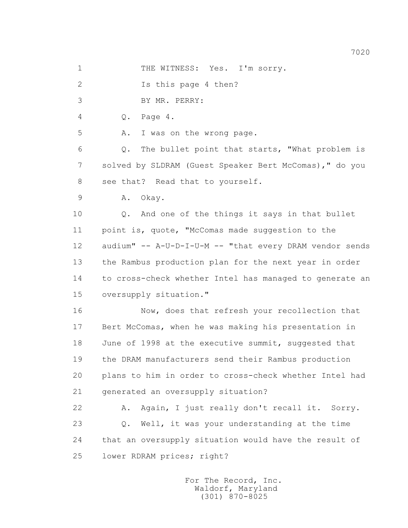1 THE WITNESS: Yes. I'm sorry.

2 Is this page 4 then?

3 BY MR. PERRY:

4 Q. Page 4.

5 A. I was on the wrong page.

 6 Q. The bullet point that starts, "What problem is 7 solved by SLDRAM (Guest Speaker Bert McComas)," do you 8 see that? Read that to yourself.

9 A. Okay.

10 0. And one of the things it says in that bullet 11 point is, quote, "McComas made suggestion to the 12 audium" -- A-U-D-I-U-M -- "that every DRAM vendor sends 13 the Rambus production plan for the next year in order 14 to cross-check whether Intel has managed to generate an 15 oversupply situation."

16 Now, does that refresh your recollection that 17 Bert McComas, when he was making his presentation in 18 June of 1998 at the executive summit, suggested that 19 the DRAM manufacturers send their Rambus production 20 plans to him in order to cross-check whether Intel had 21 generated an oversupply situation?

 22 A. Again, I just really don't recall it. Sorry. 23 Q. Well, it was your understanding at the time 24 that an oversupply situation would have the result of 25 lower RDRAM prices; right?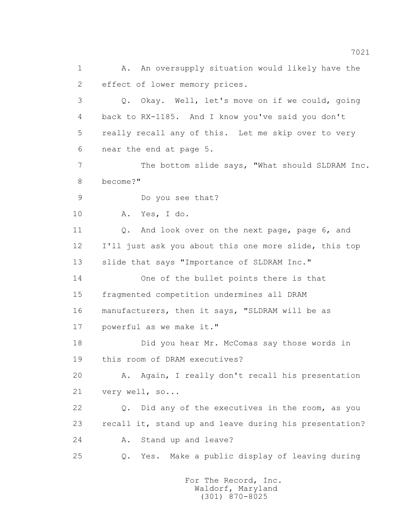1 A. An oversupply situation would likely have the 2 effect of lower memory prices. 3 Q. Okay. Well, let's move on if we could, going 4 back to RX-1185. And I know you've said you don't 5 really recall any of this. Let me skip over to very 6 near the end at page 5. 7 The bottom slide says, "What should SLDRAM Inc. 8 become?" 9 Do you see that? 10 A. Yes, I do. 11 Q. And look over on the next page, page 6, and 12 I'll just ask you about this one more slide, this top 13 slide that says "Importance of SLDRAM Inc." 14 One of the bullet points there is that 15 fragmented competition undermines all DRAM 16 manufacturers, then it says, "SLDRAM will be as 17 powerful as we make it." 18 Did you hear Mr. McComas say those words in 19 this room of DRAM executives? 20 A. Again, I really don't recall his presentation 21 very well, so... 22 Q. Did any of the executives in the room, as you 23 recall it, stand up and leave during his presentation? 24 A. Stand up and leave? 25 Q. Yes. Make a public display of leaving during

> For The Record, Inc. Waldorf, Maryland (301) 870-8025

7021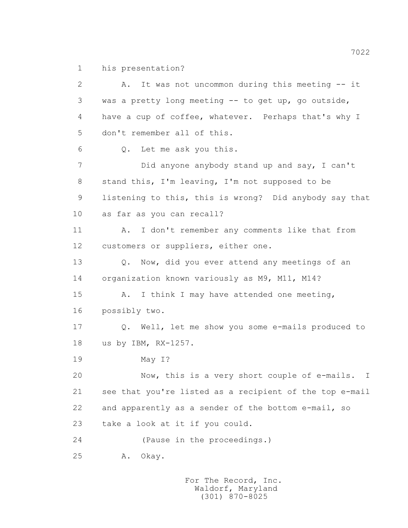1 his presentation?

 2 A. It was not uncommon during this meeting -- it 3 was a pretty long meeting -- to get up, go outside, 4 have a cup of coffee, whatever. Perhaps that's why I 5 don't remember all of this. 6 Q. Let me ask you this. 7 Did anyone anybody stand up and say, I can't 8 stand this, I'm leaving, I'm not supposed to be 9 listening to this, this is wrong? Did anybody say that 10 as far as you can recall? 11 A. I don't remember any comments like that from 12 customers or suppliers, either one. 13 O. Now, did you ever attend any meetings of an 14 organization known variously as M9, M11, M14? 15 A. I think I may have attended one meeting, 16 possibly two. 17 Q. Well, let me show you some e-mails produced to 18 us by IBM, RX-1257. 19 May I? 20 Now, this is a very short couple of e-mails. I 21 see that you're listed as a recipient of the top e-mail 22 and apparently as a sender of the bottom e-mail, so 23 take a look at it if you could. 24 (Pause in the proceedings.) 25 A. Okay.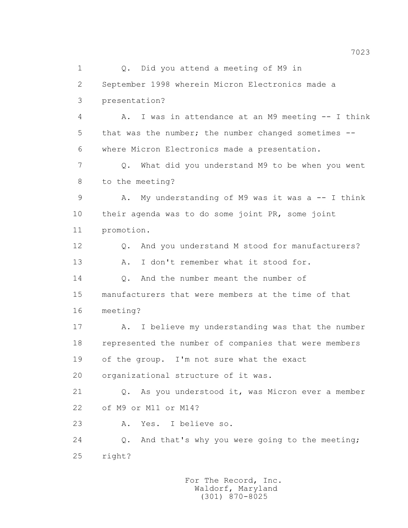1 0. Did you attend a meeting of M9 in 2 September 1998 wherein Micron Electronics made a 3 presentation? 4 A. I was in attendance at an M9 meeting -- I think 5 that was the number; the number changed sometimes -- 6 where Micron Electronics made a presentation. 7 Q. What did you understand M9 to be when you went 8 to the meeting? 9 A. My understanding of M9 was it was a -- I think 10 their agenda was to do some joint PR, some joint 11 promotion. 12 0. And you understand M stood for manufacturers? 13 A. I don't remember what it stood for. 14 0. And the number meant the number of 15 manufacturers that were members at the time of that 16 meeting? 17 A. I believe my understanding was that the number 18 represented the number of companies that were members 19 of the group. I'm not sure what the exact 20 organizational structure of it was. 21 Q. As you understood it, was Micron ever a member 22 of M9 or M11 or M14? 23 A. Yes. I believe so. 24 Q. And that's why you were going to the meeting; 25 right?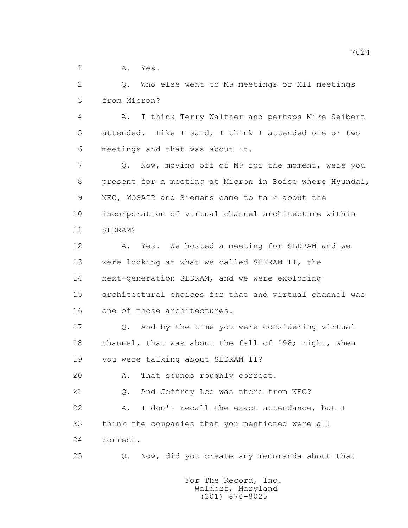1 A. Yes.

 2 Q. Who else went to M9 meetings or M11 meetings 3 from Micron?

 4 A. I think Terry Walther and perhaps Mike Seibert 5 attended. Like I said, I think I attended one or two 6 meetings and that was about it.

 7 Q. Now, moving off of M9 for the moment, were you 8 present for a meeting at Micron in Boise where Hyundai, 9 NEC, MOSAID and Siemens came to talk about the 10 incorporation of virtual channel architecture within 11 SLDRAM?

 12 A. Yes. We hosted a meeting for SLDRAM and we 13 were looking at what we called SLDRAM II, the 14 next-generation SLDRAM, and we were exploring 15 architectural choices for that and virtual channel was 16 one of those architectures.

 17 Q. And by the time you were considering virtual 18 channel, that was about the fall of '98; right, when 19 you were talking about SLDRAM II?

20 A. That sounds roughly correct.

21 Q. And Jeffrey Lee was there from NEC?

 22 A. I don't recall the exact attendance, but I 23 think the companies that you mentioned were all 24 correct.

25 Q. Now, did you create any memoranda about that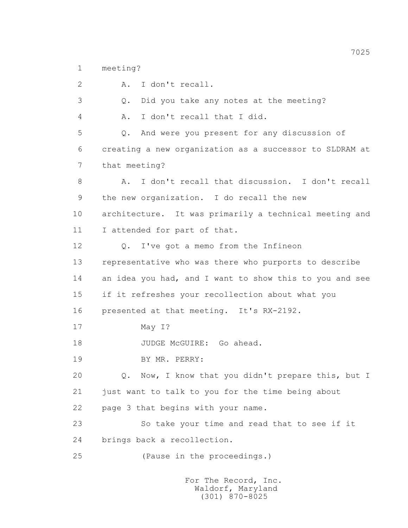1 meeting?

 2 A. I don't recall. 3 Q. Did you take any notes at the meeting? 4 A. I don't recall that I did. 5 Q. And were you present for any discussion of 6 creating a new organization as a successor to SLDRAM at 7 that meeting? 8 A. I don't recall that discussion. I don't recall 9 the new organization. I do recall the new 10 architecture. It was primarily a technical meeting and 11 I attended for part of that. 12 Q. I've got a memo from the Infineon 13 representative who was there who purports to describe 14 an idea you had, and I want to show this to you and see 15 if it refreshes your recollection about what you 16 presented at that meeting. It's RX-2192. 17 May I? 18 JUDGE McGUIRE: Go ahead. 19 BY MR. PERRY: 20 Q. Now, I know that you didn't prepare this, but I 21 just want to talk to you for the time being about 22 page 3 that begins with your name. 23 So take your time and read that to see if it 24 brings back a recollection. 25 (Pause in the proceedings.)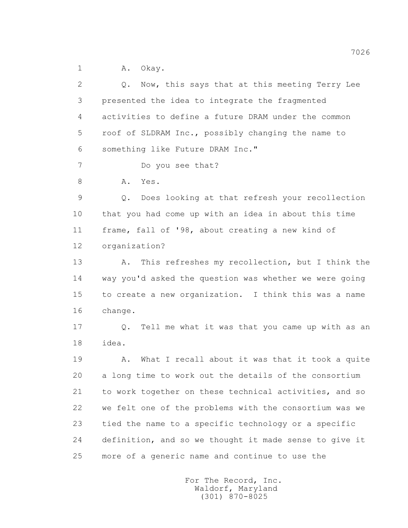1 A. Okav.

 2 Q. Now, this says that at this meeting Terry Lee 3 presented the idea to integrate the fragmented 4 activities to define a future DRAM under the common 5 roof of SLDRAM Inc., possibly changing the name to 6 something like Future DRAM Inc." 7 Do you see that? 8 A. Yes. 9 Q. Does looking at that refresh your recollection 10 that you had come up with an idea in about this time 11 frame, fall of '98, about creating a new kind of 12 organization? 13 A. This refreshes my recollection, but I think the 14 way you'd asked the question was whether we were going 15 to create a new organization. I think this was a name 16 change. 17 Q. Tell me what it was that you came up with as an 18 idea. 19 A. What I recall about it was that it took a quite 20 a long time to work out the details of the consortium 21 to work together on these technical activities, and so 22 we felt one of the problems with the consortium was we 23 tied the name to a specific technology or a specific 24 definition, and so we thought it made sense to give it 25 more of a generic name and continue to use the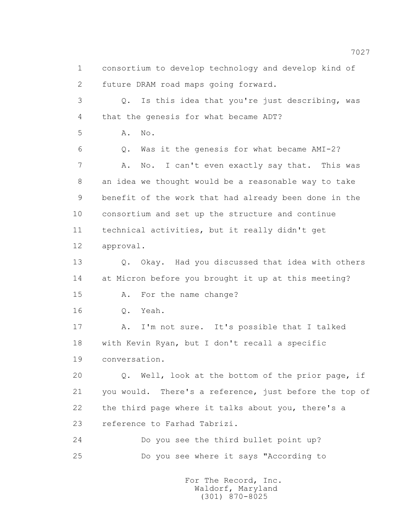1 consortium to develop technology and develop kind of 2 future DRAM road maps going forward. 3 Q. Is this idea that you're just describing, was 4 that the genesis for what became ADT? 5 **A.** No. 6 Q. Was it the genesis for what became AMI-2? 7 A. No. I can't even exactly say that. This was 8 an idea we thought would be a reasonable way to take 9 benefit of the work that had already been done in the 10 consortium and set up the structure and continue 11 technical activities, but it really didn't get 12 approval. 13 O. Okay. Had you discussed that idea with others 14 at Micron before you brought it up at this meeting? 15 A. For the name change? 16 Q. Yeah. 17 A. I'm not sure. It's possible that I talked 18 with Kevin Ryan, but I don't recall a specific 19 conversation. 20 Q. Well, look at the bottom of the prior page, if 21 you would. There's a reference, just before the top of 22 the third page where it talks about you, there's a 23 reference to Farhad Tabrizi. 24 Do you see the third bullet point up? 25 Do you see where it says "According to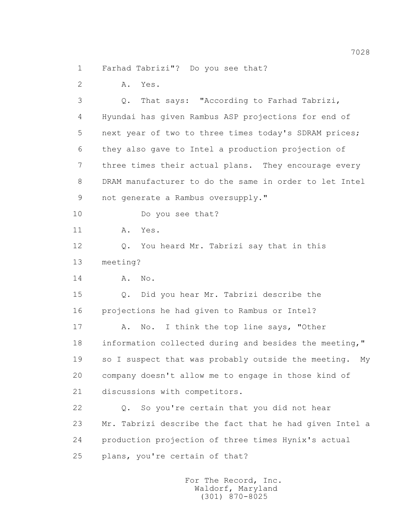1 Farhad Tabrizi"? Do you see that?

2 A. Yes.

 3 Q. That says: "According to Farhad Tabrizi, 4 Hyundai has given Rambus ASP projections for end of 5 next year of two to three times today's SDRAM prices; 6 they also gave to Intel a production projection of 7 three times their actual plans. They encourage every 8 DRAM manufacturer to do the same in order to let Intel 9 not generate a Rambus oversupply." 10 Do you see that? 11 A. Yes. 12 Q. You heard Mr. Tabrizi say that in this 13 meeting? 14 A. No. 15 Q. Did you hear Mr. Tabrizi describe the 16 projections he had given to Rambus or Intel? 17 A. No. I think the top line says, "Other 18 information collected during and besides the meeting," 19 so I suspect that was probably outside the meeting. My 20 company doesn't allow me to engage in those kind of 21 discussions with competitors. 22 Q. So you're certain that you did not hear 23 Mr. Tabrizi describe the fact that he had given Intel a 24 production projection of three times Hynix's actual 25 plans, you're certain of that?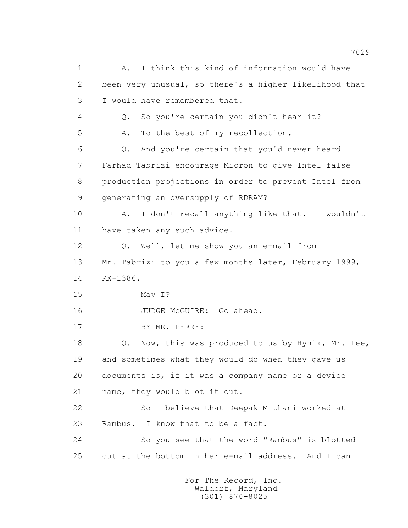1 A. I think this kind of information would have 2 been very unusual, so there's a higher likelihood that 3 I would have remembered that. 4 Q. So you're certain you didn't hear it? 5 A. To the best of my recollection. 6 Q. And you're certain that you'd never heard 7 Farhad Tabrizi encourage Micron to give Intel false 8 production projections in order to prevent Intel from 9 generating an oversupply of RDRAM? 10 A. I don't recall anything like that. I wouldn't 11 have taken any such advice. 12 Q. Well, let me show you an e-mail from 13 Mr. Tabrizi to you a few months later, February 1999, 14 RX-1386. 15 May I? 16 JUDGE McGUIRE: Go ahead. 17 BY MR. PERRY: 18 Q. Now, this was produced to us by Hynix, Mr. Lee, 19 and sometimes what they would do when they gave us 20 documents is, if it was a company name or a device 21 name, they would blot it out. 22 So I believe that Deepak Mithani worked at 23 Rambus. I know that to be a fact. 24 So you see that the word "Rambus" is blotted 25 out at the bottom in her e-mail address. And I can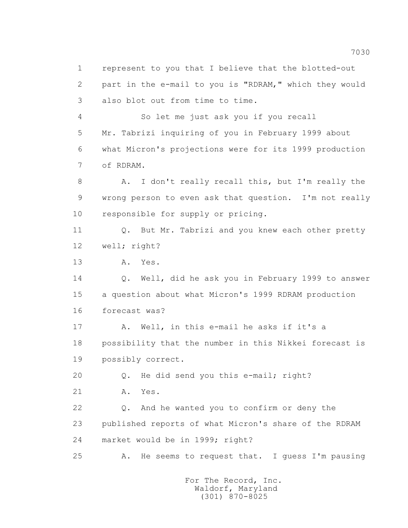1 represent to you that I believe that the blotted-out 2 part in the e-mail to you is "RDRAM," which they would 3 also blot out from time to time. 4 So let me just ask you if you recall 5 Mr. Tabrizi inquiring of you in February 1999 about 6 what Micron's projections were for its 1999 production 7 of RDRAM. 8 A. I don't really recall this, but I'm really the 9 wrong person to even ask that question. I'm not really 10 responsible for supply or pricing. 11 Q. But Mr. Tabrizi and you knew each other pretty 12 well; right? 13 A. Yes. 14 Q. Well, did he ask you in February 1999 to answer 15 a question about what Micron's 1999 RDRAM production 16 forecast was? 17 A. Well, in this e-mail he asks if it's a 18 possibility that the number in this Nikkei forecast is 19 possibly correct. 20 Q. He did send you this e-mail; right? 21 A. Yes. 22 Q. And he wanted you to confirm or deny the 23 published reports of what Micron's share of the RDRAM 24 market would be in 1999; right? 25 A. He seems to request that. I guess I'm pausing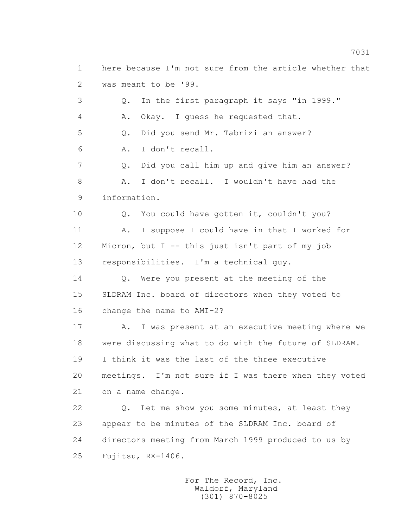2 was meant to be '99. 3 Q. In the first paragraph it says "in 1999." 4 A. Okay. I guess he requested that. 5 Q. Did you send Mr. Tabrizi an answer? 6 A. I don't recall. 7 Q. Did you call him up and give him an answer? 8 A. I don't recall. I wouldn't have had the 9 information. 10 0. You could have gotten it, couldn't you? 11 A. I suppose I could have in that I worked for 12 Micron, but I -- this just isn't part of my job 13 responsibilities. I'm a technical guy. 14 Q. Were you present at the meeting of the 15 SLDRAM Inc. board of directors when they voted to 16 change the name to AMI-2? 17 A. I was present at an executive meeting where we 18 were discussing what to do with the future of SLDRAM. 19 I think it was the last of the three executive 20 meetings. I'm not sure if I was there when they voted 21 on a name change. 22 O. Let me show you some minutes, at least they 23 appear to be minutes of the SLDRAM Inc. board of 24 directors meeting from March 1999 produced to us by 25 Fujitsu, RX-1406. For The Record, Inc.

1 here because I'm not sure from the article whether that

 Waldorf, Maryland (301) 870-8025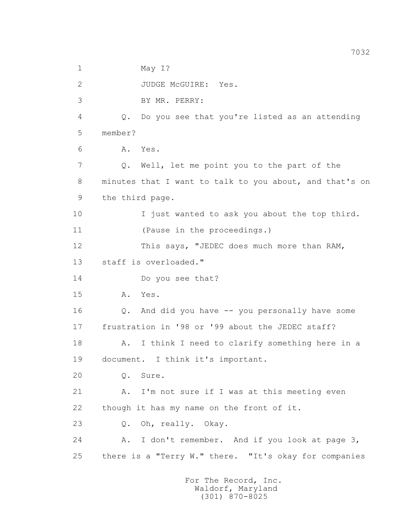1 May I? 2 JUDGE McGUIRE: Yes. 3 BY MR. PERRY: 4 Q. Do you see that you're listed as an attending 5 member? 6 A. Yes. 7 Q. Well, let me point you to the part of the 8 minutes that I want to talk to you about, and that's on 9 the third page. 10 I just wanted to ask you about the top third. 11 (Pause in the proceedings.) 12 This says, "JEDEC does much more than RAM, 13 staff is overloaded." 14 Do you see that? 15 A. Yes. 16 Q. And did you have -- you personally have some 17 frustration in '98 or '99 about the JEDEC staff? 18 A. I think I need to clarify something here in a 19 document. I think it's important. 20 Q. Sure. 21 A. I'm not sure if I was at this meeting even 22 though it has my name on the front of it. 23 Q. Oh, really. Okay. 24 A. I don't remember. And if you look at page 3, 25 there is a "Terry W." there. "It's okay for companies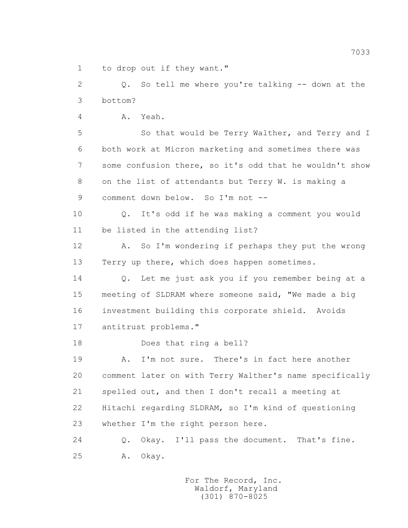1 to drop out if they want."

 2 Q. So tell me where you're talking -- down at the 3 bottom?

4 A. Yeah.

 5 So that would be Terry Walther, and Terry and I 6 both work at Micron marketing and sometimes there was 7 some confusion there, so it's odd that he wouldn't show 8 on the list of attendants but Terry W. is making a 9 comment down below. So I'm not --

 10 Q. It's odd if he was making a comment you would 11 be listed in the attending list?

 12 A. So I'm wondering if perhaps they put the wrong 13 Terry up there, which does happen sometimes.

 14 Q. Let me just ask you if you remember being at a 15 meeting of SLDRAM where someone said, "We made a big 16 investment building this corporate shield. Avoids 17 antitrust problems."

18 Does that ring a bell?

 19 A. I'm not sure. There's in fact here another 20 comment later on with Terry Walther's name specifically 21 spelled out, and then I don't recall a meeting at 22 Hitachi regarding SLDRAM, so I'm kind of questioning 23 whether I'm the right person here.

 24 Q. Okay. I'll pass the document. That's fine. 25 A. Okay.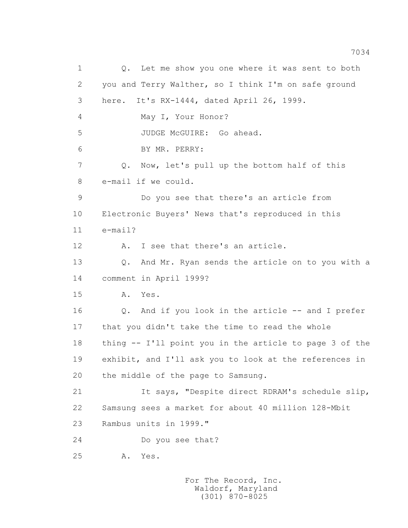1 Q. Let me show you one where it was sent to both 2 you and Terry Walther, so I think I'm on safe ground 3 here. It's RX-1444, dated April 26, 1999. 4 May I, Your Honor? 5 JUDGE McGUIRE: Go ahead. 6 BY MR. PERRY: 7 Q. Now, let's pull up the bottom half of this 8 e-mail if we could. 9 Do you see that there's an article from 10 Electronic Buyers' News that's reproduced in this 11 e-mail? 12 A. I see that there's an article. 13 Q. And Mr. Ryan sends the article on to you with a 14 comment in April 1999? 15 A. Yes. 16 Q. And if you look in the article -- and I prefer 17 that you didn't take the time to read the whole 18 thing -- I'll point you in the article to page 3 of the 19 exhibit, and I'll ask you to look at the references in 20 the middle of the page to Samsung. 21 It says, "Despite direct RDRAM's schedule slip, 22 Samsung sees a market for about 40 million 128-Mbit 23 Rambus units in 1999." 24 Do you see that? 25 A. Yes.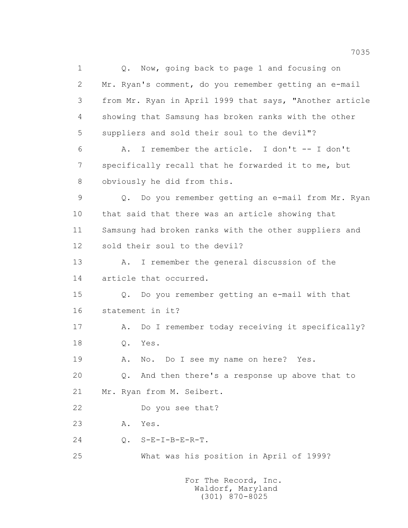1 0. Now, going back to page 1 and focusing on 2 Mr. Ryan's comment, do you remember getting an e-mail 3 from Mr. Ryan in April 1999 that says, "Another article 4 showing that Samsung has broken ranks with the other 5 suppliers and sold their soul to the devil"? 6 A. I remember the article. I don't -- I don't 7 specifically recall that he forwarded it to me, but 8 obviously he did from this. 9 Q. Do you remember getting an e-mail from Mr. Ryan 10 that said that there was an article showing that 11 Samsung had broken ranks with the other suppliers and 12 sold their soul to the devil? 13 A. I remember the general discussion of the 14 article that occurred. 15 Q. Do you remember getting an e-mail with that 16 statement in it? 17 A. Do I remember today receiving it specifically? 18 Q. Yes. 19 A. No. Do I see my name on here? Yes. 20 Q. And then there's a response up above that to 21 Mr. Ryan from M. Seibert. 22 Do you see that? 23 A. Yes. 24 Q. S-E-I-B-E-R-T. 25 What was his position in April of 1999?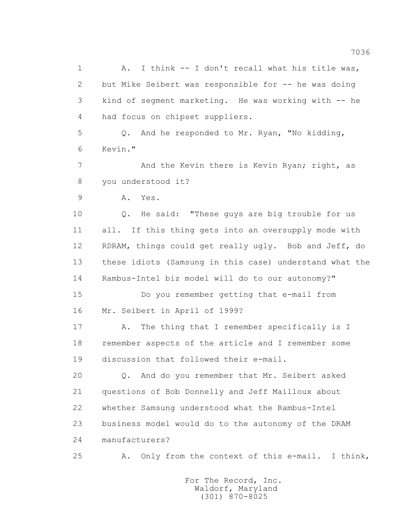1 A. I think -- I don't recall what his title was, 2 but Mike Seibert was responsible for -- he was doing 3 kind of segment marketing. He was working with -- he 4 had focus on chipset suppliers. 5 Q. And he responded to Mr. Ryan, "No kidding, 6 Kevin." 7 And the Kevin there is Kevin Ryan; right, as 8 you understood it? 9 A. Yes. 10 Q. He said: "These guys are big trouble for us 11 all. If this thing gets into an oversupply mode with 12 RDRAM, things could get really ugly. Bob and Jeff, do 13 these idiots (Samsung in this case) understand what the 14 Rambus-Intel biz model will do to our autonomy?" 15 Do you remember getting that e-mail from 16 Mr. Seibert in April of 1999? 17 A. The thing that I remember specifically is I 18 remember aspects of the article and I remember some 19 discussion that followed their e-mail. 20 Q. And do you remember that Mr. Seibert asked 21 questions of Bob Donnelly and Jeff Mailloux about 22 whether Samsung understood what the Rambus-Intel 23 business model would do to the autonomy of the DRAM 24 manufacturers? 25 A. Only from the context of this e-mail. I think,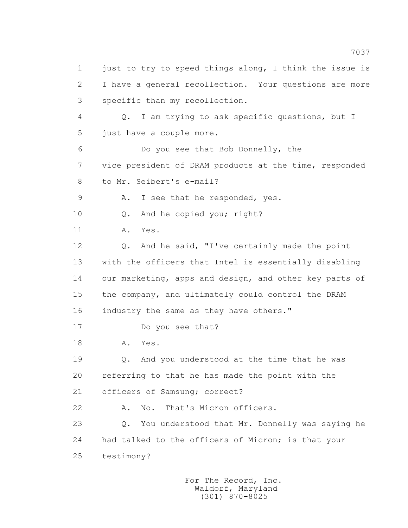1 just to try to speed things along, I think the issue is 2 I have a general recollection. Your questions are more 3 specific than my recollection. 4 Q. I am trying to ask specific questions, but I 5 just have a couple more. 6 Do you see that Bob Donnelly, the 7 vice president of DRAM products at the time, responded 8 to Mr. Seibert's e-mail? 9 A. I see that he responded, yes. 10 0. And he copied you; right? 11 A. Yes. 12 Q. And he said, "I've certainly made the point 13 with the officers that Intel is essentially disabling 14 our marketing, apps and design, and other key parts of 15 the company, and ultimately could control the DRAM 16 industry the same as they have others." 17 Do you see that? 18 A. Yes. 19 Q. And you understood at the time that he was 20 referring to that he has made the point with the 21 officers of Samsung; correct? 22 A. No. That's Micron officers. 23 Q. You understood that Mr. Donnelly was saying he 24 had talked to the officers of Micron; is that your 25 testimony?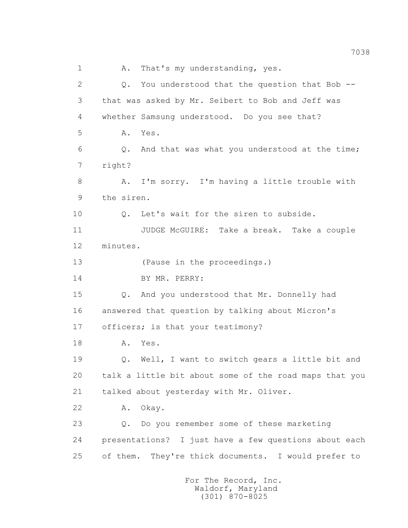1 A. That's my understanding, yes. 2 Q. You understood that the question that Bob -- 3 that was asked by Mr. Seibert to Bob and Jeff was 4 whether Samsung understood. Do you see that? 5 A. Yes. 6 Q. And that was what you understood at the time; 7 right? 8 A. I'm sorry. I'm having a little trouble with 9 the siren. 10 Q. Let's wait for the siren to subside. 11 JUDGE McGUIRE: Take a break. Take a couple 12 minutes. 13 (Pause in the proceedings.) 14 BY MR. PERRY: 15 Q. And you understood that Mr. Donnelly had 16 answered that question by talking about Micron's 17 officers; is that your testimony? 18 A. Yes. 19 Q. Well, I want to switch gears a little bit and 20 talk a little bit about some of the road maps that you 21 talked about yesterday with Mr. Oliver. 22 A. Okay. 23 Q. Do you remember some of these marketing 24 presentations? I just have a few questions about each 25 of them. They're thick documents. I would prefer to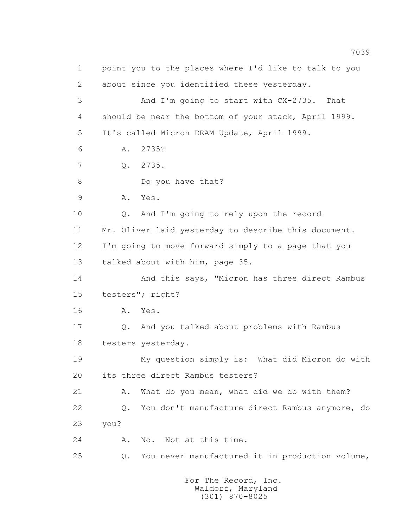1 point you to the places where I'd like to talk to you 2 about since you identified these yesterday. 3 And I'm going to start with CX-2735. That 4 should be near the bottom of your stack, April 1999. 5 It's called Micron DRAM Update, April 1999. 6 A. 2735? 7 Q. 2735. 8 Do you have that? 9 A. Yes. 10 Q. And I'm going to rely upon the record 11 Mr. Oliver laid yesterday to describe this document. 12 I'm going to move forward simply to a page that you 13 talked about with him, page 35. 14 And this says, "Micron has three direct Rambus 15 testers"; right? 16 A. Yes. 17 Q. And you talked about problems with Rambus 18 testers yesterday. 19 My question simply is: What did Micron do with 20 its three direct Rambus testers? 21 A. What do you mean, what did we do with them? 22 Q. You don't manufacture direct Rambus anymore, do 23 you? 24 A. No. Not at this time. 25 Q. You never manufactured it in production volume,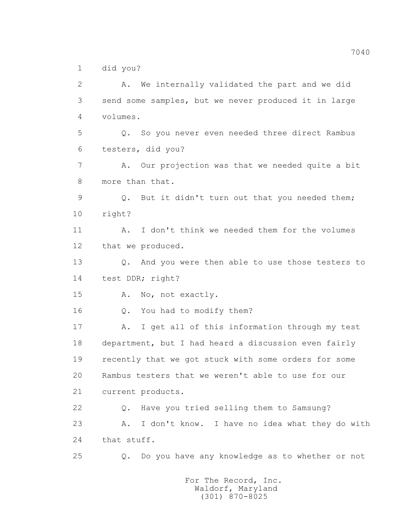1 did you?

 2 A. We internally validated the part and we did 3 send some samples, but we never produced it in large 4 volumes. 5 Q. So you never even needed three direct Rambus 6 testers, did you? 7 A. Our projection was that we needed quite a bit 8 more than that. 9 Q. But it didn't turn out that you needed them; 10 right? 11 A. I don't think we needed them for the volumes 12 that we produced. 13 0. And you were then able to use those testers to 14 test DDR; right? 15 A. No, not exactly. 16 Q. You had to modify them? 17 A. I get all of this information through my test 18 department, but I had heard a discussion even fairly 19 recently that we got stuck with some orders for some 20 Rambus testers that we weren't able to use for our 21 current products. 22 Q. Have you tried selling them to Samsung? 23 A. I don't know. I have no idea what they do with 24 that stuff. 25 Q. Do you have any knowledge as to whether or not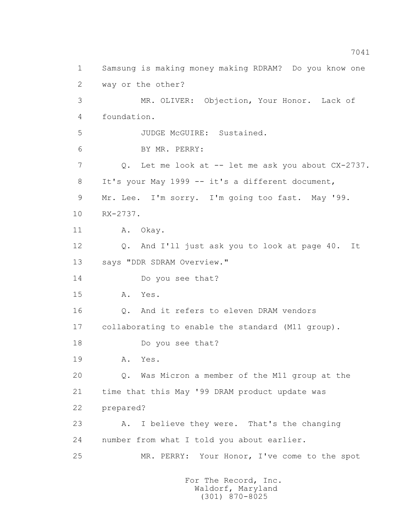1 Samsung is making money making RDRAM? Do you know one 2 way or the other? 3 MR. OLIVER: Objection, Your Honor. Lack of 4 foundation. 5 JUDGE McGUIRE: Sustained. 6 BY MR. PERRY: 7 Q. Let me look at -- let me ask you about CX-2737. 8 It's your May 1999 -- it's a different document, 9 Mr. Lee. I'm sorry. I'm going too fast. May '99. 10 RX-2737. 11 A. Okay. 12 Q. And I'll just ask you to look at page 40. It 13 says "DDR SDRAM Overview." 14 Do you see that? 15 A. Yes. 16 Q. And it refers to eleven DRAM vendors 17 collaborating to enable the standard (M11 group). 18 Do you see that? 19 A. Yes. 20 Q. Was Micron a member of the M11 group at the 21 time that this May '99 DRAM product update was 22 prepared? 23 A. I believe they were. That's the changing 24 number from what I told you about earlier. 25 MR. PERRY: Your Honor, I've come to the spot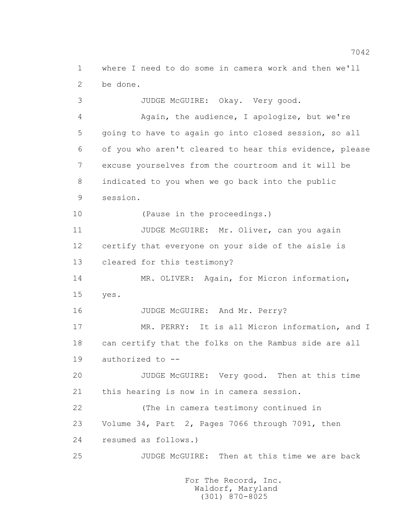1 where I need to do some in camera work and then we'll 2 be done.

3 JUDGE McGUIRE: Okay. Very good.

 4 Again, the audience, I apologize, but we're 5 going to have to again go into closed session, so all 6 of you who aren't cleared to hear this evidence, please 7 excuse yourselves from the courtroom and it will be 8 indicated to you when we go back into the public 9 session. 10 (Pause in the proceedings.) 11 JUDGE McGUIRE: Mr. Oliver, can you again 12 certify that everyone on your side of the aisle is 13 cleared for this testimony? 14 MR. OLIVER: Again, for Micron information, 15 yes. 16 JUDGE McGUIRE: And Mr. Perry? 17 MR. PERRY: It is all Micron information, and I 18 can certify that the folks on the Rambus side are all 19 authorized to -- 20 JUDGE McGUIRE: Very good. Then at this time 21 this hearing is now in in camera session. 22 (The in camera testimony continued in 23 Volume 34, Part 2, Pages 7066 through 7091, then 24 resumed as follows.) 25 JUDGE McGUIRE: Then at this time we are back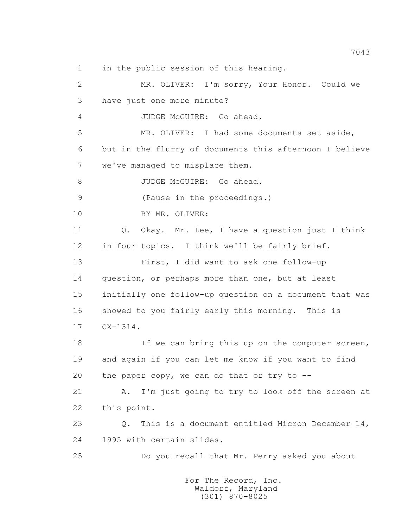1 in the public session of this hearing.

 2 MR. OLIVER: I'm sorry, Your Honor. Could we 3 have just one more minute? 4 JUDGE McGUIRE: Go ahead. 5 MR. OLIVER: I had some documents set aside, 6 but in the flurry of documents this afternoon I believe 7 we've managed to misplace them. 8 JUDGE McGUIRE: Go ahead. 9 (Pause in the proceedings.) 10 BY MR. OLIVER: 11 Q. Okay. Mr. Lee, I have a question just I think 12 in four topics. I think we'll be fairly brief. 13 First, I did want to ask one follow-up 14 question, or perhaps more than one, but at least 15 initially one follow-up question on a document that was 16 showed to you fairly early this morning. This is 17 CX-1314. 18 If we can bring this up on the computer screen, 19 and again if you can let me know if you want to find 20 the paper copy, we can do that or try to -- 21 A. I'm just going to try to look off the screen at 22 this point. 23 Q. This is a document entitled Micron December 14, 24 1995 with certain slides. 25 Do you recall that Mr. Perry asked you about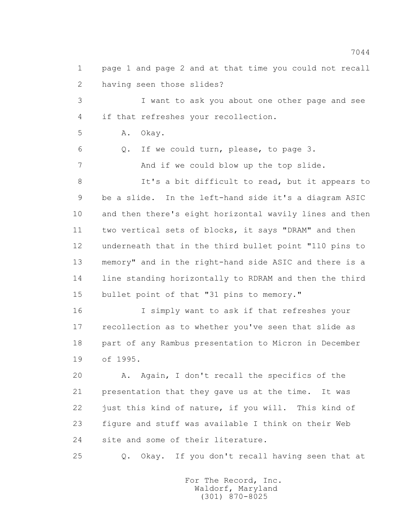1 page 1 and page 2 and at that time you could not recall 2 having seen those slides?

 3 I want to ask you about one other page and see 4 if that refreshes your recollection.

5 A. Okay.

6 Q. If we could turn, please, to page 3.

7 And if we could blow up the top slide.

 8 It's a bit difficult to read, but it appears to 9 be a slide. In the left-hand side it's a diagram ASIC 10 and then there's eight horizontal wavily lines and then 11 two vertical sets of blocks, it says "DRAM" and then 12 underneath that in the third bullet point "110 pins to 13 memory" and in the right-hand side ASIC and there is a 14 line standing horizontally to RDRAM and then the third 15 bullet point of that "31 pins to memory."

 16 I simply want to ask if that refreshes your 17 recollection as to whether you've seen that slide as 18 part of any Rambus presentation to Micron in December 19 of 1995.

 20 A. Again, I don't recall the specifics of the 21 presentation that they gave us at the time. It was 22 just this kind of nature, if you will. This kind of 23 figure and stuff was available I think on their Web 24 site and some of their literature.

25 Q. Okay. If you don't recall having seen that at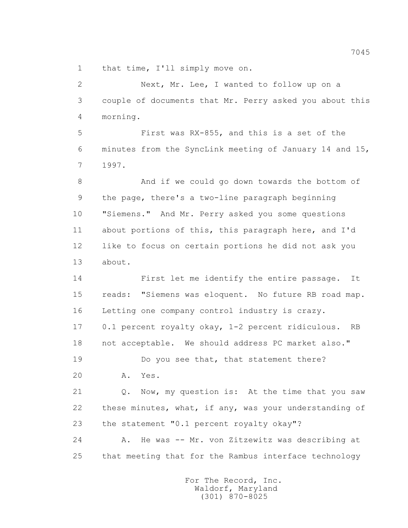1 that time, I'll simply move on.

 2 Next, Mr. Lee, I wanted to follow up on a 3 couple of documents that Mr. Perry asked you about this 4 morning.

 5 First was RX-855, and this is a set of the 6 minutes from the SyncLink meeting of January 14 and 15, 7 1997.

 8 And if we could go down towards the bottom of 9 the page, there's a two-line paragraph beginning 10 "Siemens." And Mr. Perry asked you some questions 11 about portions of this, this paragraph here, and I'd 12 like to focus on certain portions he did not ask you 13 about.

 14 First let me identify the entire passage. It 15 reads: "Siemens was eloquent. No future RB road map. 16 Letting one company control industry is crazy. 17 0.1 percent royalty okay, 1-2 percent ridiculous. RB 18 not acceptable. We should address PC market also."

19 Do you see that, that statement there?

20 A. Yes.

 21 Q. Now, my question is: At the time that you saw 22 these minutes, what, if any, was your understanding of 23 the statement "0.1 percent royalty okay"?

 24 A. He was -- Mr. von Zitzewitz was describing at 25 that meeting that for the Rambus interface technology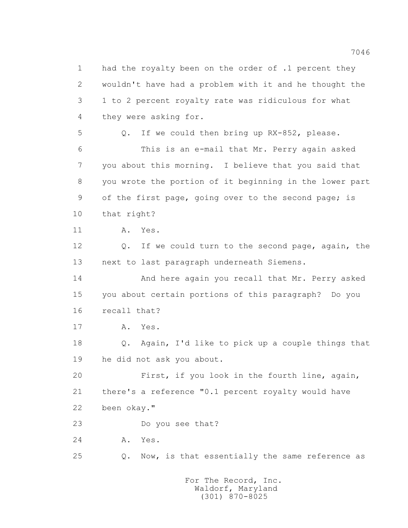1 had the royalty been on the order of .1 percent they 2 wouldn't have had a problem with it and he thought the 3 1 to 2 percent royalty rate was ridiculous for what 4 they were asking for. 5 Q. If we could then bring up RX-852, please. 6 This is an e-mail that Mr. Perry again asked 7 you about this morning. I believe that you said that 8 you wrote the portion of it beginning in the lower part 9 of the first page, going over to the second page; is 10 that right? 11 A. Yes. 12 Q. If we could turn to the second page, again, the 13 next to last paragraph underneath Siemens. 14 And here again you recall that Mr. Perry asked 15 you about certain portions of this paragraph? Do you 16 recall that? 17 A. Yes. 18 Q. Again, I'd like to pick up a couple things that 19 he did not ask you about. 20 First, if you look in the fourth line, again, 21 there's a reference "0.1 percent royalty would have 22 been okay." 23 Do you see that? 24 A. Yes. 25 Q. Now, is that essentially the same reference as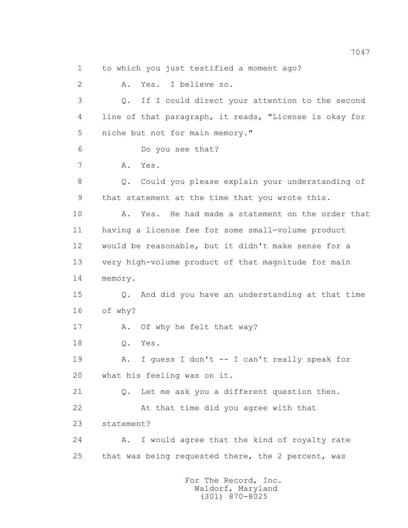1 to which you just testified a moment ago?

 2 A. Yes. I believe so. 3 Q. If I could direct your attention to the second 4 line of that paragraph, it reads, "License is okay for 5 niche but not for main memory." 6 Do you see that? 7 A. Yes. 8 Q. Could you please explain your understanding of 9 that statement at the time that you wrote this. 10 A. Yes. He had made a statement on the order that 11 having a license fee for some small-volume product 12 would be reasonable, but it didn't make sense for a 13 very high-volume product of that magnitude for main 14 memory. 15 Q. And did you have an understanding at that time 16 of why? 17 A. Of why he felt that way? 18 Q. Yes. 19 A. I guess I don't -- I can't really speak for 20 what his feeling was on it. 21 Q. Let me ask you a different question then. 22 At that time did you agree with that 23 statement? 24 A. I would agree that the kind of royalty rate 25 that was being requested there, the 2 percent, was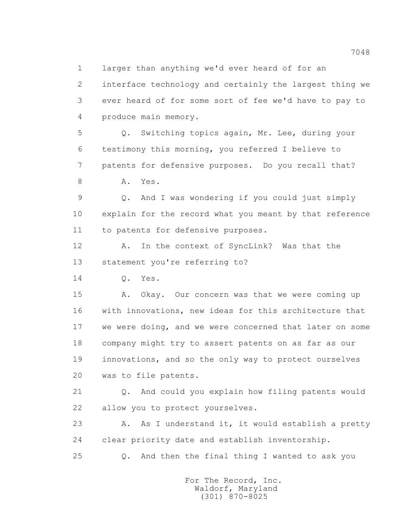1 larger than anything we'd ever heard of for an

 2 interface technology and certainly the largest thing we 3 ever heard of for some sort of fee we'd have to pay to 4 produce main memory.

 5 Q. Switching topics again, Mr. Lee, during your 6 testimony this morning, you referred I believe to 7 patents for defensive purposes. Do you recall that?

8 A. Yes.

 9 Q. And I was wondering if you could just simply 10 explain for the record what you meant by that reference 11 to patents for defensive purposes.

 12 A. In the context of SyncLink? Was that the 13 statement you're referring to?

14 Q. Yes.

 15 A. Okay. Our concern was that we were coming up 16 with innovations, new ideas for this architecture that 17 we were doing, and we were concerned that later on some 18 company might try to assert patents on as far as our 19 innovations, and so the only way to protect ourselves 20 was to file patents.

 21 Q. And could you explain how filing patents would 22 allow you to protect yourselves.

23 A. As I understand it, it would establish a pretty 24 clear priority date and establish inventorship.

25 Q. And then the final thing I wanted to ask you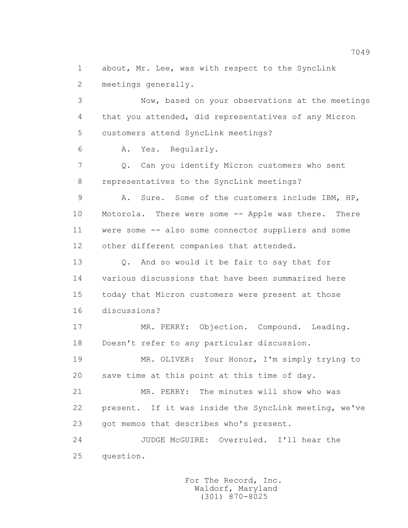1 about, Mr. Lee, was with respect to the SyncLink 2 meetings generally.

 3 Now, based on your observations at the meetings 4 that you attended, did representatives of any Micron 5 customers attend SyncLink meetings?

6 A. Yes. Regularly.

 7 Q. Can you identify Micron customers who sent 8 representatives to the SyncLink meetings?

 9 A. Sure. Some of the customers include IBM, HP, 10 Motorola. There were some -- Apple was there. There 11 were some -- also some connector suppliers and some 12 other different companies that attended.

13 O. And so would it be fair to say that for 14 various discussions that have been summarized here 15 today that Micron customers were present at those 16 discussions?

 17 MR. PERRY: Objection. Compound. Leading. 18 Doesn't refer to any particular discussion.

 19 MR. OLIVER: Your Honor, I'm simply trying to 20 save time at this point at this time of day.

 21 MR. PERRY: The minutes will show who was 22 present. If it was inside the SyncLink meeting, we've 23 got memos that describes who's present.

 24 JUDGE McGUIRE: Overruled. I'll hear the 25 question.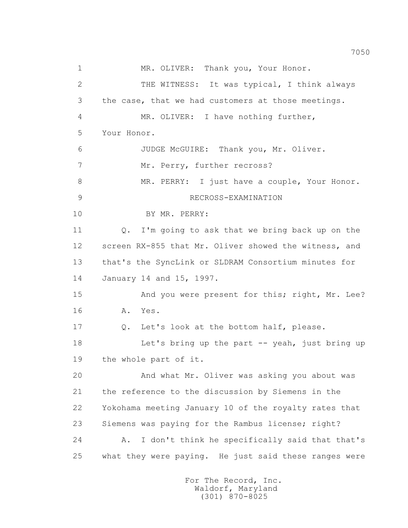1 MR. OLIVER: Thank you, Your Honor. 2 THE WITNESS: It was typical, I think always 3 the case, that we had customers at those meetings. 4 MR. OLIVER: I have nothing further, 5 Your Honor. 6 JUDGE McGUIRE: Thank you, Mr. Oliver. 7 Mr. Perry, further recross? 8 MR. PERRY: I just have a couple, Your Honor. 9 RECROSS-EXAMINATION 10 BY MR. PERRY: 11 Q. I'm going to ask that we bring back up on the 12 screen RX-855 that Mr. Oliver showed the witness, and 13 that's the SyncLink or SLDRAM Consortium minutes for 14 January 14 and 15, 1997. 15 And you were present for this; right, Mr. Lee? 16 A. Yes. 17 Q. Let's look at the bottom half, please. 18 Let's bring up the part -- yeah, just bring up 19 the whole part of it. 20 And what Mr. Oliver was asking you about was 21 the reference to the discussion by Siemens in the 22 Yokohama meeting January 10 of the royalty rates that 23 Siemens was paying for the Rambus license; right? 24 A. I don't think he specifically said that that's 25 what they were paying. He just said these ranges were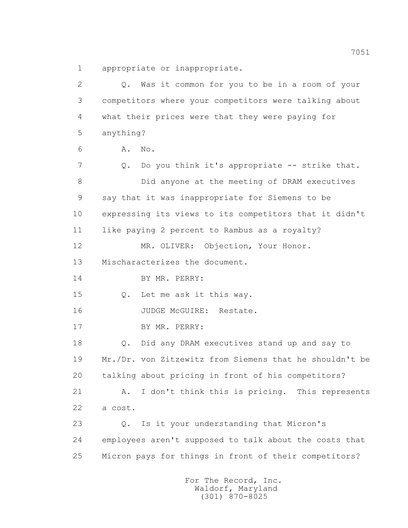1 appropriate or inappropriate.

 2 Q. Was it common for you to be in a room of your 3 competitors where your competitors were talking about 4 what their prices were that they were paying for 5 anything? 6 A. No. 7 Q. Do you think it's appropriate -- strike that. 8 Did anyone at the meeting of DRAM executives 9 say that it was inappropriate for Siemens to be 10 expressing its views to its competitors that it didn't 11 like paying 2 percent to Rambus as a royalty? 12 MR. OLIVER: Objection, Your Honor. 13 Mischaracterizes the document. 14 BY MR. PERRY: 15 Q. Let me ask it this way. 16 JUDGE McGUIRE: Restate. 17 BY MR. PERRY: 18 Q. Did any DRAM executives stand up and say to 19 Mr./Dr. von Zitzewitz from Siemens that he shouldn't be 20 talking about pricing in front of his competitors? 21 A. I don't think this is pricing. This represents 22 a cost. 23 Q. Is it your understanding that Micron's 24 employees aren't supposed to talk about the costs that 25 Micron pays for things in front of their competitors?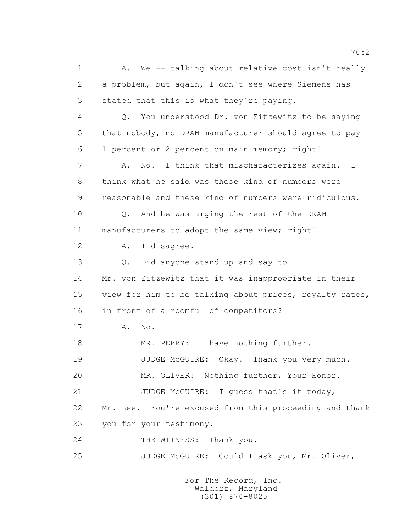1 A. We -- talking about relative cost isn't really 2 a problem, but again, I don't see where Siemens has 3 stated that this is what they're paying. 4 Q. You understood Dr. von Zitzewitz to be saying 5 that nobody, no DRAM manufacturer should agree to pay 6 1 percent or 2 percent on main memory; right? 7 A. No. I think that mischaracterizes again. I 8 think what he said was these kind of numbers were 9 reasonable and these kind of numbers were ridiculous. 10 Q. And he was urging the rest of the DRAM 11 manufacturers to adopt the same view; right? 12 A. I disagree. 13 Q. Did anyone stand up and say to 14 Mr. von Zitzewitz that it was inappropriate in their 15 view for him to be talking about prices, royalty rates, 16 in front of a roomful of competitors? 17 **A.** No. 18 MR. PERRY: I have nothing further. 19 JUDGE McGUIRE: Okay. Thank you very much. 20 MR. OLIVER: Nothing further, Your Honor. 21 JUDGE McGUIRE: I guess that's it today, 22 Mr. Lee. You're excused from this proceeding and thank 23 you for your testimony. 24 THE WITNESS: Thank you. 25 JUDGE McGUIRE: Could I ask you, Mr. Oliver,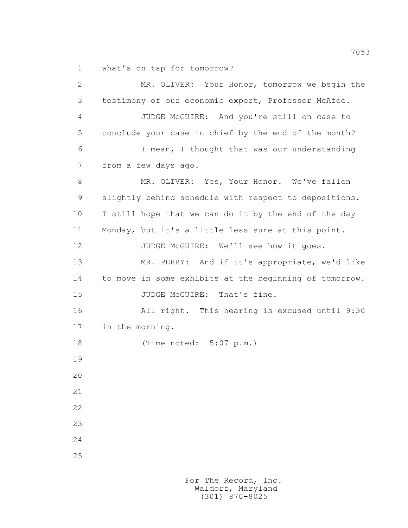1 what's on tap for tomorrow?

 2 MR. OLIVER: Your Honor, tomorrow we begin the 3 testimony of our economic expert, Professor McAfee. 4 JUDGE McGUIRE: And you're still on case to 5 conclude your case in chief by the end of the month? 6 I mean, I thought that was our understanding 7 from a few days ago. 8 MR. OLIVER: Yes, Your Honor. We've fallen 9 slightly behind schedule with respect to depositions. 10 I still hope that we can do it by the end of the day 11 Monday, but it's a little less sure at this point. 12 JUDGE McGUIRE: We'll see how it goes. 13 MR. PERRY: And if it's appropriate, we'd like 14 to move in some exhibits at the beginning of tomorrow. 15 JUDGE McGUIRE: That's fine. 16 All right. This hearing is excused until 9:30 17 in the morning. 18 (Time noted: 5:07 p.m.) 19 20 21 22 23 24 25